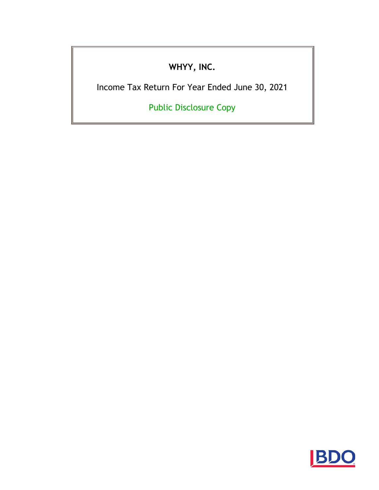## **WHYY, INC.**

Income Tax Return For Year Ended June 30, 2021

Public Disclosure Copy

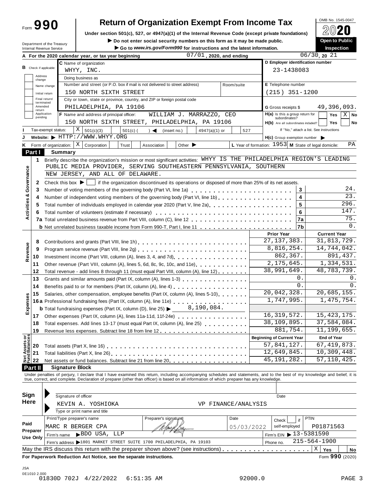Form **990**

# **Return of Organization Exempt From Income Tax**

**Under section 501(c), 527, or 4947(a)(1) of the Internal Revenue Code (except private foundations)** À¾¶´

**I Department of the Treasury Department of the Treasury Department of the Treasury Department of the Treasury Department of the Treasury Department of the Treasury Department of the Treasury Department of the Department o** 

| <b>Inspection</b> |
|-------------------|
|                   |

| Internal Revenue Service             | Department of the Treasury                                                                                                                                                                                                     |                                                                                                 |                                    |                             |                 | Go to www.irs.gov/Form990 for instructions and the latest information. | $\blacktriangleright$ Do not enter social security numbers on this form as it may be made public. |                                                                                       |                                          | <b>Open to Public</b><br>Inspection |                   |
|--------------------------------------|--------------------------------------------------------------------------------------------------------------------------------------------------------------------------------------------------------------------------------|-------------------------------------------------------------------------------------------------|------------------------------------|-----------------------------|-----------------|------------------------------------------------------------------------|---------------------------------------------------------------------------------------------------|---------------------------------------------------------------------------------------|------------------------------------------|-------------------------------------|-------------------|
|                                      | A For the 2020 calendar year, or tax year beginning                                                                                                                                                                            |                                                                                                 |                                    |                             |                 | $07/01$ , 2020, and ending                                             |                                                                                                   |                                                                                       | $06/30$ , 20 21                          |                                     |                   |
|                                      | C Name of organization                                                                                                                                                                                                         |                                                                                                 |                                    |                             |                 |                                                                        |                                                                                                   | D Employer identification number                                                      |                                          |                                     |                   |
| <b>B</b> Check if applicable:        | WHYY, INC.                                                                                                                                                                                                                     |                                                                                                 |                                    |                             |                 |                                                                        |                                                                                                   | 23-1438083                                                                            |                                          |                                     |                   |
| Address<br>change                    | Doing business as                                                                                                                                                                                                              |                                                                                                 |                                    |                             |                 |                                                                        |                                                                                                   |                                                                                       |                                          |                                     |                   |
| Name change                          | Number and street (or P.O. box if mail is not delivered to street address)                                                                                                                                                     |                                                                                                 |                                    |                             |                 | Room/suite                                                             |                                                                                                   | E Telephone number                                                                    |                                          |                                     |                   |
| Initial return                       | 150 NORTH SIXTH STREET                                                                                                                                                                                                         |                                                                                                 |                                    |                             |                 |                                                                        |                                                                                                   | $(215)$ 351-1200                                                                      |                                          |                                     |                   |
| Final return/                        | City or town, state or province, country, and ZIP or foreign postal code                                                                                                                                                       |                                                                                                 |                                    |                             |                 |                                                                        |                                                                                                   |                                                                                       |                                          |                                     |                   |
| terminated<br>Amended                | PHILADELPHIA, PA 19106                                                                                                                                                                                                         |                                                                                                 |                                    |                             |                 |                                                                        |                                                                                                   | G Gross receipts \$                                                                   |                                          | 49,396,093.                         |                   |
| return<br>Application                | F Name and address of principal officer:                                                                                                                                                                                       |                                                                                                 |                                    | WILLIAM J. MARRAZZO, CEO    |                 |                                                                        |                                                                                                   | H(a) Is this a group return for                                                       |                                          | Yes                                 | $X \mid$ No       |
| pending                              | 150 NORTH SIXTH STREET, PHILADELPHIA, PA 19106                                                                                                                                                                                 |                                                                                                 |                                    |                             |                 |                                                                        |                                                                                                   | subordinates?<br>H(b) Are all subordinates included?                                  |                                          | <b>Yes</b>                          | No                |
|                                      | X   501(c)(3)<br>Tax-exempt status:                                                                                                                                                                                            |                                                                                                 |                                    |                             |                 | 527                                                                    |                                                                                                   |                                                                                       | If "No," attach a list. See instructions |                                     |                   |
|                                      | Website: FITTP://WWW.WHYY.ORG                                                                                                                                                                                                  | $501(c)$ (                                                                                      | $\rightarrow$ $\blacktriangleleft$ | (insert no.)                | $4947(a)(1)$ or |                                                                        |                                                                                                   |                                                                                       |                                          |                                     |                   |
|                                      | $\mathbf{X}$                                                                                                                                                                                                                   |                                                                                                 |                                    | Other $\blacktriangleright$ |                 |                                                                        |                                                                                                   | H(c) Group exemption number<br>L Year of formation: $1953$ M State of legal domicile: |                                          |                                     | РA                |
|                                      | Corporation<br>Form of organization:                                                                                                                                                                                           | Trust                                                                                           | Association                        |                             |                 |                                                                        |                                                                                                   |                                                                                       |                                          |                                     |                   |
| Part I                               | <b>Summary</b>                                                                                                                                                                                                                 |                                                                                                 |                                    |                             |                 |                                                                        |                                                                                                   |                                                                                       |                                          |                                     |                   |
| 1                                    | Briefly describe the organization's mission or most significant activities: WHYY IS THE PHILADELPHIA REGION'S LEADING                                                                                                          |                                                                                                 |                                    |                             |                 |                                                                        |                                                                                                   |                                                                                       |                                          |                                     |                   |
| Activities & Governance              | PUBLIC MEDIA PROVIDER, SERVING SOUTHEASTERN PENNSYLVANIA, SOUTHERN                                                                                                                                                             |                                                                                                 |                                    |                             |                 |                                                                        |                                                                                                   |                                                                                       |                                          |                                     |                   |
|                                      | NEW JERSEY, AND ALL OF DELAWARE.                                                                                                                                                                                               |                                                                                                 |                                    |                             |                 |                                                                        |                                                                                                   |                                                                                       |                                          |                                     |                   |
| 2                                    | Check this box $\blacktriangleright$                                                                                                                                                                                           | if the organization discontinued its operations or disposed of more than 25% of its net assets. |                                    |                             |                 |                                                                        |                                                                                                   |                                                                                       |                                          |                                     |                   |
| 3                                    | Number of voting members of the governing body (Part VI, line 1a)                                                                                                                                                              |                                                                                                 |                                    |                             |                 |                                                                        |                                                                                                   | 3                                                                                     |                                          |                                     | 24.               |
| 4                                    | Number of independent voting members of the governing body (Part VI, line 1b)                                                                                                                                                  |                                                                                                 |                                    |                             |                 |                                                                        |                                                                                                   | 4                                                                                     |                                          |                                     | $\overline{23}$ . |
| 5                                    | Total number of individuals employed in calendar year 2020 (Part V, line 2a)                                                                                                                                                   |                                                                                                 |                                    |                             |                 |                                                                        |                                                                                                   | 5                                                                                     |                                          |                                     | 296.              |
| 6                                    |                                                                                                                                                                                                                                |                                                                                                 |                                    |                             |                 |                                                                        |                                                                                                   | 6                                                                                     |                                          |                                     | 147.              |
|                                      |                                                                                                                                                                                                                                |                                                                                                 |                                    |                             |                 |                                                                        |                                                                                                   | 7a                                                                                    |                                          |                                     | 75.               |
|                                      |                                                                                                                                                                                                                                |                                                                                                 |                                    |                             |                 |                                                                        |                                                                                                   | 7b                                                                                    |                                          |                                     | 0.                |
|                                      |                                                                                                                                                                                                                                |                                                                                                 |                                    |                             |                 |                                                                        |                                                                                                   | <b>Prior Year</b>                                                                     |                                          | <b>Current Year</b>                 |                   |
| 8                                    | Contributions and grants (Part VIII, line 1h)                                                                                                                                                                                  |                                                                                                 |                                    |                             |                 |                                                                        |                                                                                                   | 27, 137, 383.                                                                         |                                          | 31,813,729.                         |                   |
| 9                                    |                                                                                                                                                                                                                                |                                                                                                 |                                    |                             |                 |                                                                        |                                                                                                   | 8,816,254.                                                                            |                                          | 14,744,042.                         |                   |
| Revenue<br>10                        |                                                                                                                                                                                                                                |                                                                                                 |                                    |                             |                 |                                                                        |                                                                                                   | 862,367.                                                                              |                                          | 891,437.                            |                   |
| 11                                   | Other revenue (Part VIII, column (A), lines 5, 6d, 8c, 9c, 10c, and 11e)                                                                                                                                                       |                                                                                                 |                                    |                             |                 |                                                                        |                                                                                                   | 2, 175, 645.                                                                          |                                          | 1,334,531.                          |                   |
| 12                                   | Total revenue - add lines 8 through 11 (must equal Part VIII, column (A), line 12)                                                                                                                                             |                                                                                                 |                                    |                             |                 |                                                                        |                                                                                                   | 38,991,649.                                                                           |                                          | $\overline{48,783}$ , 739.          |                   |
| 13                                   | Grants and similar amounts paid (Part IX, column (A), lines 1-3)                                                                                                                                                               |                                                                                                 |                                    |                             |                 |                                                                        |                                                                                                   | 0.                                                                                    |                                          |                                     | О.                |
| 14                                   | Benefits paid to or for members (Part IX, column (A), line 4) [10] cases are set of the set of the set of the set of the set of the set of the set of the set of the set of the set of the set of the set of the set of the se |                                                                                                 |                                    |                             |                 |                                                                        |                                                                                                   | $\overline{0}$ .                                                                      |                                          |                                     | 0.                |
| 15                                   | Salaries, other compensation, employee benefits (Part IX, column (A), lines 5-10).                                                                                                                                             |                                                                                                 |                                    |                             |                 |                                                                        |                                                                                                   | 20,042,328.                                                                           |                                          | 20,685,155.                         |                   |
|                                      | 16a Professional fundraising fees (Part IX, column (A), line 11e)                                                                                                                                                              |                                                                                                 |                                    |                             |                 |                                                                        |                                                                                                   | 1,747,995.                                                                            |                                          | 1, 475, 754.                        |                   |
| Expenses                             | <b>b</b> Total fundraising expenses (Part IX, column (D), line 25) $\blacktriangleright$                                                                                                                                       |                                                                                                 |                                    |                             | 8,190,084.      |                                                                        |                                                                                                   |                                                                                       |                                          |                                     |                   |
|                                      | 17 Other expenses (Part IX, column (A), lines 11a-11d, 11f-24e)                                                                                                                                                                |                                                                                                 |                                    |                             |                 |                                                                        |                                                                                                   | 16, 319, 572.                                                                         |                                          | 15, 423, 175.                       |                   |
| 18                                   | Total expenses. Add lines 13-17 (must equal Part IX, column (A), line 25)                                                                                                                                                      |                                                                                                 |                                    |                             |                 |                                                                        |                                                                                                   | 38,109,895.                                                                           |                                          | 37,584,084.                         |                   |
| 19                                   |                                                                                                                                                                                                                                |                                                                                                 |                                    |                             |                 |                                                                        |                                                                                                   | 881,754.                                                                              |                                          | 11,199,655.                         |                   |
|                                      |                                                                                                                                                                                                                                |                                                                                                 |                                    |                             |                 |                                                                        |                                                                                                   | <b>Beginning of Current Year</b>                                                      |                                          | <b>End of Year</b>                  |                   |
| 20                                   |                                                                                                                                                                                                                                |                                                                                                 |                                    |                             |                 |                                                                        |                                                                                                   | 57,841,127.                                                                           |                                          | 67, 419, 873.                       |                   |
| Net Assets or<br>Fund Balances<br>21 |                                                                                                                                                                                                                                |                                                                                                 |                                    |                             |                 |                                                                        |                                                                                                   | 12,649,845.                                                                           |                                          | 10,309,448.                         |                   |
| 22                                   | Net assets or fund balances. Subtract line 21 from line 20.                                                                                                                                                                    |                                                                                                 |                                    |                             |                 |                                                                        |                                                                                                   | 45, 191, 282.                                                                         |                                          | $\overline{57,110,}425.$            |                   |
|                                      | <b>Signature Block</b>                                                                                                                                                                                                         |                                                                                                 |                                    |                             |                 |                                                                        |                                                                                                   |                                                                                       |                                          |                                     |                   |
| Part II                              |                                                                                                                                                                                                                                |                                                                                                 |                                    |                             |                 |                                                                        |                                                                                                   |                                                                                       |                                          |                                     |                   |
|                                      | Under penalties of perjury, I declare that I have examined this return, including accompanying schedules and statements, and to the best of my knowledge and belief, it is true, correct, and complete. Declaration of prepare |                                                                                                 |                                    |                             |                 |                                                                        |                                                                                                   |                                                                                       |                                          |                                     |                   |
|                                      |                                                                                                                                                                                                                                |                                                                                                 |                                    |                             |                 |                                                                        |                                                                                                   |                                                                                       |                                          |                                     |                   |
|                                      | Signature of officer                                                                                                                                                                                                           |                                                                                                 |                                    |                             |                 |                                                                        |                                                                                                   |                                                                                       |                                          |                                     |                   |
|                                      |                                                                                                                                                                                                                                |                                                                                                 |                                    |                             |                 |                                                                        |                                                                                                   | Date                                                                                  |                                          |                                     |                   |
|                                      | KEVIN A. YOSHIOKA                                                                                                                                                                                                              |                                                                                                 |                                    |                             |                 | VP FINANCE/ANALYSIS                                                    |                                                                                                   |                                                                                       |                                          |                                     |                   |
|                                      |                                                                                                                                                                                                                                |                                                                                                 |                                    |                             |                 |                                                                        |                                                                                                   |                                                                                       |                                          |                                     |                   |
|                                      | Type or print name and title                                                                                                                                                                                                   |                                                                                                 | Preparer's signature               |                             |                 | Date                                                                   |                                                                                                   | if<br>Check                                                                           | <b>PTIN</b>                              |                                     |                   |
|                                      | Print/Type preparer's name                                                                                                                                                                                                     |                                                                                                 |                                    |                             |                 |                                                                        |                                                                                                   |                                                                                       |                                          |                                     |                   |
|                                      | MARC R BERGER CPA                                                                                                                                                                                                              |                                                                                                 |                                    |                             |                 | 05/03/2022                                                             |                                                                                                   | self-employed                                                                         |                                          | P01871563                           |                   |
| Sign<br>Here<br>Paid<br>Preparer     | BDO USA, LLP<br>Firm's name                                                                                                                                                                                                    |                                                                                                 |                                    |                             |                 |                                                                        |                                                                                                   | Firm's EIN ▶ 13-5381590                                                               |                                          |                                     |                   |
| Use Only                             | Firm's address >1801 MARKET STREET SUITE 1700 PHILADELPHIA, PA 19103                                                                                                                                                           |                                                                                                 |                                    |                             |                 |                                                                        |                                                                                                   | Phone no.                                                                             | $215 - 564 - 1900$                       |                                     |                   |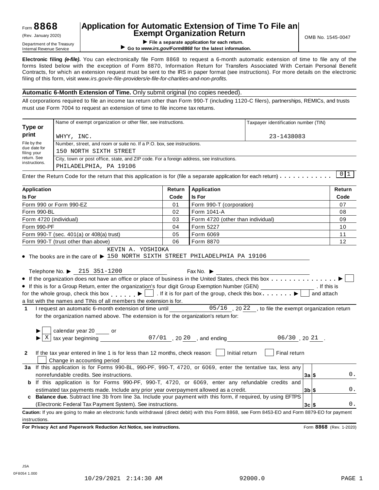## **Application for Automatic Extension of Time To File an Exempt Organization Return** (Rev. January 2020) OMB No. 1545-0047

**EXEMPL OF GETTICATION RETURNATION**<br>
Department of the Treasury<br>
Internal Revenue Service<br> **EXEMPLE OF SERVICE OF SERVICE OF SERVICE OF SERVICE OF SERVICE OF SERVICE OF SERVICE OF SERVICE OF SERVICE OF SERVICE OF SERVICE** 

▶ Go to www.irs.gov/Form8868 for the latest information.

**Electronic filing** *(e-file)***.** You can electronically file Form 8868 to request a 6-month automatic extension of time to file any of the forms listed below with the exception of Form 8870, Information Return for Transfers Associated With Certain Personal Benefit Contracts, for which an extension request must be sent to the IRS in paper format (see instructions). For more details on the electronic filing of this form, visit *www.irs.gov/e-file-providers/e-file-for-charities-and-non-profits.*

### **Automatic 6-Month Extension of Time.** Only submit original (no copies needed).

All corporations required to file an income tax return other than Form 990-T (including 1120-C filers), partnerships, REMICs, and trusts must use Form 7004 to request an extension of time to file income tax returns.

| Type or                     | Name of exempt organization or other filer, see instructions.                                                                                                                                                                                                                                                                                                                                                                                                                                                                                                                                                                                                                                                |        | Taxpayer identification number (TIN)                   |                            |                         |  |  |  |  |  |  |
|-----------------------------|--------------------------------------------------------------------------------------------------------------------------------------------------------------------------------------------------------------------------------------------------------------------------------------------------------------------------------------------------------------------------------------------------------------------------------------------------------------------------------------------------------------------------------------------------------------------------------------------------------------------------------------------------------------------------------------------------------------|--------|--------------------------------------------------------|----------------------------|-------------------------|--|--|--|--|--|--|
| print                       | WHYY, INC.                                                                                                                                                                                                                                                                                                                                                                                                                                                                                                                                                                                                                                                                                                   |        |                                                        | 23-1438083                 |                         |  |  |  |  |  |  |
| File by the                 | Number, street, and room or suite no. If a P.O. box, see instructions.                                                                                                                                                                                                                                                                                                                                                                                                                                                                                                                                                                                                                                       |        |                                                        |                            |                         |  |  |  |  |  |  |
| due date for                | 150 NORTH SIXTH STREET                                                                                                                                                                                                                                                                                                                                                                                                                                                                                                                                                                                                                                                                                       |        |                                                        |                            |                         |  |  |  |  |  |  |
| filing your<br>return. See  | City, town or post office, state, and ZIP code. For a foreign address, see instructions.                                                                                                                                                                                                                                                                                                                                                                                                                                                                                                                                                                                                                     |        |                                                        |                            |                         |  |  |  |  |  |  |
| instructions.               | PHILADELPHIA, PA 19106                                                                                                                                                                                                                                                                                                                                                                                                                                                                                                                                                                                                                                                                                       |        |                                                        |                            |                         |  |  |  |  |  |  |
|                             | Enter the Return Code for the return that this application is for (file a separate application for each return) $\ldots \ldots \ldots$                                                                                                                                                                                                                                                                                                                                                                                                                                                                                                                                                                       |        |                                                        |                            | 0 1                     |  |  |  |  |  |  |
| <b>Application</b>          |                                                                                                                                                                                                                                                                                                                                                                                                                                                                                                                                                                                                                                                                                                              | Return | <b>Application</b>                                     |                            | Return                  |  |  |  |  |  |  |
| Is For                      |                                                                                                                                                                                                                                                                                                                                                                                                                                                                                                                                                                                                                                                                                                              | Code   | Is For                                                 |                            | Code                    |  |  |  |  |  |  |
|                             | Form 990 or Form 990-EZ                                                                                                                                                                                                                                                                                                                                                                                                                                                                                                                                                                                                                                                                                      | 01     | Form 990-T (corporation)                               |                            | 07                      |  |  |  |  |  |  |
| Form 990-BL                 |                                                                                                                                                                                                                                                                                                                                                                                                                                                                                                                                                                                                                                                                                                              | 02     | Form 1041-A                                            |                            | 08                      |  |  |  |  |  |  |
| Form 4720 (individual)      |                                                                                                                                                                                                                                                                                                                                                                                                                                                                                                                                                                                                                                                                                                              | 03     | Form 4720 (other than individual)                      |                            | 09                      |  |  |  |  |  |  |
| Form 990-PF                 |                                                                                                                                                                                                                                                                                                                                                                                                                                                                                                                                                                                                                                                                                                              | 04     | Form 5227                                              |                            | 10                      |  |  |  |  |  |  |
|                             | Form 990-T (sec. 401(a) or 408(a) trust)                                                                                                                                                                                                                                                                                                                                                                                                                                                                                                                                                                                                                                                                     | 05     | Form 6069                                              |                            | 11                      |  |  |  |  |  |  |
|                             | Form 990-T (trust other than above)                                                                                                                                                                                                                                                                                                                                                                                                                                                                                                                                                                                                                                                                          | 06     | Form 8870                                              |                            | 12                      |  |  |  |  |  |  |
|                             | KEVIN A. YOSHIOKA                                                                                                                                                                                                                                                                                                                                                                                                                                                                                                                                                                                                                                                                                            |        |                                                        |                            |                         |  |  |  |  |  |  |
| $\mathbf 1$<br>$\mathbf{2}$ | • If the organization does not have an office or place of business in the United States, check this box<br>• If this is for a Group Return, enter the organization's four digit Group Exemption Number (GEN) ___________________. If this is<br>for the whole group, check this box $\Box$ If it is for part of the group, check this box $\Box$<br>a list with the names and TINs of all members the extension is for.<br>I request an automatic 6-month extension of time until<br>for the organization named above. The extension is for the organization's return for:<br>calendar year 20 _____ or<br>If the tax year entered in line 1 is for less than 12 months, check reason: $\Box$ Initial return |        | $05/16$ , 2022, to file the exempt organization return | and attach<br>Final return |                         |  |  |  |  |  |  |
|                             | Change in accounting period                                                                                                                                                                                                                                                                                                                                                                                                                                                                                                                                                                                                                                                                                  |        |                                                        |                            |                         |  |  |  |  |  |  |
|                             | 3a If this application is for Forms 990-BL, 990-PF, 990-T, 4720, or 6069, enter the tentative tax, less any                                                                                                                                                                                                                                                                                                                                                                                                                                                                                                                                                                                                  |        |                                                        |                            | 0.                      |  |  |  |  |  |  |
|                             | nonrefundable credits. See instructions.<br>b If this application is for Forms 990-PF, 990-T, 4720, or 6069, enter any refundable credits and                                                                                                                                                                                                                                                                                                                                                                                                                                                                                                                                                                |        |                                                        | 3a S                       |                         |  |  |  |  |  |  |
|                             |                                                                                                                                                                                                                                                                                                                                                                                                                                                                                                                                                                                                                                                                                                              |        |                                                        |                            | 0.                      |  |  |  |  |  |  |
| c                           | estimated tax payments made. Include any prior year overpayment allowed as a credit.<br>Balance due. Subtract line 3b from line 3a. Include your payment with this form, if required, by using EFTPS                                                                                                                                                                                                                                                                                                                                                                                                                                                                                                         |        |                                                        | $3b$ \$                    |                         |  |  |  |  |  |  |
|                             |                                                                                                                                                                                                                                                                                                                                                                                                                                                                                                                                                                                                                                                                                                              |        |                                                        |                            |                         |  |  |  |  |  |  |
|                             | (Electronic Federal Tax Payment System). See instructions.                                                                                                                                                                                                                                                                                                                                                                                                                                                                                                                                                                                                                                                   |        |                                                        | $3c$ $s$                   | 0.                      |  |  |  |  |  |  |
|                             | Caution: If you are going to make an electronic funds withdrawal (direct debit) with this Form 8868, see Form 8453-EO and Form 8879-EO for payment                                                                                                                                                                                                                                                                                                                                                                                                                                                                                                                                                           |        |                                                        |                            |                         |  |  |  |  |  |  |
| instructions.               |                                                                                                                                                                                                                                                                                                                                                                                                                                                                                                                                                                                                                                                                                                              |        |                                                        |                            |                         |  |  |  |  |  |  |
|                             | For Privacy Act and Paperwork Reduction Act Notice, see instructions.                                                                                                                                                                                                                                                                                                                                                                                                                                                                                                                                                                                                                                        |        |                                                        |                            | Form 8868 (Rev. 1-2020) |  |  |  |  |  |  |

JSA 0F8054 1.000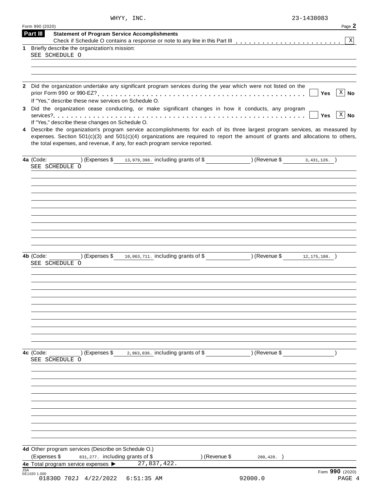| WHYY, INC.                                                                                                                                                                                                                                                                                                                                        |               | 23-1438083                             |
|---------------------------------------------------------------------------------------------------------------------------------------------------------------------------------------------------------------------------------------------------------------------------------------------------------------------------------------------------|---------------|----------------------------------------|
| Form 990 (2020)                                                                                                                                                                                                                                                                                                                                   |               | Page 2                                 |
| Part III<br><b>Statement of Program Service Accomplishments</b>                                                                                                                                                                                                                                                                                   |               |                                        |
|                                                                                                                                                                                                                                                                                                                                                   |               | $\mathbf{x}$                           |
| 1 Briefly describe the organization's mission:                                                                                                                                                                                                                                                                                                    |               |                                        |
| SEE SCHEDULE O                                                                                                                                                                                                                                                                                                                                    |               |                                        |
|                                                                                                                                                                                                                                                                                                                                                   |               |                                        |
|                                                                                                                                                                                                                                                                                                                                                   |               |                                        |
| 2 Did the organization undertake any significant program services during the year which were not listed on the                                                                                                                                                                                                                                    |               |                                        |
|                                                                                                                                                                                                                                                                                                                                                   |               | $\lceil x \rceil$ No<br>Yes            |
| If "Yes," describe these new services on Schedule O.                                                                                                                                                                                                                                                                                              |               |                                        |
| 3 Did the organization cease conducting, or make significant changes in how it conducts, any program                                                                                                                                                                                                                                              |               |                                        |
|                                                                                                                                                                                                                                                                                                                                                   |               | $\left\lceil x \right\rceil$ No<br>Yes |
| If "Yes," describe these changes on Schedule O.                                                                                                                                                                                                                                                                                                   |               |                                        |
| 4 Describe the organization's program service accomplishments for each of its three largest program services, as measured by<br>expenses. Section $501(c)(3)$ and $501(c)(4)$ organizations are required to report the amount of grants and allocations to others,<br>the total expenses, and revenue, if any, for each program service reported. |               |                                        |
| (Expenses $\frac{13,979,398}{13,979,398}$ . including grants of \$ ) (Revenue \$ 3,431,126.)<br>4a (Code:                                                                                                                                                                                                                                         |               |                                        |
| SEE SCHEDULE O                                                                                                                                                                                                                                                                                                                                    |               |                                        |
|                                                                                                                                                                                                                                                                                                                                                   |               |                                        |
|                                                                                                                                                                                                                                                                                                                                                   |               |                                        |
|                                                                                                                                                                                                                                                                                                                                                   |               |                                        |
|                                                                                                                                                                                                                                                                                                                                                   |               |                                        |
|                                                                                                                                                                                                                                                                                                                                                   |               |                                        |
|                                                                                                                                                                                                                                                                                                                                                   |               |                                        |
|                                                                                                                                                                                                                                                                                                                                                   |               |                                        |
|                                                                                                                                                                                                                                                                                                                                                   |               |                                        |
|                                                                                                                                                                                                                                                                                                                                                   |               |                                        |
|                                                                                                                                                                                                                                                                                                                                                   |               |                                        |
| (Expenses \$ 10,063,711. including grants of \$ ) (Revenue \$ 12,175,188.)<br>4b (Code:                                                                                                                                                                                                                                                           |               |                                        |
| SEE SCHEDULE O                                                                                                                                                                                                                                                                                                                                    |               |                                        |
|                                                                                                                                                                                                                                                                                                                                                   |               |                                        |
|                                                                                                                                                                                                                                                                                                                                                   |               |                                        |
|                                                                                                                                                                                                                                                                                                                                                   |               |                                        |
|                                                                                                                                                                                                                                                                                                                                                   |               |                                        |
|                                                                                                                                                                                                                                                                                                                                                   |               |                                        |
|                                                                                                                                                                                                                                                                                                                                                   |               |                                        |
|                                                                                                                                                                                                                                                                                                                                                   |               |                                        |
|                                                                                                                                                                                                                                                                                                                                                   |               |                                        |
|                                                                                                                                                                                                                                                                                                                                                   |               |                                        |
|                                                                                                                                                                                                                                                                                                                                                   |               |                                        |
|                                                                                                                                                                                                                                                                                                                                                   |               |                                        |
| ) (Expenses \$<br>2,963,036. including grants of \$<br>4c (Code:                                                                                                                                                                                                                                                                                  | ) (Revenue \$ |                                        |
| SEE SCHEDULE O                                                                                                                                                                                                                                                                                                                                    |               |                                        |
|                                                                                                                                                                                                                                                                                                                                                   |               |                                        |
|                                                                                                                                                                                                                                                                                                                                                   |               |                                        |
|                                                                                                                                                                                                                                                                                                                                                   |               |                                        |
|                                                                                                                                                                                                                                                                                                                                                   |               |                                        |
|                                                                                                                                                                                                                                                                                                                                                   |               |                                        |
|                                                                                                                                                                                                                                                                                                                                                   |               |                                        |
|                                                                                                                                                                                                                                                                                                                                                   |               |                                        |
|                                                                                                                                                                                                                                                                                                                                                   |               |                                        |
|                                                                                                                                                                                                                                                                                                                                                   |               |                                        |
|                                                                                                                                                                                                                                                                                                                                                   |               |                                        |
| 4d Other program services (Describe on Schedule O.)                                                                                                                                                                                                                                                                                               |               |                                        |
| (Expenses \$<br>) (Revenue \$<br>831, 277. including grants of \$                                                                                                                                                                                                                                                                                 | 280,420.      |                                        |
| 27,837,422.<br>4e Total program service expenses >                                                                                                                                                                                                                                                                                                |               |                                        |
| <b>JSA</b>                                                                                                                                                                                                                                                                                                                                        |               | Form 990 (2020)                        |
| 0E1020 1.000<br>01830D 702J 4/22/2022<br>$6:51:35$ AM                                                                                                                                                                                                                                                                                             | 92000.0       | PAGE 4                                 |
|                                                                                                                                                                                                                                                                                                                                                   |               |                                        |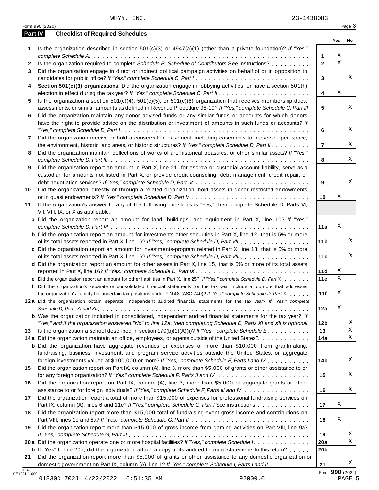|              | <b>Checklist of Required Schedules</b><br><b>Part IV</b>                                                                                                                                                         |                 |             |    |
|--------------|------------------------------------------------------------------------------------------------------------------------------------------------------------------------------------------------------------------|-----------------|-------------|----|
|              |                                                                                                                                                                                                                  |                 | Yes         | No |
| 1            | Is the organization described in section $501(c)(3)$ or $4947(a)(1)$ (other than a private foundation)? If "Yes,"                                                                                                |                 |             |    |
|              |                                                                                                                                                                                                                  | $\mathbf{1}$    | Χ           |    |
| $\mathbf{2}$ | Is the organization required to complete Schedule B, Schedule of Contributors See instructions?                                                                                                                  | $\mathbf{2}$    | $\mathbf X$ |    |
| 3            | Did the organization engage in direct or indirect political campaign activities on behalf of or in opposition to                                                                                                 |                 |             |    |
|              | candidates for public office? If "Yes," complete Schedule C, Part I.                                                                                                                                             | 3               |             |    |
| 4            | Section 501(c)(3) organizations. Did the organization engage in lobbying activities, or have a section 501(h)                                                                                                    |                 |             |    |
|              |                                                                                                                                                                                                                  | 4               | Χ           |    |
| 5            | Is the organization a section $501(c)(4)$ , $501(c)(5)$ , or $501(c)(6)$ organization that receives membership dues,                                                                                             |                 |             |    |
|              | assessments, or similar amounts as defined in Revenue Procedure 98-19? If "Yes," complete Schedule C, Part III                                                                                                   | 5               |             |    |
| 6            | Did the organization maintain any donor advised funds or any similar funds or accounts for which donors                                                                                                          |                 |             |    |
|              | have the right to provide advice on the distribution or investment of amounts in such funds or accounts? If                                                                                                      |                 |             |    |
|              |                                                                                                                                                                                                                  | 6               |             |    |
| 7            | Did the organization receive or hold a conservation easement, including easements to preserve open space,                                                                                                        |                 |             |    |
|              | the environment, historic land areas, or historic structures? If "Yes," complete Schedule D, Part II.                                                                                                            | $\overline{7}$  |             |    |
| 8            | Did the organization maintain collections of works of art, historical treasures, or other similar assets? If "Yes,"                                                                                              |                 |             |    |
|              |                                                                                                                                                                                                                  | 8               |             |    |
| 9            | Did the organization report an amount in Part X, line 21, for escrow or custodial account liability, serve as a                                                                                                  |                 |             |    |
|              | custodian for amounts not listed in Part X; or provide credit counseling, debt management, credit repair, or                                                                                                     |                 |             |    |
|              |                                                                                                                                                                                                                  | 9               |             |    |
| 10           | Did the organization, directly or through a related organization, hold assets in donor-restricted endowments                                                                                                     |                 | Χ           |    |
|              |                                                                                                                                                                                                                  | 10              |             |    |
| 11           | If the organization's answer to any of the following questions is "Yes," then complete Schedule D, Parts VI,                                                                                                     |                 |             |    |
|              | VII, VIII, IX, or X as applicable.                                                                                                                                                                               |                 |             |    |
|              | a Did the organization report an amount for land, buildings, and equipment in Part X, line 10? If "Yes,"                                                                                                         |                 | Χ           |    |
|              |                                                                                                                                                                                                                  | 11a             |             |    |
|              | <b>b</b> Did the organization report an amount for investments-other securities in Part X, line 12, that is 5% or more                                                                                           |                 |             |    |
|              | of its total assets reported in Part X, line 16? If "Yes," complete Schedule D, Part VII                                                                                                                         | 11 <sub>b</sub> |             |    |
|              | c Did the organization report an amount for investments-program related in Part X, line 13, that is 5% or more<br>of its total assets reported in Part X, line 16? If "Yes," complete Schedule D, Part VIII      | 11c             |             |    |
|              | d Did the organization report an amount for other assets in Part X, line 15, that is 5% or more of its total assets                                                                                              |                 |             |    |
|              |                                                                                                                                                                                                                  | 11d             | Χ           |    |
|              | e Did the organization report an amount for other liabilities in Part X, line 25? If "Yes," complete Schedule D, Part X                                                                                          | 11e             | $\mathbf X$ |    |
|              | Did the organization's separate or consolidated financial statements for the tax year include a footnote that addresses                                                                                          |                 |             |    |
|              | the organization's liability for uncertain tax positions under FIN 48 (ASC 740)? If "Yes," complete Schedule D, Part X                                                                                           | 11f             | Χ           |    |
|              | 12a Did the organization obtain separate, independent audited financial statements for the tax year? If "Yes," complete                                                                                          |                 |             |    |
|              |                                                                                                                                                                                                                  | 12a             | Χ           |    |
|              | <b>b</b> Was the organization included in consolidated, independent audited financial statements for the tax year? If                                                                                            |                 |             |    |
|              | "Yes," and if the organization answered "No" to line 12a, then completing Schedule D, Parts XI and XII is optional                                                                                               | 12 <sub>b</sub> |             |    |
| 13           | Is the organization a school described in section $170(b)(1)(A)(ii)$ ? If "Yes," complete Schedule E                                                                                                             | 13              |             |    |
|              | 14a Did the organization maintain an office, employees, or agents outside of the United States?.                                                                                                                 | 14a             |             |    |
|              | <b>b</b> Did the organization have aggregate revenues or expenses of more than \$10,000 from grantmaking,                                                                                                        |                 |             |    |
|              | fundraising, business, investment, and program service activities outside the United States, or aggregate                                                                                                        |                 |             |    |
|              | foreign investments valued at \$100,000 or more? If "Yes," complete Schedule F, Parts I and IV                                                                                                                   | 14b             |             |    |
| 15           | Did the organization report on Part IX, column (A), line 3, more than \$5,000 of grants or other assistance to or                                                                                                |                 |             |    |
|              |                                                                                                                                                                                                                  | 15              |             |    |
| 16           | Did the organization report on Part IX, column (A), line 3, more than \$5,000 of aggregate grants or other                                                                                                       |                 |             |    |
|              | assistance to or for foreign individuals? If "Yes," complete Schedule F, Parts III and IV                                                                                                                        | 16              |             |    |
| 17           | Did the organization report a total of more than \$15,000 of expenses for professional fundraising services on                                                                                                   |                 |             |    |
|              | Part IX, column (A), lines 6 and 11e? If "Yes," complete Schedule G, Part I See instructions                                                                                                                     | 17              | Χ           |    |
| 18           | Did the organization report more than \$15,000 total of fundraising event gross income and contributions on                                                                                                      |                 |             |    |
|              |                                                                                                                                                                                                                  | 18              | Χ           |    |
| 19           | Did the organization report more than \$15,000 of gross income from gaming activities on Part VIII, line 9a?                                                                                                     |                 |             |    |
|              |                                                                                                                                                                                                                  | 19              |             |    |
|              | 20a Did the organization operate one or more hospital facilities? If "Yes," complete Schedule H                                                                                                                  | 20a             |             |    |
|              | <b>b</b> If "Yes" to line 20a, did the organization attach a copy of its audited financial statements to this return?                                                                                            | 20 <sub>b</sub> |             |    |
|              |                                                                                                                                                                                                                  |                 |             |    |
| 21           | Did the organization report more than \$5,000 of grants or other assistance to any domestic organization or<br>domestic government on Part IX, column (A), line 1? If "Yes," complete Schedule I, Parts I and II | 21              |             |    |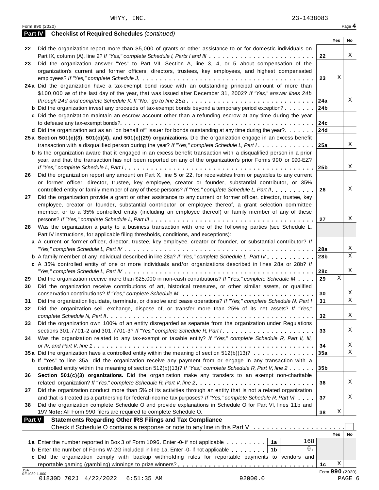| Form 990 (2020) | Page 4 |
|-----------------|--------|
|-----------------|--------|

|               | <b>Part IV</b> Checklist of Required Schedules (continued)                                                                    |                 |                 |             |
|---------------|-------------------------------------------------------------------------------------------------------------------------------|-----------------|-----------------|-------------|
| 22            | Did the organization report more than \$5,000 of grants or other assistance to or for domestic individuals on                 |                 | Yes             | No          |
|               | Part IX, column (A), line 2? If "Yes," complete Schedule I, Parts I and III                                                   | 22              |                 | X           |
| 23            | Did the organization answer "Yes" to Part VII, Section A, line 3, 4, or 5 about compensation of the                           |                 |                 |             |
|               | organization's current and former officers, directors, trustees, key employees, and highest compensated                       |                 |                 |             |
|               |                                                                                                                               | 23              | Χ               |             |
|               | 24a Did the organization have a tax-exempt bond issue with an outstanding principal amount of more than                       |                 |                 |             |
|               | \$100,000 as of the last day of the year, that was issued after December 31, 2002? If "Yes," answer lines 24b                 |                 |                 |             |
|               | through 24d and complete Schedule K. If "No," go to line 25a                                                                  | 24a             |                 | X           |
|               | <b>b</b> Did the organization invest any proceeds of tax-exempt bonds beyond a temporary period exception?                    | 24 <sub>b</sub> |                 |             |
|               | c Did the organization maintain an escrow account other than a refunding escrow at any time during the year                   |                 |                 |             |
|               |                                                                                                                               | 24c             |                 |             |
|               | <b>d</b> Did the organization act as an "on behalf of" issuer for bonds outstanding at any time during the year?              | 24d             |                 |             |
|               | 25a Section 501(c)(3), 501(c)(4), and 501(c)(29) organizations. Did the organization engage in an excess benefit              |                 |                 |             |
|               | transaction with a disqualified person during the year? If "Yes," complete Schedule L, Part I.                                | 25a             |                 | X           |
|               | <b>b</b> Is the organization aware that it engaged in an excess benefit transaction with a disqualified person in a prior     |                 |                 |             |
|               | year, and that the transaction has not been reported on any of the organization's prior Forms 990 or 990-EZ?                  |                 |                 |             |
|               |                                                                                                                               | 25 <sub>b</sub> |                 | X           |
|               | Did the organization report any amount on Part X, line 5 or 22, for receivables from or payables to any current               |                 |                 |             |
| 26            | or former officer, director, trustee, key employee, creator or founder, substantial contributor, or 35%                       |                 |                 |             |
|               |                                                                                                                               |                 |                 | X           |
|               | controlled entity or family member of any of these persons? If "Yes," complete Schedule L, Part II.                           | 26              |                 |             |
| 27            | Did the organization provide a grant or other assistance to any current or former officer, director, trustee, key             |                 |                 |             |
|               | employee, creator or founder, substantial contributor or employee thereof, a grant selection committee                        |                 |                 |             |
|               | member, or to a 35% controlled entity (including an employee thereof) or family member of any of these                        |                 |                 |             |
|               |                                                                                                                               | 27              |                 | X           |
| 28            | Was the organization a party to a business transaction with one of the following parties (see Schedule L,                     |                 |                 |             |
|               | Part IV instructions, for applicable filing thresholds, conditions, and exceptions):                                          |                 |                 |             |
|               | a A current or former officer, director, trustee, key employee, creator or founder, or substantial contributor? If            |                 |                 |             |
|               |                                                                                                                               | 28a             |                 | X<br>X      |
|               | <b>b</b> A family member of any individual described in line 28a? If "Yes," complete Schedule L, Part IV.                     | 28 <sub>b</sub> |                 |             |
|               | c A 35% controlled entity of one or more individuals and/or organizations described in lines 28a or 28b? If                   |                 |                 |             |
|               |                                                                                                                               | 28c             |                 | X           |
| 29            | Did the organization receive more than \$25,000 in non-cash contributions? If "Yes," complete Schedule M                      | 29              | Χ               |             |
| 30            | Did the organization receive contributions of art, historical treasures, or other similar assets, or qualified                |                 |                 |             |
|               |                                                                                                                               | 30              |                 | X           |
| 31            | Did the organization liquidate, terminate, or dissolve and cease operations? If "Yes," complete Schedule N, Part I            | 31              |                 | X           |
| 32            | Did the organization sell, exchange, dispose of, or transfer more than 25% of its net assets? If "Yes,"                       |                 |                 |             |
|               |                                                                                                                               | 32              |                 | Χ           |
| 33            | Did the organization own 100% of an entity disregarded as separate from the organization under Regulations                    |                 |                 |             |
|               | sections 301.7701-2 and 301.7701-3? If "Yes," complete Schedule R, Part $l_1, \ldots, \ldots, \ldots, \ldots, \ldots, \ldots$ | 33              |                 | Χ           |
| 34            | Was the organization related to any tax-exempt or taxable entity? If "Yes," complete Schedule R, Part II, III,                |                 |                 |             |
|               |                                                                                                                               | 34              |                 | X           |
|               | 35a Did the organization have a controlled entity within the meaning of section 512(b)(13)?                                   | 35a             |                 | $\mathbf X$ |
|               | <b>b</b> If "Yes" to line 35a, did the organization receive any payment from or engage in any transaction with a              |                 |                 |             |
|               | controlled entity within the meaning of section 512(b)(13)? If "Yes," complete Schedule R, Part V, line 2                     | 35 <sub>b</sub> |                 |             |
| 36            | Section 501(c)(3) organizations. Did the organization make any transfers to an exempt non-charitable                          |                 |                 |             |
|               | related organization? If "Yes," complete Schedule R, Part V, line 2.                                                          | 36              |                 | X           |
| 37            | Did the organization conduct more than 5% of its activities through an entity that is not a related organization              |                 |                 |             |
|               | and that is treated as a partnership for federal income tax purposes? If "Yes," complete Schedule R, Part VI                  | 37              |                 | X           |
| 38            | Did the organization complete Schedule O and provide explanations in Schedule O for Part VI, lines 11b and                    |                 |                 |             |
|               | 19? Note: All Form 990 filers are required to complete Schedule O.                                                            | 38              | Χ               |             |
| <b>Part V</b> | <b>Statements Regarding Other IRS Filings and Tax Compliance</b>                                                              |                 |                 |             |
|               | Check if Schedule O contains a response or note to any line in this Part V                                                    |                 |                 |             |
|               |                                                                                                                               |                 | Yes             | No          |
|               | 168<br>1a                                                                                                                     |                 |                 |             |
|               | 0.<br><b>b</b> Enter the number of Forms W-2G included in line 1a. Enter -0- if not applicable $\ldots$ ,,,,,<br>1b           |                 |                 |             |
|               | c Did the organization comply with backup withholding rules for reportable payments to vendors and                            |                 |                 |             |
|               |                                                                                                                               | 1c              | Χ               |             |
| <b>JSA</b>    | 0E1030 1.000                                                                                                                  |                 | Form 990 (2020) |             |
|               |                                                                                                                               |                 |                 |             |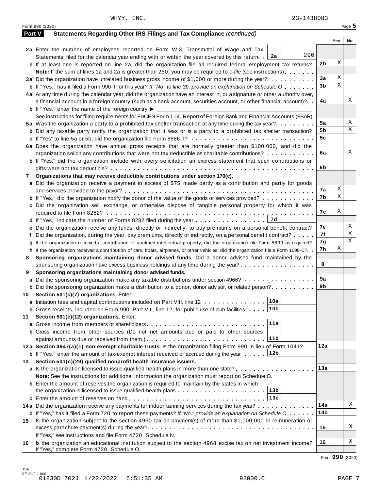WHYY, INC. 23-1438083

|               | Form 990 (2020)                                                                                                                              |                |             | Page 5 |
|---------------|----------------------------------------------------------------------------------------------------------------------------------------------|----------------|-------------|--------|
| <b>Part V</b> | Statements Regarding Other IRS Filings and Tax Compliance (continued)                                                                        |                |             |        |
|               |                                                                                                                                              |                | Yes         | No     |
|               | 2a Enter the number of employees reported on Form W-3, Transmittal of Wage and Tax                                                           |                |             |        |
|               | 296<br>2a<br>Statements, filed for the calendar year ending with or within the year covered by this return.                                  |                |             |        |
|               | <b>b</b> If at least one is reported on line 2a, did the organization file all required federal employment tax returns?                      | 2b             | Χ           |        |
|               | <b>Note:</b> If the sum of lines 1a and 2a is greater than 250, you may be required to e-file (see instructions).                            |                |             |        |
|               |                                                                                                                                              | 3a             | Χ           |        |
|               | <b>b</b> If "Yes," has it filed a Form 990-T for this year? If "No" to line 3b, provide an explanation on Schedule O                         | 3 <sub>b</sub> | $\mathbf X$ |        |
|               | 4a At any time during the calendar year, did the organization have an interest in, or a signature or other authority over,                   |                |             |        |
|               | a financial account in a foreign country (such as a bank account, securities account, or other financial account)?                           | 4a             |             | Χ      |
|               | <b>b</b> If "Yes," enter the name of the foreign country $\blacktriangleright$ $\equiv$                                                      |                |             |        |
|               | See instructions for filing requirements for FinCEN Form 114, Report of Foreign Bank and Financial Accounts (FBAR).                          |                |             |        |
|               | 5a Was the organization a party to a prohibited tax shelter transaction at any time during the tax year?                                     | 5a             |             | Χ      |
|               | <b>b</b> Did any taxable party notify the organization that it was or is a party to a prohibited tax shelter transaction?                    | 5b             |             | X      |
|               | c If "Yes" to line 5a or 5b, did the organization file Form 8886-T? $\ldots \ldots \ldots \ldots \ldots \ldots \ldots$                       | 5c             |             |        |
|               | 6a Does the organization have annual gross receipts that are normally greater than \$100,000, and did the                                    |                |             |        |
|               | organization solicit any contributions that were not tax deductible as charitable contributions?                                             | 6a             |             | Χ      |
|               | <b>b</b> If "Yes," did the organization include with every solicitation an express statement that such contributions or                      |                |             |        |
|               |                                                                                                                                              | 6b             |             |        |
| 7             | Organizations that may receive deductible contributions under section 170(c).                                                                |                |             |        |
|               | a Did the organization receive a payment in excess of \$75 made partly as a contribution and partly for goods                                |                |             |        |
|               |                                                                                                                                              | 7a             | Χ           |        |
|               | <b>b</b> If "Yes," did the organization notify the donor of the value of the goods or services provided? $\ldots \ldots \ldots$              | 7b             | X           |        |
|               | c Did the organization sell, exchange, or otherwise dispose of tangible personal property for which it was                                   |                |             |        |
|               |                                                                                                                                              | 7c             | Χ           |        |
|               | 7d<br>d If "Yes," indicate the number of Forms 8282 filed during the year                                                                    |                |             |        |
|               | e Did the organization receive any funds, directly or indirectly, to pay premiums on a personal benefit contract?                            | 7e             |             | Χ      |
|               | f Did the organization, during the year, pay premiums, directly or indirectly, on a personal benefit contract?                               | 7f             |             | X      |
|               | g If the organization received a contribution of qualified intellectual property, did the organization file Form 8899 as required?           | 7g             |             | X      |
|               | h If the organization received a contribution of cars, boats, airplanes, or other vehicles, did the organization file a Form 1098-C?         | 7h             | Χ           |        |
| 8             | Sponsoring organizations maintaining donor advised funds. Did a donor advised fund maintained by the                                         |                |             |        |
|               | sponsoring organization have excess business holdings at any time during the year?                                                           | 8              |             |        |
| 9             | Sponsoring organizations maintaining donor advised funds.                                                                                    |                |             |        |
|               | a Did the sponsoring organization make any taxable distributions under section 4966?                                                         | 9а             |             |        |
|               | <b>b</b> Did the sponsoring organization make a distribution to a donor, donor advisor, or related person?                                   | 9b             |             |        |
| 10            | Section 501(c)(7) organizations. Enter:                                                                                                      |                |             |        |
|               | 10a <br>a Initiation fees and capital contributions included on Part VIII, line 12                                                           |                |             |        |
|               | 10b<br><b>b</b> Gross receipts, included on Form 990, Part VIII, line 12, for public use of club facilities                                  |                |             |        |
| 11            | Section 501(c)(12) organizations. Enter:                                                                                                     |                |             |        |
|               | 11a                                                                                                                                          |                |             |        |
|               | <b>b</b> Gross income from other sources (Do not net amounts due or paid to other sources                                                    |                |             |        |
|               | 11 <sub>b</sub>                                                                                                                              |                |             |        |
|               | 12a Section 4947(a)(1) non-exempt charitable trusts. Is the organization filing Form 990 in lieu of Form 1041?                               | 12a            |             |        |
|               | ∣12b<br><b>b</b> If "Yes," enter the amount of tax-exempt interest received or accrued during the year                                       |                |             |        |
| 13            | Section 501(c)(29) qualified nonprofit health insurance issuers.                                                                             |                |             |        |
|               | a Is the organization licensed to issue qualified health plans in more than one state?                                                       | 13а            |             |        |
|               | Note: See the instructions for additional information the organization must report on Schedule O.                                            |                |             |        |
|               | <b>b</b> Enter the amount of reserves the organization is required to maintain by the states in which                                        |                |             |        |
|               | 13 <sub>b</sub>                                                                                                                              |                |             |        |
|               | 13c                                                                                                                                          |                |             |        |
|               | 14a Did the organization receive any payments for indoor tanning services during the tax year?                                               | 14a            |             | Χ      |
|               | <b>b</b> If "Yes," has it filed a Form 720 to report these payments? If "No," provide an explanation on Schedule $0 \cdot \cdot \cdot \cdot$ | 14b            |             |        |
| 15            | Is the organization subject to the section 4960 tax on payment(s) of more than \$1,000,000 in remuneration or                                |                |             |        |
|               |                                                                                                                                              | 15             |             | Χ      |
|               | If "Yes," see instructions and file Form 4720, Schedule N.                                                                                   |                |             |        |
| 16            | Is the organization an educational institution subject to the section 4968 excise tax on net investment income?                              | 16             |             | Χ      |
|               | If "Yes," complete Form 4720, Schedule O.                                                                                                    |                |             |        |

Form **990** (2020)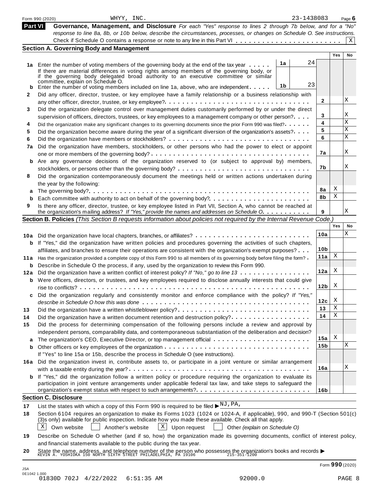|              | 23-1438083<br>WHYY, INC.<br>Form 990 (2020)                                                                                                                                                                      |                 |            | Page $6$     |
|--------------|------------------------------------------------------------------------------------------------------------------------------------------------------------------------------------------------------------------|-----------------|------------|--------------|
| Part VI      | Governance, Management, and Disclosure For each "Yes" response to lines 2 through 7b below, and for a "No"                                                                                                       |                 |            |              |
|              | response to line 8a, 8b, or 10b below, describe the circumstances, processes, or changes on Schedule O. See instructions.                                                                                        |                 |            |              |
|              |                                                                                                                                                                                                                  |                 |            | $\mathbf{x}$ |
|              | <b>Section A. Governing Body and Management</b>                                                                                                                                                                  |                 |            |              |
|              |                                                                                                                                                                                                                  |                 | <b>Yes</b> | No           |
|              | 24<br>1a<br>1a Enter the number of voting members of the governing body at the end of the tax year                                                                                                               |                 |            |              |
|              | If there are material differences in voting rights among members of the governing body, or<br>if the governing body delegated broad authority to an executive committee or similar                               |                 |            |              |
|              | committee, explain on Schedule O.                                                                                                                                                                                |                 |            |              |
|              | 23<br>1b<br>Enter the number of voting members included on line 1a, above, who are independent                                                                                                                   |                 |            |              |
| $\mathbf{2}$ | Did any officer, director, trustee, or key employee have a family relationship or a business relationship with                                                                                                   |                 |            |              |
|              |                                                                                                                                                                                                                  | $\mathbf{2}$    |            | Χ            |
| 3            | Did the organization delegate control over management duties customarily performed by or under the direct                                                                                                        |                 |            |              |
|              | supervision of officers, directors, trustees, or key employees to a management company or other person?                                                                                                          | 3               |            | Χ            |
| 4            | Did the organization make any significant changes to its governing documents since the prior Form 990 was filed?                                                                                                 | 4               |            | $\mathbf X$  |
| 5            | Did the organization become aware during the year of a significant diversion of the organization's assets?                                                                                                       | 5               |            | X            |
| 6            |                                                                                                                                                                                                                  | 6               |            | X            |
| 7a           | Did the organization have members, stockholders, or other persons who had the power to elect or appoint                                                                                                          |                 |            |              |
|              |                                                                                                                                                                                                                  | 7a              |            | Χ            |
| b            | Are any governance decisions of the organization reserved to (or subject to approval by) members,                                                                                                                |                 |            |              |
|              |                                                                                                                                                                                                                  | 7b              |            | Χ            |
| 8            | Did the organization contemporaneously document the meetings held or written actions undertaken during                                                                                                           |                 |            |              |
|              | the year by the following:                                                                                                                                                                                       |                 | Χ          |              |
| a            |                                                                                                                                                                                                                  | 8a              | Χ          |              |
| b            |                                                                                                                                                                                                                  | 8b              |            |              |
| 9            | Is there any officer, director, trustee, or key employee listed in Part VII, Section A, who cannot be reached at<br>the organization's mailing address? If "Yes," provide the names and addresses on Schedule O. | 9               |            | Χ            |
|              | Section B. Policies (This Section B requests information about policies not required by the Internal Revenue Code.)                                                                                              |                 |            |              |
|              |                                                                                                                                                                                                                  |                 | <b>Yes</b> | No           |
|              |                                                                                                                                                                                                                  | 10a             |            | Χ            |
|              |                                                                                                                                                                                                                  |                 |            |              |
|              | <b>b</b> If "Yes," did the organization have written policies and procedures governing the activities of such chapters,                                                                                          | 10 <sub>b</sub> |            |              |
|              | affiliates, and branches to ensure their operations are consistent with the organization's exempt purposes?                                                                                                      | 11a             | Χ          |              |
|              | 11a Has the organization provided a complete copy of this Form 990 to all members of its governing body before filing the form?                                                                                  |                 |            |              |
| b            | Describe in Schedule O the process, if any, used by the organization to review this Form 990.<br>12a Did the organization have a written conflict of interest policy? If "No," go to line 13                     | 12a             | Χ          |              |
| b            | Were officers, directors, or trustees, and key employees required to disclose annually interests that could give                                                                                                 |                 |            |              |
|              |                                                                                                                                                                                                                  | 12 <sub>b</sub> | X          |              |
|              | Did the organization regularly and consistently monitor and enforce compliance with the policy? If "Yes,"                                                                                                        |                 |            |              |
|              |                                                                                                                                                                                                                  | 12с             | Χ          |              |
| 13           | Did the organization have a written whistleblower policy?                                                                                                                                                        | 13              | Χ          |              |
| 14           | Did the organization have a written document retention and destruction policy?                                                                                                                                   | 14              | Χ          |              |
| 15           | Did the process for determining compensation of the following persons include a review and approval by                                                                                                           |                 |            |              |
|              | independent persons, comparability data, and contemporaneous substantiation of the deliberation and decision?                                                                                                    |                 |            |              |
| а            | The organization's CEO, Executive Director, or top management official                                                                                                                                           | 15a             | Χ          |              |
| b            |                                                                                                                                                                                                                  | 15b             |            | Χ            |
|              | If "Yes" to line 15a or 15b, describe the process in Schedule O (see instructions).                                                                                                                              |                 |            |              |
|              | 16a Did the organization invest in, contribute assets to, or participate in a joint venture or similar arrangement                                                                                               |                 |            |              |
|              |                                                                                                                                                                                                                  | 16a             |            | Χ            |
|              | <b>b</b> If "Yes," did the organization follow a written policy or procedure requiring the organization to evaluate its                                                                                          |                 |            |              |
|              | participation in joint venture arrangements under applicable federal tax law, and take steps to safeguard the                                                                                                    |                 |            |              |
|              |                                                                                                                                                                                                                  | 16 <sub>b</sub> |            |              |
|              | <b>Section C. Disclosure</b>                                                                                                                                                                                     |                 |            |              |
| 17           | List the states with which a copy of this Form 990 is required to be filed $\blacktriangleright^{\text{MJ}}$ , PA,                                                                                               |                 |            |              |
| 18           | Section 6104 requires an organization to make its Forms 1023 (1024 or 1024-A, if applicable), 990, and 990-T (Section 501(c)                                                                                     |                 |            |              |
|              | (3)s only) available for public inspection. Indicate how you made these available. Check all that apply.                                                                                                         |                 |            |              |
|              | Χ<br>$X$ Upon request<br>Own website<br>Another's website<br>Other (explain on Schedule O)                                                                                                                       |                 |            |              |
| 19           | Describe on Schedule O whether (and if so, how) the organization made its governing documents, conflict of interest policy,                                                                                      |                 |            |              |
|              | and financial statements available to the public during the tax year.                                                                                                                                            |                 |            |              |
| 20           | State the name, address, and telephone number of the person who possesses the organization's books and records<br>KEVIN A. YOSHIOKA 150 NORTH SIXTH STREET PHILADELPHIA, PA 19106 215-351-1200                   |                 |            |              |
|              |                                                                                                                                                                                                                  |                 |            |              |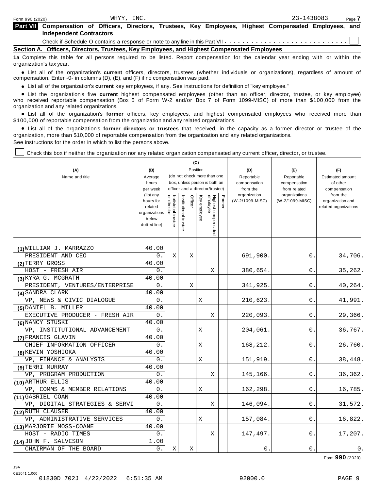**Compensation of Officers, Directors, Trustees, Key Employees, Highest Compensated Employees, and Part VII Independent Contractors**

Check if Schedule O contains a response or note to any line in this Part VII  $\dots \dots \dots \dots \dots \dots \dots \dots \dots \dots$ 

**Section A. Officers, Directors, Trustees, Key Employees, and Highest Compensated Employees**

**1a** Complete this table for all persons required to be listed. Report compensation for the calendar year ending with or within the organization's tax year.

anization's lax year.<br>● List all of the organization's **current** officers, directors, trustees (whether individuals or organizations), regardless of amount of<br>nnensation Enter -0- in columns (D) (E) and (E) if no compensa compensation. Enter -0- in columns (D), (E), and (F) if no compensation was paid.

• List all of the organization's current key employees, if any. See instructions for definition of "key employee."

■ List all of the organization's current key employees, if any. See instructions for definition of "key employee."<br>■ List the organization's five current highest compensated employees (other than an officer, director, tru who received reportable compensation (Box 5 of Form W-2 and/or Box 7 of Form 1099-MISC) of more than \$100,000 from the organization and any related organizations. %

List all of the organization's **former** officers, key employees, and highest compensated employees who received more than \$100,000 of reportable compensation from the organization and any related organizations.

% List all of the organization's **former directors or trustees** that received, in the capacity as a former director or trustee of the organization, more than \$10,000 of reportable compensation from the organization and any related organizations. See instructions for the order in which to list the persons above.

Check this box if neither the organization nor any related organization compensated any current officer, director, or trustee.

|                                |                          |                                   |                       |         | (C)          |                                                              |        |                          |                              |                          |
|--------------------------------|--------------------------|-----------------------------------|-----------------------|---------|--------------|--------------------------------------------------------------|--------|--------------------------|------------------------------|--------------------------|
| (A)                            | (B)                      |                                   |                       |         | Position     |                                                              |        | (D)                      | (E)                          | (F)                      |
| Name and title                 | Average                  |                                   |                       |         |              | (do not check more than one<br>box, unless person is both an |        | Reportable               | Reportable                   | <b>Estimated amount</b>  |
|                                | hours<br>per week        |                                   |                       |         |              | officer and a director/trustee)                              |        | compensation<br>from the | compensation<br>from related | of other<br>compensation |
|                                | (list any                |                                   |                       |         |              |                                                              |        | organization             | organizations                | from the                 |
|                                | hours for                |                                   |                       | Officer |              |                                                              | Former | (W-2/1099-MISC)          | (W-2/1099-MISC)              | organization and         |
|                                | related<br>organizations | Individual trustee<br>or director | Institutional trustee |         | Key employee |                                                              |        |                          |                              | related organizations    |
|                                | below                    |                                   |                       |         |              |                                                              |        |                          |                              |                          |
|                                | dotted line)             |                                   |                       |         |              |                                                              |        |                          |                              |                          |
|                                |                          |                                   |                       |         |              | Highest compensated<br>employee                              |        |                          |                              |                          |
| (1) WILLIAM J. MARRAZZO        | 40.00                    |                                   |                       |         |              |                                                              |        |                          |                              |                          |
| PRESIDENT AND CEO              | 0.                       | X                                 |                       | X       |              |                                                              |        | 691,900.                 | 0.                           | 34,706.                  |
| (2) TERRY GROSS                | 40.00                    |                                   |                       |         |              |                                                              |        |                          |                              |                          |
| HOST - FRESH AIR               | 0.                       |                                   |                       |         |              | X                                                            |        | 380,654.                 | 0.                           | 35,262.                  |
| (3) KYRA G. MCGRATH            | 40.00                    |                                   |                       |         |              |                                                              |        |                          |                              |                          |
| PRESIDENT, VENTURES/ENTERPRISE | О.                       |                                   |                       | X       |              |                                                              |        | 341,925.                 | 0.                           | 40,264.                  |
| (4) SANDRA CLARK               | 40.00                    |                                   |                       |         |              |                                                              |        |                          |                              |                          |
| VP, NEWS & CIVIC DIALOGUE      | 0.                       |                                   |                       |         | Χ            |                                                              |        | 210,623.                 | 0.                           | 41,991.                  |
| (5) DANIEL B. MILLER           | 40.00                    |                                   |                       |         |              |                                                              |        |                          |                              |                          |
| EXECUTIVE PRODUCER - FRESH AIR | 0.                       |                                   |                       |         |              | Χ                                                            |        | 220,093.                 | 0.                           | 29,366.                  |
| (6) NANCY STUSKI               | 40.00                    |                                   |                       |         |              |                                                              |        |                          |                              |                          |
| VP, INSTITUTIONAL ADVANCEMENT  | 0.                       |                                   |                       |         | X            |                                                              |        | 204,061.                 | 0.                           | 36,767.                  |
| (7) FRANCIS GLAVIN             | 40.00                    |                                   |                       |         |              |                                                              |        |                          |                              |                          |
| CHIEF INFORMATION OFFICER      | 0.                       |                                   |                       |         | X            |                                                              |        | 168,212.                 | 0.                           | 26,760.                  |
| (8) KEVIN YOSHIOKA             | 40.00                    |                                   |                       |         |              |                                                              |        |                          |                              |                          |
| VP, FINANCE & ANALYSIS         | 0.                       |                                   |                       |         | Χ            |                                                              |        | 151,919.                 | 0.                           | 38,448.                  |
| (9) TERRI MURRAY               | 40.00                    |                                   |                       |         |              |                                                              |        |                          |                              |                          |
| VP, PROGRAM PRODUCTION         | 0.                       |                                   |                       |         |              | Χ                                                            |        | 145,166.                 | 0.                           | 36,362.                  |
| (10) ARTHUR ELLIS              | 40.00                    |                                   |                       |         |              |                                                              |        |                          |                              |                          |
| VP, COMMS & MEMBER RELATIONS   | 0.                       |                                   |                       |         | Χ            |                                                              |        | 162,298.                 | 0.                           | 16,785.                  |
| (11) GABRIEL COAN              | 40.00                    |                                   |                       |         |              |                                                              |        |                          |                              |                          |
| VP, DIGITAL STRATEGIES & SERVI | 0.                       |                                   |                       |         |              | Χ                                                            |        | 146,094.                 | 0.                           | 31,572.                  |
| (12) RUTH CLAUSER              | 40.00                    |                                   |                       |         |              |                                                              |        |                          |                              |                          |
| VP, ADMINISTRATIVE SERVICES    | 0.                       |                                   |                       |         | Χ            |                                                              |        | 157,084.                 | 0.                           | 16,822.                  |
| (13) MARJORIE MOSS-COANE       | 40.00                    |                                   |                       |         |              |                                                              |        |                          |                              |                          |
| HOST - RADIO TIMES             | 0.                       |                                   |                       |         |              | Χ                                                            |        | 147,497.                 | 0.                           | 17,207.                  |
| (14) JOHN F. SALVESON          | 1.00                     |                                   |                       |         |              |                                                              |        |                          |                              |                          |
| CHAIRMAN OF THE BOARD          | 0.                       | Χ                                 |                       | Χ       |              |                                                              |        | $0$ .                    | 0.                           | $0$ .                    |

Form **990** (2020)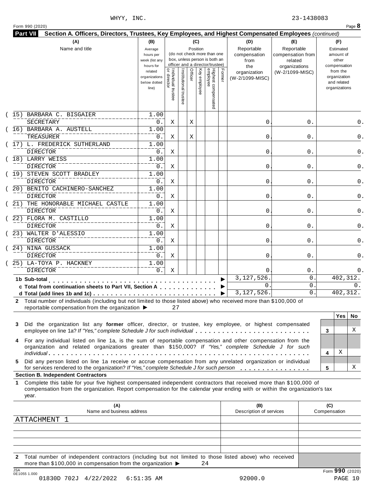|    | <b>Part VII</b><br>Section A. Officers, Directors, Trustees, Key Employees, and Highest Compensated Employees (continued)                                                                                                                                 |                                                                                                                                                                                                        |                                           |                                  |              |                                                                    |        |                                        |                                  |                |                                                                          |
|----|-----------------------------------------------------------------------------------------------------------------------------------------------------------------------------------------------------------------------------------------------------------|--------------------------------------------------------------------------------------------------------------------------------------------------------------------------------------------------------|-------------------------------------------|----------------------------------|--------------|--------------------------------------------------------------------|--------|----------------------------------------|----------------------------------|----------------|--------------------------------------------------------------------------|
|    | (A)                                                                                                                                                                                                                                                       | (B)                                                                                                                                                                                                    |                                           |                                  | (C)          |                                                                    |        | (D)                                    | (E)                              |                | (F)                                                                      |
|    | Name and title                                                                                                                                                                                                                                            | Reportable<br>Reportable<br>Position<br>Average<br>(do not check more than one<br>compensation<br>compensation from<br>hours per<br>box, unless person is both an<br>week (list any<br>from<br>related |                                           |                                  |              |                                                                    |        |                                        |                                  |                | Estimated<br>amount of<br>other                                          |
|    |                                                                                                                                                                                                                                                           | hours for<br>related<br>organizations<br>below dotted<br>line)                                                                                                                                         | <br>  Individual trustee<br>  or director | Institutional trustee<br>Officer | Key employee | officer and a director/trustee)<br>Highest compensated<br>employee | Former | the<br>organization<br>(W-2/1099-MISC) | organizations<br>(W-2/1099-MISC) |                | compensation<br>from the<br>organization<br>and related<br>organizations |
|    | 15) BARBARA C. BISGAIER<br>SECRETARY                                                                                                                                                                                                                      | 1.00<br>0.                                                                                                                                                                                             | Χ                                         |                                  | Χ            |                                                                    |        | 0                                      |                                  | 0.             |                                                                          |
|    | 16) BARBARA A. AUSTELL                                                                                                                                                                                                                                    | 1.00                                                                                                                                                                                                   |                                           |                                  |              |                                                                    |        |                                        |                                  |                |                                                                          |
|    | <b>TREASURER</b>                                                                                                                                                                                                                                          | 0.                                                                                                                                                                                                     | Χ                                         |                                  | Χ            |                                                                    |        | 0                                      |                                  | 0.             |                                                                          |
|    | (17) L. FREDERICK SUTHERLAND                                                                                                                                                                                                                              | 1.00                                                                                                                                                                                                   |                                           |                                  |              |                                                                    |        |                                        |                                  |                |                                                                          |
|    | <b>DIRECTOR</b>                                                                                                                                                                                                                                           | 0.                                                                                                                                                                                                     | Χ                                         |                                  |              |                                                                    |        | 0                                      |                                  | 0.             |                                                                          |
|    | 18) LARRY WEISS                                                                                                                                                                                                                                           | 1.00                                                                                                                                                                                                   |                                           |                                  |              |                                                                    |        |                                        |                                  |                |                                                                          |
|    | DIRECTOR                                                                                                                                                                                                                                                  | 0.                                                                                                                                                                                                     | Χ                                         |                                  |              |                                                                    |        | 0                                      |                                  | 0.             |                                                                          |
|    | (19) STEVEN SCOTT BRADLEY                                                                                                                                                                                                                                 | 1.00                                                                                                                                                                                                   |                                           |                                  |              |                                                                    |        |                                        |                                  |                |                                                                          |
|    | <b>DIRECTOR</b>                                                                                                                                                                                                                                           | 0.                                                                                                                                                                                                     | Χ                                         |                                  |              |                                                                    |        | 0                                      |                                  | 0.             |                                                                          |
|    | 20) BENITO CACHINERO-SANCHEZ                                                                                                                                                                                                                              | 1.00                                                                                                                                                                                                   |                                           |                                  |              |                                                                    |        |                                        |                                  |                |                                                                          |
|    | <b>DIRECTOR</b>                                                                                                                                                                                                                                           | 0.                                                                                                                                                                                                     | Χ                                         |                                  |              |                                                                    |        | 0                                      |                                  | 0.             |                                                                          |
|    | 21) THE HONORABLE MICHAEL CASTLE                                                                                                                                                                                                                          | 1.00                                                                                                                                                                                                   |                                           |                                  |              |                                                                    |        |                                        |                                  |                |                                                                          |
|    | <b>DIRECTOR</b>                                                                                                                                                                                                                                           | 0.                                                                                                                                                                                                     | Χ                                         |                                  |              |                                                                    |        | 0                                      |                                  | 0.             |                                                                          |
|    | 22) FLORA M. CASTILLO                                                                                                                                                                                                                                     | $\overline{1}$ .00                                                                                                                                                                                     |                                           |                                  |              |                                                                    |        |                                        |                                  |                |                                                                          |
|    | DIRECTOR                                                                                                                                                                                                                                                  | 0.                                                                                                                                                                                                     | Χ                                         |                                  |              |                                                                    |        | 0                                      |                                  | 0.             |                                                                          |
|    | 23) WALTER D'ALESSIO                                                                                                                                                                                                                                      | 1.00                                                                                                                                                                                                   |                                           |                                  |              |                                                                    |        |                                        |                                  |                |                                                                          |
|    | DIRECTOR                                                                                                                                                                                                                                                  | 0.                                                                                                                                                                                                     | Χ                                         |                                  |              |                                                                    |        | 0                                      |                                  | 0.             |                                                                          |
|    | 24) NINA GUSSACK                                                                                                                                                                                                                                          | 1.00                                                                                                                                                                                                   |                                           |                                  |              |                                                                    |        |                                        |                                  |                |                                                                          |
|    | <b>DIRECTOR</b>                                                                                                                                                                                                                                           | $0$ .                                                                                                                                                                                                  | Χ                                         |                                  |              |                                                                    |        | 0                                      |                                  | 0.             |                                                                          |
|    | 25) LA-TOYA P. HACKNEY                                                                                                                                                                                                                                    | 1.00                                                                                                                                                                                                   |                                           |                                  |              |                                                                    |        |                                        |                                  |                |                                                                          |
|    | <b>DIRECTOR</b>                                                                                                                                                                                                                                           | $0$ .                                                                                                                                                                                                  | Χ                                         |                                  |              |                                                                    |        | $\Omega$                               |                                  | $0$ .          |                                                                          |
|    | 1b Sub-total<br>.                                                                                                                                                                                                                                         |                                                                                                                                                                                                        |                                           |                                  |              |                                                                    |        | 3, 127, 526.                           |                                  | 0              | 402, 312.                                                                |
|    | c Total from continuation sheets to Part VII, Section A                                                                                                                                                                                                   |                                                                                                                                                                                                        |                                           |                                  |              |                                                                    |        | $\mathbf{0}$ .                         |                                  | 0              |                                                                          |
|    |                                                                                                                                                                                                                                                           |                                                                                                                                                                                                        |                                           |                                  |              |                                                                    |        | 3, 127, 526.                           |                                  | $\mathsf{O}$ . | 402,312.                                                                 |
|    | 2 Total number of individuals (including but not limited to those listed above) who received more than \$100,000 of<br>reportable compensation from the organization $\blacktriangleright$                                                                |                                                                                                                                                                                                        | 27                                        |                                  |              |                                                                    |        |                                        |                                  |                |                                                                          |
|    |                                                                                                                                                                                                                                                           |                                                                                                                                                                                                        |                                           |                                  |              |                                                                    |        |                                        |                                  |                | <b>Yes</b><br>No.                                                        |
| 3  | Did the organization list any former officer, director, or trustee, key employee, or highest compensated<br>employee on line 1a? If "Yes," complete Schedule J for such individual                                                                        |                                                                                                                                                                                                        |                                           |                                  |              |                                                                    |        |                                        |                                  | 3              | X                                                                        |
| 4  | For any individual listed on line 1a, is the sum of reportable compensation and other compensation from the<br>organization and related organizations greater than \$150,000? If "Yes," complete Schedule J for such                                      |                                                                                                                                                                                                        |                                           |                                  |              |                                                                    |        |                                        |                                  | 4              | Χ                                                                        |
| 5. | Did any person listed on line 1a receive or accrue compensation from any unrelated organization or individual<br>for services rendered to the organization? If "Yes," complete Schedule J for such person                                                 |                                                                                                                                                                                                        |                                           |                                  |              |                                                                    |        |                                        |                                  | 5              | х                                                                        |
|    | <b>Section B. Independent Contractors</b>                                                                                                                                                                                                                 |                                                                                                                                                                                                        |                                           |                                  |              |                                                                    |        |                                        |                                  |                |                                                                          |
| 1. | Complete this table for your five highest compensated independent contractors that received more than \$100,000 of<br>compensation from the organization. Report compensation for the calendar year ending with or within the organization's tax<br>year. |                                                                                                                                                                                                        |                                           |                                  |              |                                                                    |        |                                        |                                  |                |                                                                          |
|    |                                                                                                                                                                                                                                                           |                                                                                                                                                                                                        |                                           |                                  |              |                                                                    |        |                                        |                                  |                |                                                                          |
|    | (A)                                                                                                                                                                                                                                                       |                                                                                                                                                                                                        |                                           |                                  |              |                                                                    |        | (B)                                    |                                  | (C)            |                                                                          |
|    | Name and business address                                                                                                                                                                                                                                 |                                                                                                                                                                                                        |                                           |                                  |              |                                                                    |        | Description of services                |                                  | Compensation   |                                                                          |

**2** Total number of independent contractors (including but not limited to those listed above) who received more than \$100,000 in compensation from the organization  $\triangleright$ <br>  $\frac{\text{JSA}}{0.051 \cdot 0.00}$ 24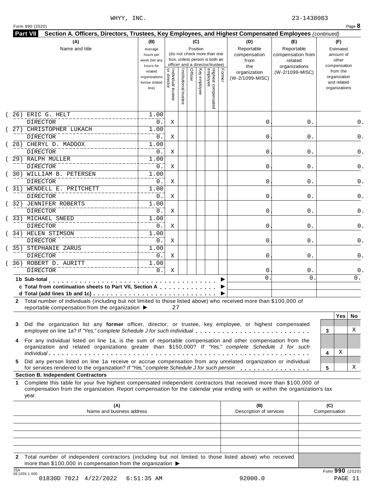| Form 990 (2020)                                                                                                           |                                                                                                          |                              |                    |                     |                 |                                                                                                                                          |        |                                                                              |                                                                                | Page 8                                                                                                      |    |
|---------------------------------------------------------------------------------------------------------------------------|----------------------------------------------------------------------------------------------------------|------------------------------|--------------------|---------------------|-----------------|------------------------------------------------------------------------------------------------------------------------------------------|--------|------------------------------------------------------------------------------|--------------------------------------------------------------------------------|-------------------------------------------------------------------------------------------------------------|----|
| <b>Part VII</b><br>Section A. Officers, Directors, Trustees, Key Employees, and Highest Compensated Employees (continued) |                                                                                                          |                              |                    |                     |                 |                                                                                                                                          |        |                                                                              |                                                                                |                                                                                                             |    |
| (A)                                                                                                                       | (B)                                                                                                      |                              |                    | (C)                 |                 |                                                                                                                                          |        | (D)                                                                          | (E)                                                                            | (F)                                                                                                         |    |
| Name and title                                                                                                            | Average<br>hours per<br>week (list any<br>hours for<br>related<br>organizations<br>below dotted<br>line) | Individual trustee<br>੧<br>읔 | Institutional<br>ಹ | Position<br>Officer | Key<br>employee | (do not check more than one<br>box, unless person is both an<br>officer and a director/trustee)<br>Highest co<br>employee<br>compensated | Former | Reportable<br>compensation<br>from<br>the<br>organization<br>(W-2/1099-MISC) | Reportable<br>compensation from<br>related<br>organizations<br>(W-2/1099-MISC) | Estimated<br>amount of<br>other<br>compensation<br>from the<br>organization<br>and related<br>organizations |    |
| 26)<br>ERIC G. HELT                                                                                                       | 1.00                                                                                                     |                              |                    |                     |                 |                                                                                                                                          |        |                                                                              |                                                                                |                                                                                                             |    |
| <b>DIRECTOR</b>                                                                                                           | $\mathbf 0$ .                                                                                            | Χ                            |                    |                     |                 |                                                                                                                                          |        | 0                                                                            | $0$ .                                                                          |                                                                                                             | 0. |
| $27^\circ$<br>CHRISTOPHER LUKACH                                                                                          | 1.00                                                                                                     |                              |                    |                     |                 |                                                                                                                                          |        |                                                                              |                                                                                |                                                                                                             |    |
| <b>DIRECTOR</b>                                                                                                           | 0.                                                                                                       | Χ                            |                    |                     |                 |                                                                                                                                          |        | 0                                                                            | 0.                                                                             |                                                                                                             | 0. |
| 28)<br>CHERYL D. MADDOX                                                                                                   | 1.00                                                                                                     |                              |                    |                     |                 |                                                                                                                                          |        |                                                                              |                                                                                |                                                                                                             |    |

| <b>DIRECTOR</b>                                                                                                     | $0$ . | X |  | 0        | 0.       | $0$ .            |
|---------------------------------------------------------------------------------------------------------------------|-------|---|--|----------|----------|------------------|
| (29) RALPH MULLER                                                                                                   | 1.00  |   |  |          |          |                  |
| <b>DIRECTOR</b>                                                                                                     | 0.    | X |  | $\Omega$ | 0.       | $0$ .            |
| (30) WILLIAM B. PETERSEN                                                                                            | 1.00  |   |  |          |          |                  |
| <b>DIRECTOR</b>                                                                                                     | 0.    | X |  | 0        | $0$ .    | $0$ .            |
| (31) WENDELL E. PRITCHETT                                                                                           | 1.00  |   |  |          |          |                  |
| DIRECTOR                                                                                                            | 0.    | X |  | 0        | $0$ .    | 0.               |
| (32) JENNIFER ROBERTS                                                                                               | 1.00  |   |  |          |          |                  |
| <b>DIRECTOR</b>                                                                                                     | $0$ . | X |  | 0        | 0.       | $\overline{0}$ . |
| (33) MICHAEL SNEED                                                                                                  | 1.00  |   |  |          |          |                  |
| DIRECTOR                                                                                                            | $0$ . | X |  | 0        | 0.       | $0$ .            |
| (34) HELEN STIMSON                                                                                                  | 1.00  |   |  |          |          |                  |
| <b>DIRECTOR</b>                                                                                                     | 0.    | X |  | 0        | 0.       | 0.               |
| (35) STEPHANIE ZARUS                                                                                                | 1.00  |   |  |          |          |                  |
| <b>DIRECTOR</b>                                                                                                     | $0$ . | X |  | 0        | 0.       | $\overline{0}$ . |
| (36) ROBERT D. AURITT                                                                                               | 1.00  |   |  |          |          |                  |
| DIRECTOR                                                                                                            | 0.    | X |  | 0        | 0.       | $\overline{0}$ . |
| 1b Sub-total                                                                                                        |       |   |  | $\Omega$ | $\Omega$ | $0$ .            |
| c Total from continuation sheets to Part VII, Section A                                                             |       |   |  |          |          |                  |
|                                                                                                                     |       |   |  |          |          |                  |
| 2 Total number of individuals (including but not limited to those listed above) who received more than \$100,000 of |       |   |  |          |          |                  |

<sup>2</sup> of individuals (including but not limited to those listed above) who received more than \$100,000 of reportable compensation from the organization  $\blacktriangleright$ 27

|                                                                                                                                                                                                                        |   | 'es | No           |
|------------------------------------------------------------------------------------------------------------------------------------------------------------------------------------------------------------------------|---|-----|--------------|
| 3 Did the organization list any former officer, director, or trustee, key employee, or highest compensated                                                                                                             |   |     |              |
| employee on line 1a? If "Yes," complete Schedule J for such individual                                                                                                                                                 | 3 |     | $\mathbf{X}$ |
| 4 For any individual listed on line 1a, is the sum of reportable compensation and other compensation from the<br>organization and related organizations greater than \$150,000? If "Yes," complete Schedule J for such |   |     |              |
|                                                                                                                                                                                                                        |   |     |              |
| 5 Did any person listed on line 1a receive or accrue compensation from any unrelated organization or individual                                                                                                        |   |     |              |
| for services rendered to the organization? If "Yes," complete Schedule J for such person                                                                                                                               |   |     | X            |
|                                                                                                                                                                                                                        |   |     |              |

### **Section B. Independent Contractors**

**1** Complete this table for your five highest compensated independent contractors that received more than \$100,000 of compensation from the organization. Report compensation for the calendar year ending with or within the organization's tax year.

|              | (A)<br>Name and business address                                                                                                                                                          | (B)<br>Description of services | (C)<br>Compensation |
|--------------|-------------------------------------------------------------------------------------------------------------------------------------------------------------------------------------------|--------------------------------|---------------------|
|              |                                                                                                                                                                                           |                                |                     |
|              |                                                                                                                                                                                           |                                |                     |
|              |                                                                                                                                                                                           |                                |                     |
|              |                                                                                                                                                                                           |                                |                     |
|              |                                                                                                                                                                                           |                                |                     |
| $\mathbf{2}$ | Total number of independent contractors (including but not limited to those listed above) who received<br>more than \$100,000 in compensation from the organization $\blacktriangleright$ |                                |                     |
| 10A          |                                                                                                                                                                                           |                                | $\sim$              |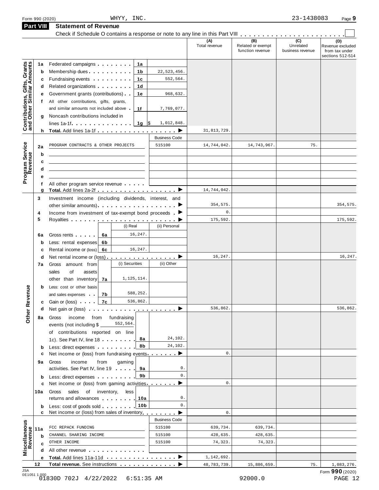| <b>Part VIII</b>                                          |     | Statement of Revenue                                                                                                                                                                                                          |                |                      |                      |                                              |                                      |                                                               |
|-----------------------------------------------------------|-----|-------------------------------------------------------------------------------------------------------------------------------------------------------------------------------------------------------------------------------|----------------|----------------------|----------------------|----------------------------------------------|--------------------------------------|---------------------------------------------------------------|
|                                                           |     |                                                                                                                                                                                                                               |                |                      | (A)<br>Total revenue | (B)<br>Related or exempt<br>function revenue | (C)<br>Unrelated<br>business revenue | (D)<br>Revenue excluded<br>from tax under<br>sections 512-514 |
|                                                           | 1a  | Federated campaigns <b>Federated</b>                                                                                                                                                                                          | 1а             |                      |                      |                                              |                                      |                                                               |
|                                                           | b   | Membership dues <b>All Accords</b> Membership dues                                                                                                                                                                            | 1b             | 22,523,456.          |                      |                                              |                                      |                                                               |
| Contributions, Gifts, Grants<br>and Other Similar Amounts | c   | Fundraising events <b>Fundraising</b>                                                                                                                                                                                         | 1c             | 552,564.             |                      |                                              |                                      |                                                               |
|                                                           | d   | Related organizations <b>contains</b>                                                                                                                                                                                         | 1d             |                      |                      |                                              |                                      |                                                               |
|                                                           | е   | Government grants (contributions).                                                                                                                                                                                            | 1e             | 968,632.             |                      |                                              |                                      |                                                               |
|                                                           | t.  | All other contributions, gifts, grants,                                                                                                                                                                                       |                |                      |                      |                                              |                                      |                                                               |
|                                                           |     | and similar amounts not included above                                                                                                                                                                                        | 1f             | 7,769,077.           |                      |                                              |                                      |                                                               |
|                                                           | g   | Noncash contributions included in                                                                                                                                                                                             |                |                      |                      |                                              |                                      |                                                               |
|                                                           |     |                                                                                                                                                                                                                               | 1g $\sqrt{3}$  | 1,012,848.           |                      |                                              |                                      |                                                               |
|                                                           |     | h Total. Add lines 1a-1f $\ldots$ $\ldots$ $\ldots$ $\ldots$ $\ldots$                                                                                                                                                         |                |                      | 31,813,729           |                                              |                                      |                                                               |
|                                                           |     |                                                                                                                                                                                                                               |                | <b>Business Code</b> |                      |                                              |                                      |                                                               |
|                                                           | 2a  | PROGRAM CONTRACTS & OTHER PROJECTS                                                                                                                                                                                            |                | 515100               | 14,744,042.          | 14,743,967.                                  | 75.                                  |                                                               |
|                                                           | b   |                                                                                                                                                                                                                               |                |                      |                      |                                              |                                      |                                                               |
|                                                           | c   |                                                                                                                                                                                                                               |                |                      |                      |                                              |                                      |                                                               |
|                                                           | d   |                                                                                                                                                                                                                               |                |                      |                      |                                              |                                      |                                                               |
| Program Service<br>Revenue                                |     |                                                                                                                                                                                                                               |                |                      |                      |                                              |                                      |                                                               |
|                                                           |     | All other program service revenue                                                                                                                                                                                             |                |                      |                      |                                              |                                      |                                                               |
|                                                           | g   | Total. Add lines 2a-2f ▶                                                                                                                                                                                                      |                |                      | 14,744,042.          |                                              |                                      |                                                               |
|                                                           | 3   | Investment income (including dividends, interest, and                                                                                                                                                                         |                |                      |                      |                                              |                                      |                                                               |
|                                                           |     |                                                                                                                                                                                                                               |                |                      | 354,575.             |                                              |                                      | 354,575.                                                      |
|                                                           | 4   | Income from investment of tax-exempt bond proceeds $\blacktriangleright$                                                                                                                                                      |                |                      | $\mathbb O$ .        |                                              |                                      |                                                               |
|                                                           | 5   |                                                                                                                                                                                                                               |                |                      | 175,592.             |                                              |                                      | 175,592.                                                      |
|                                                           |     |                                                                                                                                                                                                                               | (i) Real       | (ii) Personal        |                      |                                              |                                      |                                                               |
|                                                           | 6a  | Gross rents<br>6а                                                                                                                                                                                                             | 16,247.        |                      |                      |                                              |                                      |                                                               |
|                                                           | b   | Less: rental expenses<br>6b                                                                                                                                                                                                   |                |                      |                      |                                              |                                      |                                                               |
|                                                           | c   | Rental income or (loss) 6c                                                                                                                                                                                                    | 16,247.        |                      |                      |                                              |                                      |                                                               |
|                                                           | d   | Net rental income or (loss) ▶                                                                                                                                                                                                 |                |                      | 16,247.              |                                              |                                      | 16,247.                                                       |
|                                                           | 7a  | Gross amount from                                                                                                                                                                                                             | (i) Securities | (ii) Other           |                      |                                              |                                      |                                                               |
|                                                           |     | sales<br>of<br>assets                                                                                                                                                                                                         |                |                      |                      |                                              |                                      |                                                               |
|                                                           |     | other than inventory<br>7a                                                                                                                                                                                                    | 1,125,114.     |                      |                      |                                              |                                      |                                                               |
|                                                           | b   | Less: cost or other basis                                                                                                                                                                                                     |                |                      |                      |                                              |                                      |                                                               |
| evenue                                                    |     | 7b<br>and sales expenses                                                                                                                                                                                                      | 588,252.       |                      |                      |                                              |                                      |                                                               |
|                                                           |     | 7c<br><b>c</b> Gain or (loss) <b>c</b>                                                                                                                                                                                        | 536,862.       |                      |                      |                                              |                                      |                                                               |
| Other <sub>R</sub>                                        | d   |                                                                                                                                                                                                                               |                | ▸                    | 536,862.             |                                              |                                      | 536,862.                                                      |
|                                                           | 8а  | income from fundraising<br>Gross                                                                                                                                                                                              |                |                      |                      |                                              |                                      |                                                               |
|                                                           |     | events (not including \$                                                                                                                                                                                                      | 552,564.       |                      |                      |                                              |                                      |                                                               |
|                                                           |     | of contributions reported on line                                                                                                                                                                                             |                |                      |                      |                                              |                                      |                                                               |
|                                                           |     | 1c). See Part IV, line 18                                                                                                                                                                                                     | 8а             | 24,102.              |                      |                                              |                                      |                                                               |
|                                                           | b   | Less: direct expenses <b>contained contained contained contained contained contained </b>                                                                                                                                     | 8b             | 24,102.              |                      |                                              |                                      |                                                               |
|                                                           | с   | Net income or (loss) from fundraising events $\ldots$                                                                                                                                                                         |                |                      | $\mathbb O$ .        |                                              |                                      |                                                               |
|                                                           | 9а  | Gross<br>income<br>from                                                                                                                                                                                                       | gaming         |                      |                      |                                              |                                      |                                                               |
|                                                           |     | activities. See Part IV, line 19                                                                                                                                                                                              | 9а             | 0.                   |                      |                                              |                                      |                                                               |
|                                                           | b   | Less: direct expenses <b>contained contained contained contained contained contained </b>                                                                                                                                     | 9b             | $0$ .                |                      |                                              |                                      |                                                               |
|                                                           | c   | Net income or (loss) from gaming activities                                                                                                                                                                                   |                | ▶                    | $\mathbb O$ .        |                                              |                                      |                                                               |
|                                                           | 10a | Gross sales of inventory,                                                                                                                                                                                                     | less           |                      |                      |                                              |                                      |                                                               |
|                                                           |     | returns and allowances   10a                                                                                                                                                                                                  |                | 0.                   |                      |                                              |                                      |                                                               |
|                                                           | b   | Less: cost of goods sold                                                                                                                                                                                                      | 10b            | $0$ .                |                      |                                              |                                      |                                                               |
|                                                           | c   | Net income or (loss) from sales of inventory                                                                                                                                                                                  |                | ▶                    | $\mathbf 0$ .        |                                              |                                      |                                                               |
|                                                           |     |                                                                                                                                                                                                                               |                | <b>Business Code</b> |                      |                                              |                                      |                                                               |
|                                                           | 11a | FCC REPACK FUNDING                                                                                                                                                                                                            |                | 515100               | 639,734.             | 639,734.                                     |                                      |                                                               |
|                                                           | b   | CHANNEL SHARING INCOME                                                                                                                                                                                                        |                | 515100               | 428,635.             | 428,635.                                     |                                      |                                                               |
|                                                           | c   | OTHER INCOME                                                                                                                                                                                                                  |                | 515100               | 74,323.              | 74,323.                                      |                                      |                                                               |
| Miscellaneous<br>Revenue                                  | d   | All other revenue entitled to the set of the set of the set of the set of the set of the set of the set of the                                                                                                                |                |                      |                      |                                              |                                      |                                                               |
|                                                           | е   | Total. Add lines 11a-11d (a) a material material model in the material model in the material model in the material model in the material model in the material model in the material model in the material model in the mater |                |                      | 1,142,692.           |                                              |                                      |                                                               |
|                                                           | 12  | Total revenue. See instructions                                                                                                                                                                                               |                |                      | 48,783,739.          | 15,886,659.                                  | 75.                                  | 1,083,276.                                                    |

**Part VIII Statement of Revenue**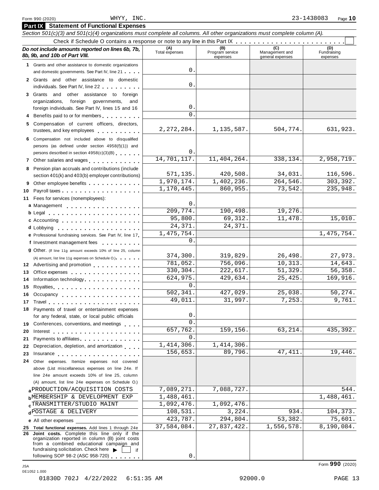### WHYY, INC. 23-1438083

**Part IX Statement of Functional Expenses** Section 501(c)(3) and 501(c)(4) organizations must complete all columns. All other organizations must complete column (A). Check if Schedule <sup>O</sup> contains <sup>a</sup> response or note to any line in this Part IX m m m m m m m m m m m m m m m m m m m m m m m m m *Do no* **(A) (B) (C) (D)** *t include amounts reported on lines 6b, 7b,* **8b, 9b, and 10b of Part VIII.** The construction of *B***, 9b, and 10b of Part VIII.** expenses Management and general expenses Fundraising expenses **1** Grants and other assistance to domestic organizations and domestic governments. See Part IV, line 21 m m m **2** Grants and other assistance to domestic individuals. See Part IV, line 22 **3** Grants and other assistance to foreign organizations, foreign governments, and foreign individuals. See Part IV, lines 15 and 16 **4** Benefits paid to or for members **5** Compensation of current officers, directors, trustees, and key employees m m m m m m m m m m **6** Compensation not included above to disqualified persons (as defined under section 4958(f)(1)) and persons described in section 4958(c)(3)(B) 7 Other salaries and wages **manual manual manual metallicity 8** Pension plan accruals and contributions (include section 401(k) and 403(b) employer contributions) **9** Section 401(k) and 403(b) employer contributions<br>9 Other employee benefits 9 Other employee benefits **10** Payroll taxes **10** Fees for services (nonemployees): **11** A) amount, list line 11g expenses on Schedule O.)<br>**12** Advertising and promotion **manual 13** Office expenses **13** Office expenses<br>**14** Information technology............. **15 16** Occupancy m m m m m m m m m m m m m m m m m m **16** Occupancy ...................<br>17 Travel..................... **18** Payments of travel or entertainment expenses **19 19** Conferences, conventions, and meetings **endorship.**<br>20 Interest **manual meeting 21** Payments to affiliates m m m m m m m m m m m m m m **22 22** Depreciation, depletion, and amortization **manufation**<br>23 Insurance 24 Other expenses. Itemize expenses not covered | Fees for services (nonemployees):<br>**a** Management ..................<br>**b** Legal ......................... **cd** Lobbying m m m m m m m m m m m m m m m m m m m **e** Professional fundraising services. See Part IV, line <sup>17</sup> m **P** Professional fundraising services. See Part IV, line 17<br>**f** Investment management fees **g** Other. (If line 11g amount exceeds 10% of line 25, column Legal m m m m m m m m m m m m m m m m m m m m m Accounting m m m m m m m m m m m m m m m m m m (A) amount, list line 11g expenses on Schedule O.) means m m m m m m m m m m m m m m m m Royalties m m m m m m m m m m m m m m m m m m m m for any federal, state, or local public officials for any federal, state, or local public officials<br>Conferences, conventions, and meetings Payments to affiliates<br>Depreciation, depletion, and amortization<br>
<sub>starr</sub> and amortization above (List miscellaneous expenses on line 24e. If line 24e amount exceeds 10% of line 25, column (A) amount, list line 24e expenses on Schedule O.) **a** <u>PRODUCTION/ACQUISITION COSIS</u> (1,089,271. 1,088,727. 2008)<br> **b**MEMBERSHIP & DEVELOPMENT EXP 1,488,461. **c** <u>RANSMITTER/STODIO MAINT 1,092,476.</u> 1,092,476. 1,092,476. 1,092,476. 1,092,476. 1,092,476. 104,373. **e** All other expenses **25 Total functional expenses.** Add lines 1 through 24e **26 Joint costs.** Complete this line only if the organization reported in column (B) joint costs from a combined educational campaign and from a combined educational campaign and<br>fundraising solicitation. Check here  $\blacktriangleright$  if<br>following SOP 98-2 (ASC 958-720) 0. 0. 0.  $\Omega$ 2,272,284. 1,135,587. 504,774. 631,923. 0. 14,701,117. 11,404,264. 338,134. 2,958,719. 571,135. 420,508. 34,031. 116,596. 1,970,174. 1,402,236. 264,546. 303,392. 1,170,445. 860,955. 73,542. 235,948.  $\Omega$ 209,774. 190,498. 19,276. 95,800. 69,312. 11,478. 15,010. 24,371. 24,371. 1,475,754. 1,475,754.  $\overline{0}$ 374,300. 319,829. 26,498. 27,973. 781,052. 756,096. 10,313. 14,643. 330,304. 222,617. 51,329. 56,358. 624,975. 429,634. 25,425. 169,916.  $\mathsf{O}$  . 502,341. 427,029. 25,038. 50,274. 49,011. 31,997. 7,253. 9,761. 0.  $\overline{0}$ 657,762. 159,156. 63,214. 435,392. 0. 1,414,306. 1,414,306. 156,653. 89,796. 47,411. 19,446. PRODUCTION/ACQUISITION COSTS 7,089,271. 7,088,727. 544.  $\text{c}$ TRANSMITTER/STUDIO MAINT 1,092,476. 1,092,476. 423,787. 294,804. 53,382. 75,601. 37,584,084. 27,837,422. 1,556,578. 8,190,084.

0.

Form **990** (2020) JSA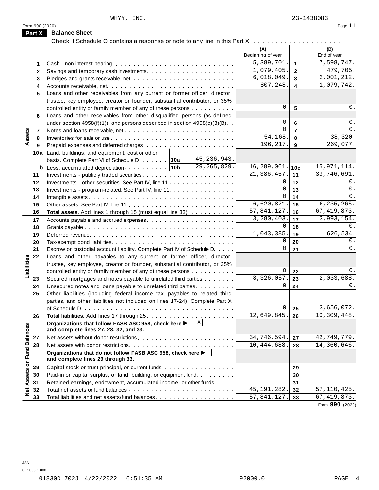| Form 990 (2020)                                             |                                                                                                                                                                                                                                                                                                                                                                                                                                                                                                                                                                                                                                                                                                                                                                                                                                                                                                                                                                                                                                                                                                                                                                                                                                                                                                                                                                                                                                                                                                                                                                                                                                                                                                                                                                                                                                                                                                                                              |                                                                                                                                                                                                                                                             | Page 11                                                                                                                                                                                                                                                                                                                                                           |
|-------------------------------------------------------------|----------------------------------------------------------------------------------------------------------------------------------------------------------------------------------------------------------------------------------------------------------------------------------------------------------------------------------------------------------------------------------------------------------------------------------------------------------------------------------------------------------------------------------------------------------------------------------------------------------------------------------------------------------------------------------------------------------------------------------------------------------------------------------------------------------------------------------------------------------------------------------------------------------------------------------------------------------------------------------------------------------------------------------------------------------------------------------------------------------------------------------------------------------------------------------------------------------------------------------------------------------------------------------------------------------------------------------------------------------------------------------------------------------------------------------------------------------------------------------------------------------------------------------------------------------------------------------------------------------------------------------------------------------------------------------------------------------------------------------------------------------------------------------------------------------------------------------------------------------------------------------------------------------------------------------------------|-------------------------------------------------------------------------------------------------------------------------------------------------------------------------------------------------------------------------------------------------------------|-------------------------------------------------------------------------------------------------------------------------------------------------------------------------------------------------------------------------------------------------------------------------------------------------------------------------------------------------------------------|
|                                                             |                                                                                                                                                                                                                                                                                                                                                                                                                                                                                                                                                                                                                                                                                                                                                                                                                                                                                                                                                                                                                                                                                                                                                                                                                                                                                                                                                                                                                                                                                                                                                                                                                                                                                                                                                                                                                                                                                                                                              |                                                                                                                                                                                                                                                             |                                                                                                                                                                                                                                                                                                                                                                   |
|                                                             | (A)                                                                                                                                                                                                                                                                                                                                                                                                                                                                                                                                                                                                                                                                                                                                                                                                                                                                                                                                                                                                                                                                                                                                                                                                                                                                                                                                                                                                                                                                                                                                                                                                                                                                                                                                                                                                                                                                                                                                          |                                                                                                                                                                                                                                                             | (B)<br>End of year                                                                                                                                                                                                                                                                                                                                                |
|                                                             |                                                                                                                                                                                                                                                                                                                                                                                                                                                                                                                                                                                                                                                                                                                                                                                                                                                                                                                                                                                                                                                                                                                                                                                                                                                                                                                                                                                                                                                                                                                                                                                                                                                                                                                                                                                                                                                                                                                                              |                                                                                                                                                                                                                                                             | 7,598,747.                                                                                                                                                                                                                                                                                                                                                        |
|                                                             |                                                                                                                                                                                                                                                                                                                                                                                                                                                                                                                                                                                                                                                                                                                                                                                                                                                                                                                                                                                                                                                                                                                                                                                                                                                                                                                                                                                                                                                                                                                                                                                                                                                                                                                                                                                                                                                                                                                                              |                                                                                                                                                                                                                                                             | 479,705.                                                                                                                                                                                                                                                                                                                                                          |
|                                                             |                                                                                                                                                                                                                                                                                                                                                                                                                                                                                                                                                                                                                                                                                                                                                                                                                                                                                                                                                                                                                                                                                                                                                                                                                                                                                                                                                                                                                                                                                                                                                                                                                                                                                                                                                                                                                                                                                                                                              |                                                                                                                                                                                                                                                             | 2,001,212.                                                                                                                                                                                                                                                                                                                                                        |
|                                                             |                                                                                                                                                                                                                                                                                                                                                                                                                                                                                                                                                                                                                                                                                                                                                                                                                                                                                                                                                                                                                                                                                                                                                                                                                                                                                                                                                                                                                                                                                                                                                                                                                                                                                                                                                                                                                                                                                                                                              |                                                                                                                                                                                                                                                             | 1,079,742.                                                                                                                                                                                                                                                                                                                                                        |
|                                                             |                                                                                                                                                                                                                                                                                                                                                                                                                                                                                                                                                                                                                                                                                                                                                                                                                                                                                                                                                                                                                                                                                                                                                                                                                                                                                                                                                                                                                                                                                                                                                                                                                                                                                                                                                                                                                                                                                                                                              |                                                                                                                                                                                                                                                             |                                                                                                                                                                                                                                                                                                                                                                   |
|                                                             |                                                                                                                                                                                                                                                                                                                                                                                                                                                                                                                                                                                                                                                                                                                                                                                                                                                                                                                                                                                                                                                                                                                                                                                                                                                                                                                                                                                                                                                                                                                                                                                                                                                                                                                                                                                                                                                                                                                                              |                                                                                                                                                                                                                                                             |                                                                                                                                                                                                                                                                                                                                                                   |
|                                                             |                                                                                                                                                                                                                                                                                                                                                                                                                                                                                                                                                                                                                                                                                                                                                                                                                                                                                                                                                                                                                                                                                                                                                                                                                                                                                                                                                                                                                                                                                                                                                                                                                                                                                                                                                                                                                                                                                                                                              |                                                                                                                                                                                                                                                             | 0.                                                                                                                                                                                                                                                                                                                                                                |
|                                                             |                                                                                                                                                                                                                                                                                                                                                                                                                                                                                                                                                                                                                                                                                                                                                                                                                                                                                                                                                                                                                                                                                                                                                                                                                                                                                                                                                                                                                                                                                                                                                                                                                                                                                                                                                                                                                                                                                                                                              |                                                                                                                                                                                                                                                             |                                                                                                                                                                                                                                                                                                                                                                   |
|                                                             |                                                                                                                                                                                                                                                                                                                                                                                                                                                                                                                                                                                                                                                                                                                                                                                                                                                                                                                                                                                                                                                                                                                                                                                                                                                                                                                                                                                                                                                                                                                                                                                                                                                                                                                                                                                                                                                                                                                                              |                                                                                                                                                                                                                                                             | $0$ .                                                                                                                                                                                                                                                                                                                                                             |
|                                                             | $\Omega$ .                                                                                                                                                                                                                                                                                                                                                                                                                                                                                                                                                                                                                                                                                                                                                                                                                                                                                                                                                                                                                                                                                                                                                                                                                                                                                                                                                                                                                                                                                                                                                                                                                                                                                                                                                                                                                                                                                                                                   |                                                                                                                                                                                                                                                             | $0$ .                                                                                                                                                                                                                                                                                                                                                             |
|                                                             |                                                                                                                                                                                                                                                                                                                                                                                                                                                                                                                                                                                                                                                                                                                                                                                                                                                                                                                                                                                                                                                                                                                                                                                                                                                                                                                                                                                                                                                                                                                                                                                                                                                                                                                                                                                                                                                                                                                                              |                                                                                                                                                                                                                                                             | 38,320.                                                                                                                                                                                                                                                                                                                                                           |
|                                                             |                                                                                                                                                                                                                                                                                                                                                                                                                                                                                                                                                                                                                                                                                                                                                                                                                                                                                                                                                                                                                                                                                                                                                                                                                                                                                                                                                                                                                                                                                                                                                                                                                                                                                                                                                                                                                                                                                                                                              |                                                                                                                                                                                                                                                             | 269,077.                                                                                                                                                                                                                                                                                                                                                          |
|                                                             |                                                                                                                                                                                                                                                                                                                                                                                                                                                                                                                                                                                                                                                                                                                                                                                                                                                                                                                                                                                                                                                                                                                                                                                                                                                                                                                                                                                                                                                                                                                                                                                                                                                                                                                                                                                                                                                                                                                                              |                                                                                                                                                                                                                                                             |                                                                                                                                                                                                                                                                                                                                                                   |
|                                                             |                                                                                                                                                                                                                                                                                                                                                                                                                                                                                                                                                                                                                                                                                                                                                                                                                                                                                                                                                                                                                                                                                                                                                                                                                                                                                                                                                                                                                                                                                                                                                                                                                                                                                                                                                                                                                                                                                                                                              |                                                                                                                                                                                                                                                             |                                                                                                                                                                                                                                                                                                                                                                   |
|                                                             |                                                                                                                                                                                                                                                                                                                                                                                                                                                                                                                                                                                                                                                                                                                                                                                                                                                                                                                                                                                                                                                                                                                                                                                                                                                                                                                                                                                                                                                                                                                                                                                                                                                                                                                                                                                                                                                                                                                                              |                                                                                                                                                                                                                                                             | 15, 971, 114.                                                                                                                                                                                                                                                                                                                                                     |
|                                                             |                                                                                                                                                                                                                                                                                                                                                                                                                                                                                                                                                                                                                                                                                                                                                                                                                                                                                                                                                                                                                                                                                                                                                                                                                                                                                                                                                                                                                                                                                                                                                                                                                                                                                                                                                                                                                                                                                                                                              |                                                                                                                                                                                                                                                             | 33,746,691.                                                                                                                                                                                                                                                                                                                                                       |
|                                                             |                                                                                                                                                                                                                                                                                                                                                                                                                                                                                                                                                                                                                                                                                                                                                                                                                                                                                                                                                                                                                                                                                                                                                                                                                                                                                                                                                                                                                                                                                                                                                                                                                                                                                                                                                                                                                                                                                                                                              |                                                                                                                                                                                                                                                             | 0.                                                                                                                                                                                                                                                                                                                                                                |
|                                                             | $\mathbf 0$ .                                                                                                                                                                                                                                                                                                                                                                                                                                                                                                                                                                                                                                                                                                                                                                                                                                                                                                                                                                                                                                                                                                                                                                                                                                                                                                                                                                                                                                                                                                                                                                                                                                                                                                                                                                                                                                                                                                                                |                                                                                                                                                                                                                                                             | $0$ .                                                                                                                                                                                                                                                                                                                                                             |
|                                                             |                                                                                                                                                                                                                                                                                                                                                                                                                                                                                                                                                                                                                                                                                                                                                                                                                                                                                                                                                                                                                                                                                                                                                                                                                                                                                                                                                                                                                                                                                                                                                                                                                                                                                                                                                                                                                                                                                                                                              |                                                                                                                                                                                                                                                             | $0$ .                                                                                                                                                                                                                                                                                                                                                             |
|                                                             |                                                                                                                                                                                                                                                                                                                                                                                                                                                                                                                                                                                                                                                                                                                                                                                                                                                                                                                                                                                                                                                                                                                                                                                                                                                                                                                                                                                                                                                                                                                                                                                                                                                                                                                                                                                                                                                                                                                                              |                                                                                                                                                                                                                                                             | 6, 235, 265.                                                                                                                                                                                                                                                                                                                                                      |
|                                                             |                                                                                                                                                                                                                                                                                                                                                                                                                                                                                                                                                                                                                                                                                                                                                                                                                                                                                                                                                                                                                                                                                                                                                                                                                                                                                                                                                                                                                                                                                                                                                                                                                                                                                                                                                                                                                                                                                                                                              |                                                                                                                                                                                                                                                             | 67, 419, 873.                                                                                                                                                                                                                                                                                                                                                     |
|                                                             |                                                                                                                                                                                                                                                                                                                                                                                                                                                                                                                                                                                                                                                                                                                                                                                                                                                                                                                                                                                                                                                                                                                                                                                                                                                                                                                                                                                                                                                                                                                                                                                                                                                                                                                                                                                                                                                                                                                                              |                                                                                                                                                                                                                                                             | 3,993,154.                                                                                                                                                                                                                                                                                                                                                        |
|                                                             | 0.                                                                                                                                                                                                                                                                                                                                                                                                                                                                                                                                                                                                                                                                                                                                                                                                                                                                                                                                                                                                                                                                                                                                                                                                                                                                                                                                                                                                                                                                                                                                                                                                                                                                                                                                                                                                                                                                                                                                           |                                                                                                                                                                                                                                                             | $0$ .                                                                                                                                                                                                                                                                                                                                                             |
|                                                             |                                                                                                                                                                                                                                                                                                                                                                                                                                                                                                                                                                                                                                                                                                                                                                                                                                                                                                                                                                                                                                                                                                                                                                                                                                                                                                                                                                                                                                                                                                                                                                                                                                                                                                                                                                                                                                                                                                                                              |                                                                                                                                                                                                                                                             | 626, 534.                                                                                                                                                                                                                                                                                                                                                         |
|                                                             | 0.                                                                                                                                                                                                                                                                                                                                                                                                                                                                                                                                                                                                                                                                                                                                                                                                                                                                                                                                                                                                                                                                                                                                                                                                                                                                                                                                                                                                                                                                                                                                                                                                                                                                                                                                                                                                                                                                                                                                           |                                                                                                                                                                                                                                                             | 0.                                                                                                                                                                                                                                                                                                                                                                |
|                                                             | 0.                                                                                                                                                                                                                                                                                                                                                                                                                                                                                                                                                                                                                                                                                                                                                                                                                                                                                                                                                                                                                                                                                                                                                                                                                                                                                                                                                                                                                                                                                                                                                                                                                                                                                                                                                                                                                                                                                                                                           |                                                                                                                                                                                                                                                             | $0$ .                                                                                                                                                                                                                                                                                                                                                             |
|                                                             |                                                                                                                                                                                                                                                                                                                                                                                                                                                                                                                                                                                                                                                                                                                                                                                                                                                                                                                                                                                                                                                                                                                                                                                                                                                                                                                                                                                                                                                                                                                                                                                                                                                                                                                                                                                                                                                                                                                                              |                                                                                                                                                                                                                                                             |                                                                                                                                                                                                                                                                                                                                                                   |
|                                                             |                                                                                                                                                                                                                                                                                                                                                                                                                                                                                                                                                                                                                                                                                                                                                                                                                                                                                                                                                                                                                                                                                                                                                                                                                                                                                                                                                                                                                                                                                                                                                                                                                                                                                                                                                                                                                                                                                                                                              |                                                                                                                                                                                                                                                             |                                                                                                                                                                                                                                                                                                                                                                   |
|                                                             | 0.                                                                                                                                                                                                                                                                                                                                                                                                                                                                                                                                                                                                                                                                                                                                                                                                                                                                                                                                                                                                                                                                                                                                                                                                                                                                                                                                                                                                                                                                                                                                                                                                                                                                                                                                                                                                                                                                                                                                           |                                                                                                                                                                                                                                                             | 0.                                                                                                                                                                                                                                                                                                                                                                |
|                                                             | 8,326,057.                                                                                                                                                                                                                                                                                                                                                                                                                                                                                                                                                                                                                                                                                                                                                                                                                                                                                                                                                                                                                                                                                                                                                                                                                                                                                                                                                                                                                                                                                                                                                                                                                                                                                                                                                                                                                                                                                                                                   |                                                                                                                                                                                                                                                             | 2,033,688.                                                                                                                                                                                                                                                                                                                                                        |
|                                                             | 0.                                                                                                                                                                                                                                                                                                                                                                                                                                                                                                                                                                                                                                                                                                                                                                                                                                                                                                                                                                                                                                                                                                                                                                                                                                                                                                                                                                                                                                                                                                                                                                                                                                                                                                                                                                                                                                                                                                                                           |                                                                                                                                                                                                                                                             | 0.                                                                                                                                                                                                                                                                                                                                                                |
|                                                             |                                                                                                                                                                                                                                                                                                                                                                                                                                                                                                                                                                                                                                                                                                                                                                                                                                                                                                                                                                                                                                                                                                                                                                                                                                                                                                                                                                                                                                                                                                                                                                                                                                                                                                                                                                                                                                                                                                                                              |                                                                                                                                                                                                                                                             |                                                                                                                                                                                                                                                                                                                                                                   |
|                                                             |                                                                                                                                                                                                                                                                                                                                                                                                                                                                                                                                                                                                                                                                                                                                                                                                                                                                                                                                                                                                                                                                                                                                                                                                                                                                                                                                                                                                                                                                                                                                                                                                                                                                                                                                                                                                                                                                                                                                              |                                                                                                                                                                                                                                                             |                                                                                                                                                                                                                                                                                                                                                                   |
|                                                             | 0.                                                                                                                                                                                                                                                                                                                                                                                                                                                                                                                                                                                                                                                                                                                                                                                                                                                                                                                                                                                                                                                                                                                                                                                                                                                                                                                                                                                                                                                                                                                                                                                                                                                                                                                                                                                                                                                                                                                                           |                                                                                                                                                                                                                                                             | 3,656,072.                                                                                                                                                                                                                                                                                                                                                        |
|                                                             | 12,649,845.                                                                                                                                                                                                                                                                                                                                                                                                                                                                                                                                                                                                                                                                                                                                                                                                                                                                                                                                                                                                                                                                                                                                                                                                                                                                                                                                                                                                                                                                                                                                                                                                                                                                                                                                                                                                                                                                                                                                  |                                                                                                                                                                                                                                                             | 10,309,448.                                                                                                                                                                                                                                                                                                                                                       |
| X <br>Organizations that follow FASB ASC 958, check here ▶  |                                                                                                                                                                                                                                                                                                                                                                                                                                                                                                                                                                                                                                                                                                                                                                                                                                                                                                                                                                                                                                                                                                                                                                                                                                                                                                                                                                                                                                                                                                                                                                                                                                                                                                                                                                                                                                                                                                                                              |                                                                                                                                                                                                                                                             |                                                                                                                                                                                                                                                                                                                                                                   |
|                                                             |                                                                                                                                                                                                                                                                                                                                                                                                                                                                                                                                                                                                                                                                                                                                                                                                                                                                                                                                                                                                                                                                                                                                                                                                                                                                                                                                                                                                                                                                                                                                                                                                                                                                                                                                                                                                                                                                                                                                              |                                                                                                                                                                                                                                                             | 42,749,779.                                                                                                                                                                                                                                                                                                                                                       |
|                                                             |                                                                                                                                                                                                                                                                                                                                                                                                                                                                                                                                                                                                                                                                                                                                                                                                                                                                                                                                                                                                                                                                                                                                                                                                                                                                                                                                                                                                                                                                                                                                                                                                                                                                                                                                                                                                                                                                                                                                              |                                                                                                                                                                                                                                                             | 14,360,646.                                                                                                                                                                                                                                                                                                                                                       |
| Organizations that do not follow FASB ASC 958, check here ▶ |                                                                                                                                                                                                                                                                                                                                                                                                                                                                                                                                                                                                                                                                                                                                                                                                                                                                                                                                                                                                                                                                                                                                                                                                                                                                                                                                                                                                                                                                                                                                                                                                                                                                                                                                                                                                                                                                                                                                              |                                                                                                                                                                                                                                                             |                                                                                                                                                                                                                                                                                                                                                                   |
|                                                             |                                                                                                                                                                                                                                                                                                                                                                                                                                                                                                                                                                                                                                                                                                                                                                                                                                                                                                                                                                                                                                                                                                                                                                                                                                                                                                                                                                                                                                                                                                                                                                                                                                                                                                                                                                                                                                                                                                                                              |                                                                                                                                                                                                                                                             |                                                                                                                                                                                                                                                                                                                                                                   |
|                                                             |                                                                                                                                                                                                                                                                                                                                                                                                                                                                                                                                                                                                                                                                                                                                                                                                                                                                                                                                                                                                                                                                                                                                                                                                                                                                                                                                                                                                                                                                                                                                                                                                                                                                                                                                                                                                                                                                                                                                              |                                                                                                                                                                                                                                                             |                                                                                                                                                                                                                                                                                                                                                                   |
|                                                             |                                                                                                                                                                                                                                                                                                                                                                                                                                                                                                                                                                                                                                                                                                                                                                                                                                                                                                                                                                                                                                                                                                                                                                                                                                                                                                                                                                                                                                                                                                                                                                                                                                                                                                                                                                                                                                                                                                                                              |                                                                                                                                                                                                                                                             |                                                                                                                                                                                                                                                                                                                                                                   |
|                                                             |                                                                                                                                                                                                                                                                                                                                                                                                                                                                                                                                                                                                                                                                                                                                                                                                                                                                                                                                                                                                                                                                                                                                                                                                                                                                                                                                                                                                                                                                                                                                                                                                                                                                                                                                                                                                                                                                                                                                              |                                                                                                                                                                                                                                                             | 57, 110, 425.                                                                                                                                                                                                                                                                                                                                                     |
| 33<br>Total liabilities and net assets/fund balances        | 57,841,127.                                                                                                                                                                                                                                                                                                                                                                                                                                                                                                                                                                                                                                                                                                                                                                                                                                                                                                                                                                                                                                                                                                                                                                                                                                                                                                                                                                                                                                                                                                                                                                                                                                                                                                                                                                                                                                                                                                                                  | 33                                                                                                                                                                                                                                                          | 67, 419, 873.                                                                                                                                                                                                                                                                                                                                                     |
|                                                             | <b>Balance Sheet</b><br>Part X<br>1<br>$\mathbf{2}$<br>3<br>4<br>Loans and other receivables from any current or former officer, director,<br>5<br>trustee, key employee, creator or founder, substantial contributor, or 35%<br>controlled entity or family member of any of these persons<br>Loans and other receivables from other disqualified persons (as defined<br>6<br>under section $4958(f)(1)$ , and persons described in section $4958(c)(3)(B)$<br>7<br>8<br>9<br>10a Land, buildings, and equipment: cost or other<br>45, 236, 943.<br>basis. Complete Part VI of Schedule D 10a<br>29, 265, 829.<br><b>b</b> Less: accumulated depreciation $\cdots$ 10b<br>11<br>12<br>Investments - other securities. See Part IV, line 11<br>13<br>Investments - program-related. See Part IV, line 11.<br>14<br>15<br>16<br>Total assets. Add lines 1 through 15 (must equal line 33)<br>17<br>Accounts payable and accrued expenses<br>18<br>19<br>20<br>Tax-exempt bond liabilities<br>21<br>Escrow or custodial account liability. Complete Part IV of Schedule D.<br>22<br>Loans and other payables to any current or former officer, director,<br>trustee, key employee, creator or founder, substantial contributor, or 35%<br>controlled entity or family member of any of these persons<br>Secured mortgages and notes payable to unrelated third parties<br>23<br>Unsecured notes and loans payable to unrelated third parties<br>24<br>25<br>Other liabilities (including federal income tax, payables to related third<br>parties, and other liabilities not included on lines 17-24). Complete Part X<br>26<br>and complete lines 27, 28, 32, and 33.<br>27<br>28<br>and complete lines 29 through 33.<br>29<br>Capital stock or trust principal, or current funds<br>30<br>Paid-in or capital surplus, or land, building, or equipment fund.<br>31<br>Retained earnings, endowment, accumulated income, or other funds<br>32 | Beginning of year<br>5,389,701.<br>1,079,405.<br>6,018,049.<br>807,248.<br>$\mathsf 0$ .<br>0.<br>54,168.<br>196,217.<br>21,386,457.<br>0.<br>$0$ .<br>6,620,821.<br>57,841,127.<br>3,280,403.<br>1,043,385.<br>34,746,594.<br>10,444,688.<br>45, 191, 282. | Check if Schedule O contains a response or note to any line in this Part X<br>$\mathbf{1}$<br>$\overline{\mathbf{2}}$<br>3<br>$\overline{4}$<br>$5\phantom{1}$<br>$\bf 6$<br>$\overline{7}$<br>8<br>9<br>16,289,061.<br> 10c <br>11<br>12<br>13<br>14<br>15<br>16<br>17<br>18<br>19<br>20<br>21<br>22<br>23<br>24<br>25<br>26<br>27<br>28<br>29<br>30<br>31<br>32 |

Form **990** (2020)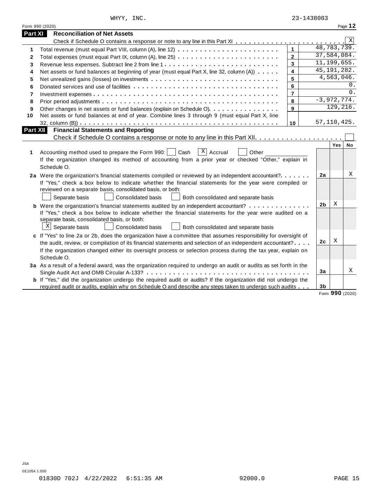WHYY, INC. 23-1438083

|                 | Form 990 (2020)                                                                                                       |                |                |               | Page 12 |
|-----------------|-----------------------------------------------------------------------------------------------------------------------|----------------|----------------|---------------|---------|
| Part XI         | <b>Reconciliation of Net Assets</b>                                                                                   |                |                |               |         |
|                 |                                                                                                                       |                |                |               | X       |
| 1               | Total revenue (must equal Part VIII, column (A), line 12)                                                             | $\mathbf{1}$   |                | 48,783,739.   |         |
| 2               | Total expenses (must equal Part IX, column (A), line 25)                                                              | $\mathbf{2}$   |                | 37,584,084.   |         |
| 3               |                                                                                                                       | 3              |                | 11, 199, 655. |         |
| 4               | Net assets or fund balances at beginning of year (must equal Part X, line 32, column (A))                             | 4              |                | 45, 191, 282. |         |
| 5               |                                                                                                                       | 5              |                | 4,563,046.    |         |
| 6               |                                                                                                                       | 6              |                |               | $0$ .   |
| 7               |                                                                                                                       | $\overline{7}$ |                |               | 0.      |
| 8               |                                                                                                                       | 8              |                | $-3,972,774.$ |         |
| 9               | Other changes in net assets or fund balances (explain on Schedule O).                                                 | 9              |                | 129,216.      |         |
| 10              | Net assets or fund balances at end of year. Combine lines 3 through 9 (must equal Part X, line                        |                |                |               |         |
|                 |                                                                                                                       | 10             |                | 57,110,425.   |         |
| <b>Part XII</b> | <b>Financial Statements and Reporting</b>                                                                             |                |                |               |         |
|                 |                                                                                                                       |                |                |               |         |
|                 | $\overline{X}$ Accrual                                                                                                |                |                | Yes           | No      |
| 1               | Accounting method used to prepare the Form 990:     Cash<br>Other                                                     |                |                |               |         |
|                 | If the organization changed its method of accounting from a prior year or checked "Other," explain in<br>Schedule O.  |                |                |               |         |
|                 |                                                                                                                       |                |                |               | Χ       |
|                 | 2a Were the organization's financial statements compiled or reviewed by an independent accountant?                    |                | 2a             |               |         |
|                 | If "Yes," check a box below to indicate whether the financial statements for the year were compiled or                |                |                |               |         |
|                 | reviewed on a separate basis, consolidated basis, or both:                                                            |                |                |               |         |
|                 | Separate basis<br><b>Consolidated basis</b><br>Both consolidated and separate basis                                   |                |                | Χ             |         |
|                 | <b>b</b> Were the organization's financial statements audited by an independent accountant?                           |                | 2 <sub>b</sub> |               |         |
|                 | If "Yes," check a box below to indicate whether the financial statements for the year were audited on a               |                |                |               |         |
|                 | separate basis, consolidated basis, or both:                                                                          |                |                |               |         |
|                 | $\mathbb{X}$ Separate basis<br>Consolidated basis<br>Both consolidated and separate basis                             |                |                |               |         |
|                 | c If "Yes" to line 2a or 2b, does the organization have a committee that assumes responsibility for oversight of      |                |                | Χ             |         |
|                 | the audit, review, or compilation of its financial statements and selection of an independent accountant?             |                | 2c             |               |         |
|                 | If the organization changed either its oversight process or selection process during the tax year, explain on         |                |                |               |         |
|                 | Schedule O.                                                                                                           |                |                |               |         |
|                 | 3a As a result of a federal award, was the organization required to undergo an audit or audits as set forth in the    |                |                |               | Χ       |
|                 |                                                                                                                       |                | 3a             |               |         |
|                 | <b>b</b> If "Yes," did the organization undergo the required audit or audits? If the organization did not undergo the |                |                |               |         |
|                 | required audit or audits, explain why on Schedule O and describe any steps taken to undergo such audits               |                | 3 <sub>b</sub> |               |         |

Form **990** (2020)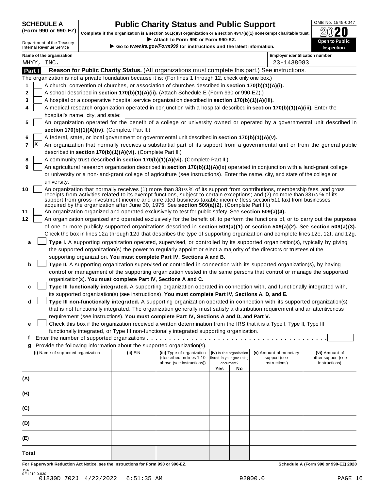SCHEDULE A **Public Charity Status and Public Support**<br>(Form 990 or 990-EZ) complete if the organization is a section 501(c)(3) organization or a section 4947(a)(1) nonexempt charitable trust. (Form 990 or 990-EZ) complete if the organization is a section 501(c)(3) organization or a section 4947(a)(1) nonexempt charitable trust.  $2020$ 

|         |                                                                                                                                                                                                                                                     |  |                                                                                  |                                                                                                              |     |                          | Complete if the organization is a section 501(c)(3) organization or a section 4947(a)(1) nonexempt charitable trust.                                                                                                                                                                                                                                                           | ZWŁU                                                                                                                             |  |
|---------|-----------------------------------------------------------------------------------------------------------------------------------------------------------------------------------------------------------------------------------------------------|--|----------------------------------------------------------------------------------|--------------------------------------------------------------------------------------------------------------|-----|--------------------------|--------------------------------------------------------------------------------------------------------------------------------------------------------------------------------------------------------------------------------------------------------------------------------------------------------------------------------------------------------------------------------|----------------------------------------------------------------------------------------------------------------------------------|--|
|         | Department of the Treasury<br><b>Internal Revenue Service</b>                                                                                                                                                                                       |  |                                                                                  | Attach to Form 990 or Form 990-EZ.<br>Go to www.irs.gov/Form990 for instructions and the latest information. |     |                          |                                                                                                                                                                                                                                                                                                                                                                                | Open to Public<br><b>Inspection</b>                                                                                              |  |
|         | Name of the organization                                                                                                                                                                                                                            |  |                                                                                  |                                                                                                              |     |                          | <b>Employer identification number</b>                                                                                                                                                                                                                                                                                                                                          |                                                                                                                                  |  |
|         | WHYY, INC.                                                                                                                                                                                                                                          |  |                                                                                  |                                                                                                              |     |                          | 23-1438083                                                                                                                                                                                                                                                                                                                                                                     |                                                                                                                                  |  |
| Part I  |                                                                                                                                                                                                                                                     |  |                                                                                  |                                                                                                              |     |                          | Reason for Public Charity Status. (All organizations must complete this part.) See instructions.                                                                                                                                                                                                                                                                               |                                                                                                                                  |  |
|         |                                                                                                                                                                                                                                                     |  |                                                                                  | The organization is not a private foundation because it is: (For lines 1 through 12, check only one box.)    |     |                          |                                                                                                                                                                                                                                                                                                                                                                                |                                                                                                                                  |  |
| 1       |                                                                                                                                                                                                                                                     |  |                                                                                  | A church, convention of churches, or association of churches described in section 170(b)(1)(A)(i).           |     |                          |                                                                                                                                                                                                                                                                                                                                                                                |                                                                                                                                  |  |
| 2       |                                                                                                                                                                                                                                                     |  |                                                                                  | A school described in section 170(b)(1)(A)(ii). (Attach Schedule E (Form 990 or 990-EZ).)                    |     |                          |                                                                                                                                                                                                                                                                                                                                                                                |                                                                                                                                  |  |
| 3       |                                                                                                                                                                                                                                                     |  |                                                                                  | A hospital or a cooperative hospital service organization described in section 170(b)(1)(A)(iii).            |     |                          |                                                                                                                                                                                                                                                                                                                                                                                |                                                                                                                                  |  |
| 4       |                                                                                                                                                                                                                                                     |  |                                                                                  |                                                                                                              |     |                          | A medical research organization operated in conjunction with a hospital described in section 170(b)(1)(A)(iii). Enter the                                                                                                                                                                                                                                                      |                                                                                                                                  |  |
|         | hospital's name, city, and state:                                                                                                                                                                                                                   |  |                                                                                  |                                                                                                              |     |                          |                                                                                                                                                                                                                                                                                                                                                                                |                                                                                                                                  |  |
| 5       |                                                                                                                                                                                                                                                     |  |                                                                                  |                                                                                                              |     |                          |                                                                                                                                                                                                                                                                                                                                                                                | An organization operated for the benefit of a college or university owned or operated by a governmental unit described in        |  |
|         |                                                                                                                                                                                                                                                     |  | section 170(b)(1)(A)(iv). (Complete Part II.)                                    |                                                                                                              |     |                          |                                                                                                                                                                                                                                                                                                                                                                                |                                                                                                                                  |  |
| 6<br> x |                                                                                                                                                                                                                                                     |  |                                                                                  | A federal, state, or local government or governmental unit described in section 170(b)(1)(A)(v).             |     |                          |                                                                                                                                                                                                                                                                                                                                                                                |                                                                                                                                  |  |
| 7       |                                                                                                                                                                                                                                                     |  | described in section 170(b)(1)(A)(vi). (Complete Part II.)                       |                                                                                                              |     |                          |                                                                                                                                                                                                                                                                                                                                                                                | An organization that normally receives a substantial part of its support from a governmental unit or from the general public     |  |
| 8       |                                                                                                                                                                                                                                                     |  |                                                                                  | A community trust described in section 170(b)(1)(A)(vi). (Complete Part II.)                                 |     |                          |                                                                                                                                                                                                                                                                                                                                                                                |                                                                                                                                  |  |
| 9       |                                                                                                                                                                                                                                                     |  |                                                                                  |                                                                                                              |     |                          | An agricultural research organization described in section 170(b)(1)(A)(ix) operated in conjunction with a land-grant college                                                                                                                                                                                                                                                  |                                                                                                                                  |  |
|         |                                                                                                                                                                                                                                                     |  |                                                                                  |                                                                                                              |     |                          | or university or a non-land-grant college of agriculture (see instructions). Enter the name, city, and state of the college or                                                                                                                                                                                                                                                 |                                                                                                                                  |  |
|         | university:                                                                                                                                                                                                                                         |  |                                                                                  |                                                                                                              |     |                          |                                                                                                                                                                                                                                                                                                                                                                                |                                                                                                                                  |  |
| 10      |                                                                                                                                                                                                                                                     |  |                                                                                  | acquired by the organization after June 30, 1975. See section 509(a)(2). (Complete Part III.)                |     |                          | An organization that normally receives (1) more than 331/3% of its support from contributions, membership fees, and gross<br>receipts from activities related to its exempt functions, subject to certain exceptions; and (2) no more than 331/3 % of its<br>support from gross investment income and unrelated business taxable income (less section 511 tax) from businesses |                                                                                                                                  |  |
| 11      |                                                                                                                                                                                                                                                     |  |                                                                                  | An organization organized and operated exclusively to test for public safety. See section 509(a)(4).         |     |                          |                                                                                                                                                                                                                                                                                                                                                                                |                                                                                                                                  |  |
| 12      |                                                                                                                                                                                                                                                     |  |                                                                                  |                                                                                                              |     |                          |                                                                                                                                                                                                                                                                                                                                                                                | An organization organized and operated exclusively for the benefit of, to perform the functions of, or to carry out the purposes |  |
|         |                                                                                                                                                                                                                                                     |  |                                                                                  |                                                                                                              |     |                          |                                                                                                                                                                                                                                                                                                                                                                                | of one or more publicly supported organizations described in section 509(a)(1) or section 509(a)(2). See section 509(a)(3).      |  |
|         | Check the box in lines 12a through 12d that describes the type of supporting organization and complete lines 12e, 12f, and 12g.                                                                                                                     |  |                                                                                  |                                                                                                              |     |                          |                                                                                                                                                                                                                                                                                                                                                                                |                                                                                                                                  |  |
| a       | Type I. A supporting organization operated, supervised, or controlled by its supported organization(s), typically by giving<br>the supported organization(s) the power to regularly appoint or elect a majority of the directors or trustees of the |  |                                                                                  |                                                                                                              |     |                          |                                                                                                                                                                                                                                                                                                                                                                                |                                                                                                                                  |  |
|         |                                                                                                                                                                                                                                                     |  |                                                                                  | supporting organization. You must complete Part IV, Sections A and B.                                        |     |                          |                                                                                                                                                                                                                                                                                                                                                                                |                                                                                                                                  |  |
| b       |                                                                                                                                                                                                                                                     |  |                                                                                  |                                                                                                              |     |                          | Type II. A supporting organization supervised or controlled in connection with its supported organization(s), by having                                                                                                                                                                                                                                                        |                                                                                                                                  |  |
|         |                                                                                                                                                                                                                                                     |  |                                                                                  |                                                                                                              |     |                          | control or management of the supporting organization vested in the same persons that control or manage the supported                                                                                                                                                                                                                                                           |                                                                                                                                  |  |
|         |                                                                                                                                                                                                                                                     |  |                                                                                  | organization(s). You must complete Part IV, Sections A and C.                                                |     |                          |                                                                                                                                                                                                                                                                                                                                                                                |                                                                                                                                  |  |
| c       |                                                                                                                                                                                                                                                     |  |                                                                                  |                                                                                                              |     |                          | Type III functionally integrated. A supporting organization operated in connection with, and functionally integrated with,                                                                                                                                                                                                                                                     |                                                                                                                                  |  |
|         |                                                                                                                                                                                                                                                     |  |                                                                                  | its supported organization(s) (see instructions). You must complete Part IV, Sections A, D, and E.           |     |                          |                                                                                                                                                                                                                                                                                                                                                                                |                                                                                                                                  |  |
| d       |                                                                                                                                                                                                                                                     |  |                                                                                  |                                                                                                              |     |                          | Type III non-functionally integrated. A supporting organization operated in connection with its supported organization(s)                                                                                                                                                                                                                                                      |                                                                                                                                  |  |
|         |                                                                                                                                                                                                                                                     |  |                                                                                  |                                                                                                              |     |                          | that is not functionally integrated. The organization generally must satisfy a distribution requirement and an attentiveness                                                                                                                                                                                                                                                   |                                                                                                                                  |  |
|         |                                                                                                                                                                                                                                                     |  |                                                                                  | requirement (see instructions). You must complete Part IV, Sections A and D, and Part V.                     |     |                          |                                                                                                                                                                                                                                                                                                                                                                                |                                                                                                                                  |  |
| е       |                                                                                                                                                                                                                                                     |  |                                                                                  |                                                                                                              |     |                          | Check this box if the organization received a written determination from the IRS that it is a Type I, Type II, Type III                                                                                                                                                                                                                                                        |                                                                                                                                  |  |
| f       |                                                                                                                                                                                                                                                     |  |                                                                                  | functionally integrated, or Type III non-functionally integrated supporting organization.                    |     |                          |                                                                                                                                                                                                                                                                                                                                                                                |                                                                                                                                  |  |
| g       |                                                                                                                                                                                                                                                     |  |                                                                                  | Provide the following information about the supported organization(s).                                       |     |                          |                                                                                                                                                                                                                                                                                                                                                                                |                                                                                                                                  |  |
|         | (i) Name of supported organization                                                                                                                                                                                                                  |  | (ii) EIN                                                                         | (iii) Type of organization                                                                                   |     | (iv) Is the organization | (v) Amount of monetary                                                                                                                                                                                                                                                                                                                                                         | (vi) Amount of                                                                                                                   |  |
|         |                                                                                                                                                                                                                                                     |  |                                                                                  | (described on lines 1-10                                                                                     |     | listed in your governing | support (see                                                                                                                                                                                                                                                                                                                                                                   | other support (see                                                                                                               |  |
|         |                                                                                                                                                                                                                                                     |  |                                                                                  | above (see instructions))                                                                                    | Yes | document?<br>No          | instructions)                                                                                                                                                                                                                                                                                                                                                                  | instructions)                                                                                                                    |  |
| (A)     |                                                                                                                                                                                                                                                     |  |                                                                                  |                                                                                                              |     |                          |                                                                                                                                                                                                                                                                                                                                                                                |                                                                                                                                  |  |
|         |                                                                                                                                                                                                                                                     |  |                                                                                  |                                                                                                              |     |                          |                                                                                                                                                                                                                                                                                                                                                                                |                                                                                                                                  |  |
| (B)     |                                                                                                                                                                                                                                                     |  |                                                                                  |                                                                                                              |     |                          |                                                                                                                                                                                                                                                                                                                                                                                |                                                                                                                                  |  |
| (C)     |                                                                                                                                                                                                                                                     |  |                                                                                  |                                                                                                              |     |                          |                                                                                                                                                                                                                                                                                                                                                                                |                                                                                                                                  |  |
| (D)     |                                                                                                                                                                                                                                                     |  |                                                                                  |                                                                                                              |     |                          |                                                                                                                                                                                                                                                                                                                                                                                |                                                                                                                                  |  |
| (E)     |                                                                                                                                                                                                                                                     |  |                                                                                  |                                                                                                              |     |                          |                                                                                                                                                                                                                                                                                                                                                                                |                                                                                                                                  |  |
| Total   |                                                                                                                                                                                                                                                     |  |                                                                                  |                                                                                                              |     |                          |                                                                                                                                                                                                                                                                                                                                                                                |                                                                                                                                  |  |
|         |                                                                                                                                                                                                                                                     |  | For Paperwork Reduction Act Notice, see the Instructions for Form 990 or 990-EZ. |                                                                                                              |     |                          |                                                                                                                                                                                                                                                                                                                                                                                | Schedule A (Form 990 or 990-EZ) 2020                                                                                             |  |

JSA 0E1210 0.030 01830D 702J 4/22/2022 6:51:35 AM 92000.0 PAGE 16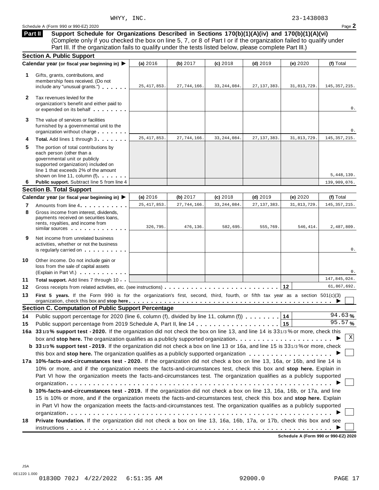Schedule <sup>A</sup> (Form <sup>990</sup> or 990-EZ) <sup>2020</sup> Page **2**

**Support Schedule for Organizations Described in Sections 170(b)(1)(A)(iv) and 170(b)(1)(A)(vi)** (Complete only if you checked the box on line 5, 7, or 8 of Part I or if the organization failed to qualify under Part III. If the organization fails to qualify under the tests listed below, please complete Part III.) **Part II**

|                                                                                                                                                                                                                    | (a) 2016                                                                                                                                                              | (b) 2017      | (c) 2018                                                   | $(d)$ 2019    | (e) 2020                                                                               | (f) Total                                                                                                                                                                                                                                                                                                                                                                                                                                                                                                                                                                                                                                                                                                                                                                                                                                                                                                                                                                                                                                                                                                                                                                                                                                                                                                                    |
|--------------------------------------------------------------------------------------------------------------------------------------------------------------------------------------------------------------------|-----------------------------------------------------------------------------------------------------------------------------------------------------------------------|---------------|------------------------------------------------------------|---------------|----------------------------------------------------------------------------------------|------------------------------------------------------------------------------------------------------------------------------------------------------------------------------------------------------------------------------------------------------------------------------------------------------------------------------------------------------------------------------------------------------------------------------------------------------------------------------------------------------------------------------------------------------------------------------------------------------------------------------------------------------------------------------------------------------------------------------------------------------------------------------------------------------------------------------------------------------------------------------------------------------------------------------------------------------------------------------------------------------------------------------------------------------------------------------------------------------------------------------------------------------------------------------------------------------------------------------------------------------------------------------------------------------------------------------|
| Gifts, grants, contributions, and<br>membership fees received. (Do not<br>include any "unusual grants.")                                                                                                           | 25, 417, 853.                                                                                                                                                         | 27, 744, 166. | 33, 244, 084.                                              | 27, 137, 383. | 31,813,729.                                                                            | 145, 357, 215.                                                                                                                                                                                                                                                                                                                                                                                                                                                                                                                                                                                                                                                                                                                                                                                                                                                                                                                                                                                                                                                                                                                                                                                                                                                                                                               |
| Tax revenues levied for the<br>organization's benefit and either paid to<br>or expended on its behalf                                                                                                              |                                                                                                                                                                       |               |                                                            |               |                                                                                        | 0.                                                                                                                                                                                                                                                                                                                                                                                                                                                                                                                                                                                                                                                                                                                                                                                                                                                                                                                                                                                                                                                                                                                                                                                                                                                                                                                           |
| The value of services or facilities<br>furnished by a governmental unit to the<br>organization without charge                                                                                                      |                                                                                                                                                                       |               |                                                            |               |                                                                                        | 0.                                                                                                                                                                                                                                                                                                                                                                                                                                                                                                                                                                                                                                                                                                                                                                                                                                                                                                                                                                                                                                                                                                                                                                                                                                                                                                                           |
| Total. Add lines 1 through 3                                                                                                                                                                                       | 25, 417, 853.                                                                                                                                                         | 27, 744, 166. | 33, 244, 084.                                              | 27, 137, 383. | 31,813,729.                                                                            | 145, 357, 215.                                                                                                                                                                                                                                                                                                                                                                                                                                                                                                                                                                                                                                                                                                                                                                                                                                                                                                                                                                                                                                                                                                                                                                                                                                                                                                               |
| The portion of total contributions by<br>each person (other than a<br>governmental unit or publicly<br>supported organization) included on<br>line 1 that exceeds 2% of the amount<br>shown on line 11, column (f) |                                                                                                                                                                       |               |                                                            |               |                                                                                        | 5,448,139.                                                                                                                                                                                                                                                                                                                                                                                                                                                                                                                                                                                                                                                                                                                                                                                                                                                                                                                                                                                                                                                                                                                                                                                                                                                                                                                   |
| Public support. Subtract line 5 from line 4                                                                                                                                                                        |                                                                                                                                                                       |               |                                                            |               |                                                                                        | 139,909,076.                                                                                                                                                                                                                                                                                                                                                                                                                                                                                                                                                                                                                                                                                                                                                                                                                                                                                                                                                                                                                                                                                                                                                                                                                                                                                                                 |
|                                                                                                                                                                                                                    |                                                                                                                                                                       |               |                                                            |               |                                                                                        |                                                                                                                                                                                                                                                                                                                                                                                                                                                                                                                                                                                                                                                                                                                                                                                                                                                                                                                                                                                                                                                                                                                                                                                                                                                                                                                              |
|                                                                                                                                                                                                                    | (a) 2016                                                                                                                                                              | (b) 2017      | (c) 2018                                                   | $(d)$ 2019    | (e) 2020                                                                               | (f) Total                                                                                                                                                                                                                                                                                                                                                                                                                                                                                                                                                                                                                                                                                                                                                                                                                                                                                                                                                                                                                                                                                                                                                                                                                                                                                                                    |
| Amounts from line 4                                                                                                                                                                                                | 25, 417, 853.                                                                                                                                                         | 27,744,166.   | 33, 244, 084.                                              | 27, 137, 383. | 31,813,729.                                                                            | 145, 357, 215.                                                                                                                                                                                                                                                                                                                                                                                                                                                                                                                                                                                                                                                                                                                                                                                                                                                                                                                                                                                                                                                                                                                                                                                                                                                                                                               |
| Gross income from interest, dividends,<br>payments received on securities loans,<br>rents, royalties, and income from<br>similar sources experiences                                                               | 326,795.                                                                                                                                                              | 476,136.      | 582,695.                                                   | 555,769.      | 546, 414.                                                                              | 2,487,809.                                                                                                                                                                                                                                                                                                                                                                                                                                                                                                                                                                                                                                                                                                                                                                                                                                                                                                                                                                                                                                                                                                                                                                                                                                                                                                                   |
| Net income from unrelated business<br>activities, whether or not the business<br>is regularly carried on the control of the set of the set of the set of the set of the set of the set of the s                    |                                                                                                                                                                       |               |                                                            |               |                                                                                        | 0.                                                                                                                                                                                                                                                                                                                                                                                                                                                                                                                                                                                                                                                                                                                                                                                                                                                                                                                                                                                                                                                                                                                                                                                                                                                                                                                           |
| Other income. Do not include gain or<br>loss from the sale of capital assets<br>(Explain in Part VI.)                                                                                                              |                                                                                                                                                                       |               |                                                            |               |                                                                                        | 0.                                                                                                                                                                                                                                                                                                                                                                                                                                                                                                                                                                                                                                                                                                                                                                                                                                                                                                                                                                                                                                                                                                                                                                                                                                                                                                                           |
| Total support. Add lines 7 through 10                                                                                                                                                                              |                                                                                                                                                                       |               |                                                            |               |                                                                                        | 147,845,024.                                                                                                                                                                                                                                                                                                                                                                                                                                                                                                                                                                                                                                                                                                                                                                                                                                                                                                                                                                                                                                                                                                                                                                                                                                                                                                                 |
|                                                                                                                                                                                                                    |                                                                                                                                                                       |               |                                                            |               |                                                                                        | 61,867,692.                                                                                                                                                                                                                                                                                                                                                                                                                                                                                                                                                                                                                                                                                                                                                                                                                                                                                                                                                                                                                                                                                                                                                                                                                                                                                                                  |
|                                                                                                                                                                                                                    |                                                                                                                                                                       |               |                                                            |               |                                                                                        |                                                                                                                                                                                                                                                                                                                                                                                                                                                                                                                                                                                                                                                                                                                                                                                                                                                                                                                                                                                                                                                                                                                                                                                                                                                                                                                              |
|                                                                                                                                                                                                                    |                                                                                                                                                                       |               |                                                            |               |                                                                                        |                                                                                                                                                                                                                                                                                                                                                                                                                                                                                                                                                                                                                                                                                                                                                                                                                                                                                                                                                                                                                                                                                                                                                                                                                                                                                                                              |
|                                                                                                                                                                                                                    |                                                                                                                                                                       |               |                                                            |               |                                                                                        | 94.63%                                                                                                                                                                                                                                                                                                                                                                                                                                                                                                                                                                                                                                                                                                                                                                                                                                                                                                                                                                                                                                                                                                                                                                                                                                                                                                                       |
|                                                                                                                                                                                                                    |                                                                                                                                                                       |               |                                                            |               |                                                                                        | 95.57%                                                                                                                                                                                                                                                                                                                                                                                                                                                                                                                                                                                                                                                                                                                                                                                                                                                                                                                                                                                                                                                                                                                                                                                                                                                                                                                       |
|                                                                                                                                                                                                                    |                                                                                                                                                                       |               |                                                            |               |                                                                                        |                                                                                                                                                                                                                                                                                                                                                                                                                                                                                                                                                                                                                                                                                                                                                                                                                                                                                                                                                                                                                                                                                                                                                                                                                                                                                                                              |
|                                                                                                                                                                                                                    |                                                                                                                                                                       |               |                                                            |               |                                                                                        | Χ                                                                                                                                                                                                                                                                                                                                                                                                                                                                                                                                                                                                                                                                                                                                                                                                                                                                                                                                                                                                                                                                                                                                                                                                                                                                                                                            |
|                                                                                                                                                                                                                    |                                                                                                                                                                       |               |                                                            |               |                                                                                        |                                                                                                                                                                                                                                                                                                                                                                                                                                                                                                                                                                                                                                                                                                                                                                                                                                                                                                                                                                                                                                                                                                                                                                                                                                                                                                                              |
|                                                                                                                                                                                                                    |                                                                                                                                                                       |               |                                                            |               |                                                                                        |                                                                                                                                                                                                                                                                                                                                                                                                                                                                                                                                                                                                                                                                                                                                                                                                                                                                                                                                                                                                                                                                                                                                                                                                                                                                                                                              |
|                                                                                                                                                                                                                    |                                                                                                                                                                       |               |                                                            |               |                                                                                        |                                                                                                                                                                                                                                                                                                                                                                                                                                                                                                                                                                                                                                                                                                                                                                                                                                                                                                                                                                                                                                                                                                                                                                                                                                                                                                                              |
|                                                                                                                                                                                                                    |                                                                                                                                                                       |               |                                                            |               |                                                                                        |                                                                                                                                                                                                                                                                                                                                                                                                                                                                                                                                                                                                                                                                                                                                                                                                                                                                                                                                                                                                                                                                                                                                                                                                                                                                                                                              |
|                                                                                                                                                                                                                    |                                                                                                                                                                       |               |                                                            |               |                                                                                        |                                                                                                                                                                                                                                                                                                                                                                                                                                                                                                                                                                                                                                                                                                                                                                                                                                                                                                                                                                                                                                                                                                                                                                                                                                                                                                                              |
|                                                                                                                                                                                                                    |                                                                                                                                                                       |               |                                                            |               |                                                                                        |                                                                                                                                                                                                                                                                                                                                                                                                                                                                                                                                                                                                                                                                                                                                                                                                                                                                                                                                                                                                                                                                                                                                                                                                                                                                                                                              |
|                                                                                                                                                                                                                    |                                                                                                                                                                       |               |                                                            |               |                                                                                        |                                                                                                                                                                                                                                                                                                                                                                                                                                                                                                                                                                                                                                                                                                                                                                                                                                                                                                                                                                                                                                                                                                                                                                                                                                                                                                                              |
|                                                                                                                                                                                                                    |                                                                                                                                                                       |               |                                                            |               |                                                                                        |                                                                                                                                                                                                                                                                                                                                                                                                                                                                                                                                                                                                                                                                                                                                                                                                                                                                                                                                                                                                                                                                                                                                                                                                                                                                                                                              |
|                                                                                                                                                                                                                    |                                                                                                                                                                       |               |                                                            |               |                                                                                        |                                                                                                                                                                                                                                                                                                                                                                                                                                                                                                                                                                                                                                                                                                                                                                                                                                                                                                                                                                                                                                                                                                                                                                                                                                                                                                                              |
|                                                                                                                                                                                                                    |                                                                                                                                                                       |               |                                                            |               |                                                                                        |                                                                                                                                                                                                                                                                                                                                                                                                                                                                                                                                                                                                                                                                                                                                                                                                                                                                                                                                                                                                                                                                                                                                                                                                                                                                                                                              |
| Private foundation. If the organization did not check a box on line 13, 16a, 16b, 17a, or 17b, check this box and see                                                                                              |                                                                                                                                                                       |               |                                                            |               |                                                                                        |                                                                                                                                                                                                                                                                                                                                                                                                                                                                                                                                                                                                                                                                                                                                                                                                                                                                                                                                                                                                                                                                                                                                                                                                                                                                                                                              |
|                                                                                                                                                                                                                    | <b>Section A. Public Support</b><br>Calendar year (or fiscal year beginning in) ▶<br><b>Section B. Total Support</b><br>Calendar year (or fiscal year beginning in) ▶ |               | <b>Section C. Computation of Public Support Percentage</b> |               | Public support percentage for 2020 (line 6, column (f), divided by line 11, column (f) | First 5 years. If the Form 990 is for the organization's first, second, third, fourth, or fifth tax year as a section 501(c)(3)<br>14<br>15<br>16a 331/3% support test - 2020. If the organization did not check the box on line 13, and line 14 is 331/3% or more, check this<br>box and stop here. The organization qualifies as a publicly supported organization $\ldots \ldots \ldots \ldots \ldots \ldots$<br>b 331/3% support test - 2019. If the organization did not check a box on line 13 or 16a, and line 15 is 331/3% or more, check<br>17a 10%-facts-and-circumstances test - 2020. If the organization did not check a box on line 13, 16a, or 16b, and line 14 is<br>10% or more, and if the organization meets the facts-and-circumstances test, check this box and stop here. Explain in<br>Part VI how the organization meets the facts-and-circumstances test. The organization qualifies as a publicly supported<br>b 10%-facts-and-circumstances test - 2019. If the organization did not check a box on line 13, 16a, 16b, or 17a, and line<br>15 is 10% or more, and if the organization meets the facts-and-circumstances test, check this box and stop here. Explain<br>in Part VI how the organization meets the facts-and-circumstances test. The organization qualifies as a publicly supported |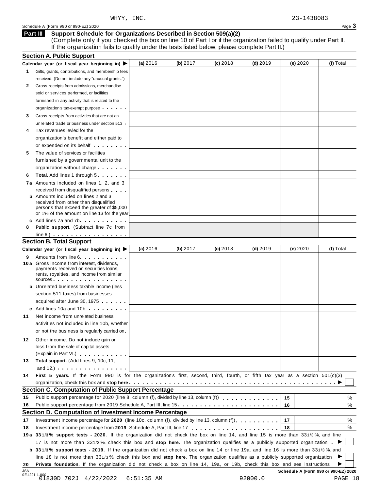### Schedule <sup>A</sup> (Form <sup>990</sup> or 990-EZ) <sup>2020</sup> Page **3**

### **Support Schedule for Organizations Described in Section 509(a)(2) Part III**

(Complete only if you checked the box on line 10 of Part I or if the organization failed to qualify under Part II. If the organization fails to qualify under the tests listed below, please complete Part II.)

|              | <b>Section A. Public Support</b>                                                                                                                                                                                                                                                                 |              |            |            |            |          |                                      |
|--------------|--------------------------------------------------------------------------------------------------------------------------------------------------------------------------------------------------------------------------------------------------------------------------------------------------|--------------|------------|------------|------------|----------|--------------------------------------|
|              | Calendar year (or fiscal year beginning in)                                                                                                                                                                                                                                                      | (a) $2016$   | (b) $2017$ | $(c)$ 2018 | $(d)$ 2019 | (e) 2020 | (f) Total                            |
| 1            | Gifts, grants, contributions, and membership fees                                                                                                                                                                                                                                                |              |            |            |            |          |                                      |
|              | received. (Do not include any "unusual grants.")                                                                                                                                                                                                                                                 |              |            |            |            |          |                                      |
| $\mathbf{2}$ | Gross receipts from admissions, merchandise                                                                                                                                                                                                                                                      |              |            |            |            |          |                                      |
|              | sold or services performed, or facilities                                                                                                                                                                                                                                                        |              |            |            |            |          |                                      |
|              | furnished in any activity that is related to the                                                                                                                                                                                                                                                 |              |            |            |            |          |                                      |
|              | organization's tax-exempt purpose                                                                                                                                                                                                                                                                |              |            |            |            |          |                                      |
| 3            | Gross receipts from activities that are not an                                                                                                                                                                                                                                                   |              |            |            |            |          |                                      |
|              | unrelated trade or business under section 513                                                                                                                                                                                                                                                    |              |            |            |            |          |                                      |
| 4            | Tax revenues levied for the                                                                                                                                                                                                                                                                      |              |            |            |            |          |                                      |
|              | organization's benefit and either paid to                                                                                                                                                                                                                                                        |              |            |            |            |          |                                      |
|              | or expended on its behalf <b>contained</b> and <b>contained</b> and <b>contained</b> and <b>contained</b> and <b>contained</b> and <b>contained</b> and <b>contained</b> and <b>contained</b> and <b>contained</b> and <b>contained</b> and <b>contained</b> and <b>contained</b> and <b>con</b> |              |            |            |            |          |                                      |
| 5            | The value of services or facilities                                                                                                                                                                                                                                                              |              |            |            |            |          |                                      |
|              | furnished by a governmental unit to the                                                                                                                                                                                                                                                          |              |            |            |            |          |                                      |
|              |                                                                                                                                                                                                                                                                                                  |              |            |            |            |          |                                      |
|              | organization without charge                                                                                                                                                                                                                                                                      |              |            |            |            |          |                                      |
| 6            | <b>Total.</b> Add lines 1 through 5                                                                                                                                                                                                                                                              |              |            |            |            |          |                                      |
|              | 7a Amounts included on lines 1, 2, and 3                                                                                                                                                                                                                                                         |              |            |            |            |          |                                      |
|              | received from disqualified persons                                                                                                                                                                                                                                                               |              |            |            |            |          |                                      |
|              | <b>b</b> Amounts included on lines 2 and 3<br>received from other than disqualified                                                                                                                                                                                                              |              |            |            |            |          |                                      |
|              | persons that exceed the greater of \$5,000                                                                                                                                                                                                                                                       |              |            |            |            |          |                                      |
|              | or 1% of the amount on line 13 for the year                                                                                                                                                                                                                                                      |              |            |            |            |          |                                      |
|              | c Add lines 7a and 7b                                                                                                                                                                                                                                                                            |              |            |            |            |          |                                      |
| 8            | Public support. (Subtract line 7c from                                                                                                                                                                                                                                                           |              |            |            |            |          |                                      |
|              | $line 6.)$                                                                                                                                                                                                                                                                                       |              |            |            |            |          |                                      |
|              | <b>Section B. Total Support</b>                                                                                                                                                                                                                                                                  |              |            |            |            |          |                                      |
|              | Calendar year (or fiscal year beginning in)                                                                                                                                                                                                                                                      | (a) 2016     | (b) $2017$ | $(c)$ 2018 | $(d)$ 2019 | (e) 2020 | (f) Total                            |
| 9            | Amounts from line 6                                                                                                                                                                                                                                                                              |              |            |            |            |          |                                      |
|              | 10 a Gross income from interest, dividends,<br>payments received on securities loans,<br>rents, royalties, and income from similar<br>sources                                                                                                                                                    |              |            |            |            |          |                                      |
|              | <b>b</b> Unrelated business taxable income (less                                                                                                                                                                                                                                                 |              |            |            |            |          |                                      |
|              | section 511 taxes) from businesses                                                                                                                                                                                                                                                               |              |            |            |            |          |                                      |
|              | acquired after June 30, 1975                                                                                                                                                                                                                                                                     |              |            |            |            |          |                                      |
|              | c Add lines 10a and 10b                                                                                                                                                                                                                                                                          |              |            |            |            |          |                                      |
|              |                                                                                                                                                                                                                                                                                                  |              |            |            |            |          |                                      |
| 11           | Net income from unrelated business                                                                                                                                                                                                                                                               |              |            |            |            |          |                                      |
|              | activities not included in line 10b, whether                                                                                                                                                                                                                                                     |              |            |            |            |          |                                      |
|              | or not the business is regularly carried on.                                                                                                                                                                                                                                                     |              |            |            |            |          |                                      |
| 12           | Other income. Do not include gain or                                                                                                                                                                                                                                                             |              |            |            |            |          |                                      |
|              | loss from the sale of capital assets                                                                                                                                                                                                                                                             |              |            |            |            |          |                                      |
|              | (Explain in Part VI.)                                                                                                                                                                                                                                                                            |              |            |            |            |          |                                      |
| 13           | Total support. (Add lines 9, 10c, 11,                                                                                                                                                                                                                                                            |              |            |            |            |          |                                      |
|              | and 12.) $\cdots$ $\cdots$ $\cdots$ $\cdots$                                                                                                                                                                                                                                                     |              |            |            |            |          |                                      |
| 14           | First 5 years. If the Form 990 is for the organization's first, second, third, fourth, or fifth tax year as a section 501(c)(3)                                                                                                                                                                  |              |            |            |            |          |                                      |
|              |                                                                                                                                                                                                                                                                                                  |              |            |            |            |          |                                      |
|              | <b>Section C. Computation of Public Support Percentage</b>                                                                                                                                                                                                                                       |              |            |            |            |          |                                      |
| 15           |                                                                                                                                                                                                                                                                                                  |              |            |            |            | 15       | %                                    |
| 16           | Public support percentage from 2019 Schedule A, Part III, line 15.                                                                                                                                                                                                                               |              |            |            |            | 16       | %                                    |
|              | Section D. Computation of Investment Income Percentage                                                                                                                                                                                                                                           |              |            |            |            |          |                                      |
| 17           | Investment income percentage for 2020 (line 10c, column (f), divided by line 13, column (f) $\ldots$ ,,,,,,,                                                                                                                                                                                     |              |            |            |            | 17       | %                                    |
| 18           |                                                                                                                                                                                                                                                                                                  |              |            |            |            | 18       | %                                    |
|              | 19a 331/3% support tests - 2020. If the organization did not check the box on line 14, and line 15 is more than 331/3%, and line                                                                                                                                                                 |              |            |            |            |          |                                      |
|              | 17 is not more than 331/3%, check this box and stop here. The organization qualifies as a publicly supported organization.                                                                                                                                                                       |              |            |            |            |          |                                      |
|              | b 331/3% support tests - 2019. If the organization did not check a box on line 14 or line 19a, and line 16 is more than 331/3%, and                                                                                                                                                              |              |            |            |            |          |                                      |
|              | line 18 is not more than 331/3%, check this box and stop here. The organization qualifies as a publicly supported organization                                                                                                                                                                   |              |            |            |            |          | ▶                                    |
| 20           | Private foundation. If the organization did not check a box on line 14, 19a, or 19b, check this box and see instructions                                                                                                                                                                         |              |            |            |            |          |                                      |
| <b>JSA</b>   |                                                                                                                                                                                                                                                                                                  |              |            |            |            |          | Schedule A (Form 990 or 990-EZ) 2020 |
|              | 0E1221 1.000<br>01830D 702J 4/22/2022                                                                                                                                                                                                                                                            | $6:51:35$ AM |            |            | 92000.0    |          | PAGE 18                              |
|              |                                                                                                                                                                                                                                                                                                  |              |            |            |            |          |                                      |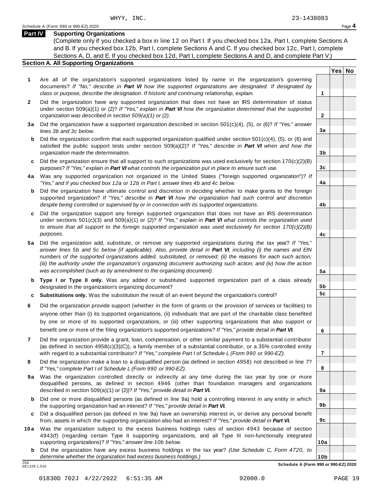**Yes No**

**2**

**3a**

**3b**

**3c**

**4a**

**4b**

**4c**

**5a**

**5b 5c**

**6**

**7**

**8**

**9a**

**9b**

**9c**

**10a**

### **Part IV Supporting Organizations**

(Complete only if you checked a box in line 12 on Part I. If you checked box 12a, Part I, complete Sections A and B. If you checked box 12b, Part I, complete Sections A and C. If you checked box 12c, Part I, complete Sections A, D, and E. If you checked box 12d, Part I, complete Sections A and D, and complete Part V.)

## **Section A. All Supporting Organizations**

- **1** Are all of the organization's supported organizations listed by name in the organization's governing documents? *If "No," describe in Part VI how the supported organizations are designated. If designated by class or purpose, describe the designation. If historic and continuing relationship, explain.* **1**
- **2** Did the organization have any supported organization that does not have an IRS determination of status under section 509(a)(1) or (2)? *If"Yes," explain in Part VI how the organization determined that the supported organization was described in section 509(a)(1) or (2).*
- **3 a** Did the organization have a supported organization described in section 501(c)(4), (5), or (6)? *If "Yes," answer lines 3b and 3c below.*
- **b** Did the organization confirm that each supported organization qualified under section 501(c)(4), (5), or (6) and | satisfied the public support tests under section 509(a)(2)? *If "Yes," describe in Part VI when and how the organization made the determination.*
- **c** Did the organization ensure that all support to such organizations was used exclusively for section 170(c)(2)(B) purposes? *If"Yes," explain in Part VI what controls the organization put in place to ensure such use.*
- **4 a** Was any supported organization not organized in the United States ("foreign supported organization")? *If "Yes," and if you checked box 12a or 12b in Part I, answer lines 4b and 4c below.*
- **b** Did the organization have ultimate control and discretion in deciding whether to make grants to the foreign | supported organization? *If "Yes," describe in Part VI how the organization had such control and discretion despite being controlled or supervised by or in connection with its supported organizations.*
- **c** Did the organization support any foreign supported organization that does not have an IRS determination | under sections 501(c)(3) and 509(a)(1) or (2)? *If "Yes," explain in Part VI what controls the organization used to ensure that all support to the foreign supported organization was used exclusively for section 170(c)(2)(B) purposes.*
- **5 a** Did the organization add, substitute, or remove any supported organizations during the tax year? *If "Yes,"* answer lines 5b and 5c below (if applicable). Also, provide detail in Part VI, including (i) the names and EIN *numbers of the supported organizations added, substituted, or removed; (ii) the reasons for each such action;* (iii) the authority under the organization's organizing document authorizing such action; and (iv) how the action *was accomplished (such as by amendment to the organizing document).*
- **b Type I or Type II only.** Was any added or substituted supported organization part of a class already designated in the organization's organizing document?
- **c Substitutions only.** Was the substitution the result of an event beyond the organization's control?
- **6** Did the organization provide support (whether in the form of grants or the provision of services or facilities) to anyone other than (i) its supported organizations, (ii) individuals that are part of the charitable class benefited by one or more of its supported organizations, or (iii) other supporting organizations that also support or benefit one or more of the filing organization's supported organizations? *If"Yes," provide detail in Part VI.*
- **7** Did the organization provide a grant, loan, compensation, or other similar payment to a substantial contributor (as defined in section 4958(c)(3)(C)), a family member of a substantial contributor, or a 35% controlled entity with regard to a substantial contributor? *If"Yes," complete Part I of Schedule L (Form 990 or 990-EZ).*
- **8** Did the organization make a loan to a disqualified person (as defined in section 4958) not described in line 7? *If "Yes," complete Part I of Schedule L (Form 990 or 990-EZ).*
- **9a** Was the organization controlled directly or indirectly at any time during the tax year by one or more | disqualified persons, as defined in section 4946 (other than foundation managers and organizations described in section 509(a)(1) or (2))? *If"Yes," provide detail in Part VI.*
- **b** Did one or more disqualified persons (as defined in line 9a) hold a controlling interest in any entity in which | the supporting organization had an interest? *If"Yes," provide detail in Part VI.*
- **c** Did a disqualified person (as defined in line 9a) have an ownership interest in, or derive any personal benefit from, assets in which the supporting organization also had an interest? *If"Yes," provide detail in Part VI.*
- **10a** Was the organization subject to the excess business holdings rules of section 4943 because of section | 4943(f) (regarding certain Type II supporting organizations, and all Type III non-functionally integrated supporting organizations)? *If"Yes," answer line 10b below.*
- **b** Did the organization have any excess business holdings in the tax year? *(Use Schedule C, Form 4720, to determine whether the organization had excess business holdings.)*

0E1229 1.010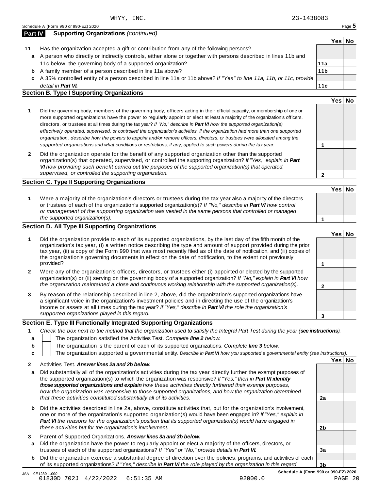WHYY, INC. 23-1438083

|    |                                                                                                                    |                 | Yes⊺ | No |
|----|--------------------------------------------------------------------------------------------------------------------|-----------------|------|----|
| 11 | Has the organization accepted a gift or contribution from any of the following persons?                            |                 |      |    |
| a  | A person who directly or indirectly controls, either alone or together with persons described in lines 11b and     |                 |      |    |
|    | 11c below, the governing body of a supported organization?                                                         | 11a             |      |    |
| b  | A family member of a person described in line 11a above?                                                           | 11 <sub>b</sub> |      |    |
| C. | A 35% controlled entity of a person described in line 11a or 11b above? If "Yes" to line 11a, 11b, or 11c, provide |                 |      |    |
|    | detail in <b>Part VI.</b>                                                                                          | 11c             |      |    |

|              |                                                                                                                                                                                                                                                                                                                                                                                                                                                                                                                                                                                                                                                                                                                                                                                 | Yes. | No |
|--------------|---------------------------------------------------------------------------------------------------------------------------------------------------------------------------------------------------------------------------------------------------------------------------------------------------------------------------------------------------------------------------------------------------------------------------------------------------------------------------------------------------------------------------------------------------------------------------------------------------------------------------------------------------------------------------------------------------------------------------------------------------------------------------------|------|----|
| 1            | Did the governing body, members of the governing body, officers acting in their official capacity, or membership of one or<br>more supported organizations have the power to regularly appoint or elect at least a majority of the organization's officers,<br>directors, or trustees at all times during the tax year? If "No," describe in <b>Part VI</b> how the supported organization(s)<br>effectively operated, supervised, or controlled the organization's activities. If the organization had more than one supported<br>organization, describe how the powers to appoint and/or remove officers, directors, or trustees were allocated among the<br>supported organizations and what conditions or restrictions, if any, applied to such powers during the tax year. |      |    |
| $\mathbf{2}$ | Did the organization operate for the benefit of any supported organization other than the supported<br>organization(s) that operated, supervised, or controlled the supporting organization? If "Yes," explain in Part<br>10 have a greateful a could have the countried and the commences of the commented concentration (a) that concertail                                                                                                                                                                                                                                                                                                                                                                                                                                   |      |    |

**2** *VI how providing such benefit carried out the purposes of the supported organization(s) that operated, supervised, or controlled the supporting organization.*

## **Section C. Type II Supporting Organizations**

**1 Yes No 1** Were a majority of the organization's directors or trustees during the tax year also a majority of the directors or trustees of each of the organization's supported organization(s)? *If"No," describe in Part VI how control or management of the supporting organization was vested in the same persons that controlled or managed the supported organization(s).*

### **Section D. All Type III Supporting Organizations**

|   |                                                                                                                                                                                                                                                                                                                                                                                                                                                                                          | Yes⊺ |  |
|---|------------------------------------------------------------------------------------------------------------------------------------------------------------------------------------------------------------------------------------------------------------------------------------------------------------------------------------------------------------------------------------------------------------------------------------------------------------------------------------------|------|--|
|   | Did the organization provide to each of its supported organizations, by the last day of the fifth month of the<br>organization's tax year, (i) a written notice describing the type and amount of support provided during the prior<br>tax year, (ii) a copy of the Form 990 that was most recently filed as of the date of notification, and (iii) copies of<br>the organization's governing documents in effect on the date of notification, to the extent not previously<br>provided? |      |  |
| 2 | Were any of the organization's officers, directors, or trustees either (i) appointed or elected by the supported<br>organization(s) or (ii) serving on the governing body of a supported organization? If "No," explain in <b>Part VI</b> how<br>the organization maintained a close and continuous working relationship with the supported organization(s).                                                                                                                             |      |  |
| 3 | By reason of the relationship described in line 2, above, did the organization's supported organizations have<br>a significant voice in the organization's investment policies and in directing the use of the organization's<br>income or assets at all times during the tax year? If "Yes," describe in Part VI the role the organization's                                                                                                                                            |      |  |
|   | supported organizations played in this regard.                                                                                                                                                                                                                                                                                                                                                                                                                                           |      |  |

### **Section E. Type III Functionally Integrated Supporting Organizations**

|   | Check the box next to the method that the organization used to satisfy the Integral Part Test during the year (see instructions). |  |  |           |
|---|-----------------------------------------------------------------------------------------------------------------------------------|--|--|-----------|
|   | The organization satisfied the Activities Test. Complete line 2 below.                                                            |  |  |           |
| b | The organization is the parent of each of its supported organizations. Complete line 3 below.                                     |  |  |           |
| c | The organization supported a governmental entity. Describe in Part VI how you supported a governmental entity (see instructions). |  |  |           |
|   |                                                                                                                                   |  |  | Yes<br>No |
|   | Activities Test. Answer lines 2a and 2b below.                                                                                    |  |  |           |

| a | Did substantially all of the organization's activities during the tax year directly further the exempt purposes of<br>the supported organization(s) to which the organization was responsive? If "Yes," then in Part VI identify<br>those supported organizations and explain how these activities directly furthered their exempt purposes,<br>how the organization was responsive to those supported organizations, and how the organization determined |    |  |
|---|-----------------------------------------------------------------------------------------------------------------------------------------------------------------------------------------------------------------------------------------------------------------------------------------------------------------------------------------------------------------------------------------------------------------------------------------------------------|----|--|
|   | that these activities constituted substantially all of its activities.                                                                                                                                                                                                                                                                                                                                                                                    | 2a |  |
| b | Did the activities described in line 2a, above, constitute activities that, but for the organization's involvement,<br>one or more of the organization's supported organization(s) would have been engaged in? If "Yes," explain in<br><b>Part VI</b> the reasons for the organization's position that its supported organization(s) would have engaged in<br>these activities but for the organization's involvement.                                    | 2b |  |
| 3 | Parent of Supported Organizations. Answer lines 3a and 3b below.                                                                                                                                                                                                                                                                                                                                                                                          |    |  |
| a | Did the organization have the power to regularly appoint or elect a majority of the officers, directors, or                                                                                                                                                                                                                                                                                                                                               |    |  |
|   | trustees of each of the supported organizations? If "Yes" or "No," provide details in Part VI.                                                                                                                                                                                                                                                                                                                                                            | Зa |  |
| b | Did the organization exercise a substantial degree of direction over the policies, programs, and activities of each                                                                                                                                                                                                                                                                                                                                       |    |  |
|   | of its supported organizations? If "Yes," describe in <b>Part VI</b> the role played by the organization in this regard.                                                                                                                                                                                                                                                                                                                                  | 3b |  |

JSA 0E1230 1.000 01830D 702J 4/22/2022 6:51:35 AM 92000.0 PAGE 20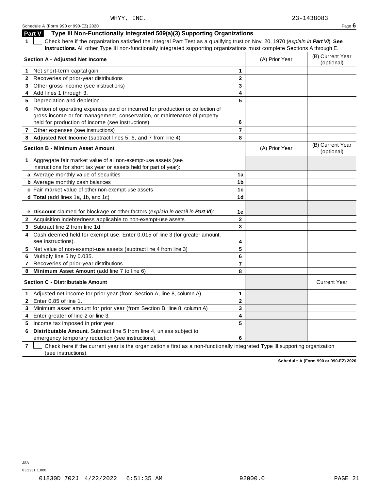| Schedule A (Form 990 or 990-EZ) 2020                                                                                                  |                |                | Page 6                         |
|---------------------------------------------------------------------------------------------------------------------------------------|----------------|----------------|--------------------------------|
| Type III Non-Functionally Integrated 509(a)(3) Supporting Organizations<br>Part V                                                     |                |                |                                |
| Check here if the organization satisfied the Integral Part Test as a qualifying trust on Nov. 20, 1970 (explain in Part VI). See<br>1 |                |                |                                |
| instructions. All other Type III non-functionally integrated supporting organizations must complete Sections A through E.             |                |                |                                |
| <b>Section A - Adjusted Net Income</b>                                                                                                | (A) Prior Year |                | (B) Current Year<br>(optional) |
| Net short-term capital gain<br>1.                                                                                                     | $\mathbf{1}$   |                |                                |
| Recoveries of prior-year distributions<br>$\mathbf{2}$                                                                                | $\mathbf 2$    |                |                                |
| 3 Other gross income (see instructions)                                                                                               | 3              |                |                                |
| Add lines 1 through 3.<br>4                                                                                                           | 4              |                |                                |
| Depreciation and depletion<br>5                                                                                                       | 5              |                |                                |
| 6 Portion of operating expenses paid or incurred for production or collection of                                                      |                |                |                                |
| gross income or for management, conservation, or maintenance of property                                                              |                |                |                                |
| held for production of income (see instructions)                                                                                      | 6              |                |                                |
| 7 Other expenses (see instructions)                                                                                                   | $\overline{7}$ |                |                                |
| Adjusted Net Income (subtract lines 5, 6, and 7 from line 4)<br>8                                                                     | 8              |                |                                |
| <b>Section B - Minimum Asset Amount</b>                                                                                               |                | (A) Prior Year | (B) Current Year<br>(optional) |
| 1 Aggregate fair market value of all non-exempt-use assets (see                                                                       |                |                |                                |
| instructions for short tax year or assets held for part of year):                                                                     |                |                |                                |
| a Average monthly value of securities                                                                                                 | 1a             |                |                                |
| <b>b</b> Average monthly cash balances                                                                                                | 1 <sub>b</sub> |                |                                |
| c Fair market value of other non-exempt-use assets                                                                                    | 1c             |                |                                |
| d Total (add lines 1a, 1b, and 1c)                                                                                                    | 1 <sub>d</sub> |                |                                |
|                                                                                                                                       |                |                |                                |
| e Discount claimed for blockage or other factors (explain in detail in Part VI):                                                      | 1e             |                |                                |
| 2 Acquisition indebtedness applicable to non-exempt-use assets                                                                        | $\mathbf{2}$   |                |                                |
| Subtract line 2 from line 1d.<br>3                                                                                                    | 3              |                |                                |
| Cash deemed held for exempt use. Enter 0.015 of line 3 (for greater amount,<br>4<br>see instructions).                                | 4              |                |                                |
| 5 Net value of non-exempt-use assets (subtract line 4 from line 3)                                                                    | 5              |                |                                |
| 6 Multiply line 5 by 0.035.                                                                                                           | 6              |                |                                |
| Recoveries of prior-year distributions<br>7                                                                                           | $\overline{7}$ |                |                                |
| Minimum Asset Amount (add line 7 to line 6)<br>8                                                                                      | 8              |                |                                |
| <b>Section C - Distributable Amount</b>                                                                                               |                |                | <b>Current Year</b>            |
| Adjusted net income for prior year (from Section A, line 8, column A)<br>1                                                            | 1              |                |                                |
| Enter 0.85 of line 1.<br>$\mathbf{2}$                                                                                                 | $\mathbf 2$    |                |                                |
| Minimum asset amount for prior year (from Section B, line 8, column A)<br>3                                                           | 3              |                |                                |
| 4 Enter greater of line 2 or line 3.                                                                                                  | 4              |                |                                |
| Income tax imposed in prior year<br>5                                                                                                 | 5              |                |                                |
| Distributable Amount. Subtract line 5 from line 4, unless subject to<br>6                                                             |                |                |                                |
| emergency temporary reduction (see instructions).                                                                                     | 6              |                |                                |

**7** Check here if the current year is the organization's first as a non-functionally integrated Type III supporting organization (see instructions).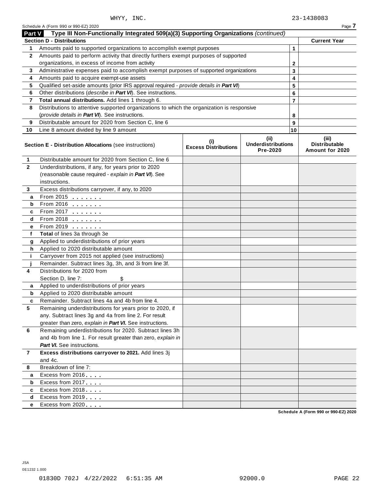|              | Schedule A (Form 990 or 990-EZ) 2020                                                       |                                    |                                       |                | Page 7                                  |
|--------------|--------------------------------------------------------------------------------------------|------------------------------------|---------------------------------------|----------------|-----------------------------------------|
| Part V       | Type III Non-Functionally Integrated 509(a)(3) Supporting Organizations (continued)        |                                    |                                       |                |                                         |
|              | <b>Section D - Distributions</b>                                                           |                                    |                                       |                | <b>Current Year</b>                     |
| 1            | Amounts paid to supported organizations to accomplish exempt purposes                      |                                    |                                       | 1              |                                         |
| $\mathbf{2}$ | Amounts paid to perform activity that directly furthers exempt purposes of supported       |                                    |                                       |                |                                         |
|              | organizations, in excess of income from activity                                           |                                    | 2                                     |                |                                         |
| 3            | Administrative expenses paid to accomplish exempt purposes of supported organizations      |                                    |                                       | 3              |                                         |
| 4            | Amounts paid to acquire exempt-use assets                                                  |                                    |                                       | 4              |                                         |
| 5            | Qualified set-aside amounts (prior IRS approval required - provide details in Part VI)     |                                    |                                       | 5              |                                         |
| 6            | Other distributions (describe in Part VI). See instructions.                               |                                    |                                       | 6              |                                         |
| 7            | Total annual distributions. Add lines 1 through 6.                                         |                                    |                                       | $\overline{7}$ |                                         |
| 8            | Distributions to attentive supported organizations to which the organization is responsive |                                    |                                       |                |                                         |
|              | (provide details in Part VI). See instructions.                                            |                                    |                                       | 8              |                                         |
| 9            | Distributable amount for 2020 from Section C, line 6                                       |                                    |                                       | 9              |                                         |
| 10           | Line 8 amount divided by line 9 amount                                                     |                                    |                                       | 10             |                                         |
|              |                                                                                            |                                    | (ii)                                  |                | (iii)                                   |
|              | Section E - Distribution Allocations (see instructions)                                    | (i)<br><b>Excess Distributions</b> | <b>Underdistributions</b><br>Pre-2020 |                | <b>Distributable</b><br>Amount for 2020 |
| 1            | Distributable amount for 2020 from Section C, line 6                                       |                                    |                                       |                |                                         |
| 2            | Underdistributions, if any, for years prior to 2020                                        |                                    |                                       |                |                                         |
|              | (reasonable cause required - explain in Part VI). See                                      |                                    |                                       |                |                                         |
|              | instructions.                                                                              |                                    |                                       |                |                                         |
| 3            | Excess distributions carryover, if any, to 2020                                            |                                    |                                       |                |                                         |
| a            | From 2015 <b></b>                                                                          |                                    |                                       |                |                                         |
| b            |                                                                                            |                                    |                                       |                |                                         |
| c            | From 2017                                                                                  |                                    |                                       |                |                                         |
| d            | From 2018                                                                                  |                                    |                                       |                |                                         |
| е            | From 2019 <b></b>                                                                          |                                    |                                       |                |                                         |
| f            | Total of lines 3a through 3e                                                               |                                    |                                       |                |                                         |
| g            | Applied to underdistributions of prior years                                               |                                    |                                       |                |                                         |
| h            | Applied to 2020 distributable amount                                                       |                                    |                                       |                |                                         |
| j.           | Carryover from 2015 not applied (see instructions)                                         |                                    |                                       |                |                                         |
|              | Remainder. Subtract lines 3g, 3h, and 3i from line 3f.                                     |                                    |                                       |                |                                         |
| 4            | Distributions for 2020 from                                                                |                                    |                                       |                |                                         |
|              | Section D, line 7:<br>\$                                                                   |                                    |                                       |                |                                         |
| a            | Applied to underdistributions of prior years                                               |                                    |                                       |                |                                         |
| b            | Applied to 2020 distributable amount                                                       |                                    |                                       |                |                                         |
| c            | Remainder. Subtract lines 4a and 4b from line 4                                            |                                    |                                       |                |                                         |
| 5            | Remaining underdistributions for years prior to 2020, if                                   |                                    |                                       |                |                                         |
|              | any. Subtract lines 3g and 4a from line 2. For result                                      |                                    |                                       |                |                                         |
|              | greater than zero, explain in Part VI. See instructions.                                   |                                    |                                       |                |                                         |
| 6            | Remaining underdistributions for 2020. Subtract lines 3h                                   |                                    |                                       |                |                                         |
|              | and 4b from line 1. For result greater than zero, explain in                               |                                    |                                       |                |                                         |
|              | <b>Part VI.</b> See instructions.                                                          |                                    |                                       |                |                                         |
| 7            | Excess distributions carryover to 2021. Add lines 3j                                       |                                    |                                       |                |                                         |
|              | and 4c.                                                                                    |                                    |                                       |                |                                         |
| 8            | Breakdown of line 7:                                                                       |                                    |                                       |                |                                         |
|              | Excess from 2016                                                                           |                                    |                                       |                |                                         |
| a            | Excess from 2017                                                                           |                                    |                                       |                |                                         |
| b            |                                                                                            |                                    |                                       |                |                                         |
| c            | Excess from 2018                                                                           |                                    |                                       |                |                                         |
| d            | Excess from 2019                                                                           |                                    |                                       |                |                                         |
| е            | Excess from 2020                                                                           |                                    |                                       |                |                                         |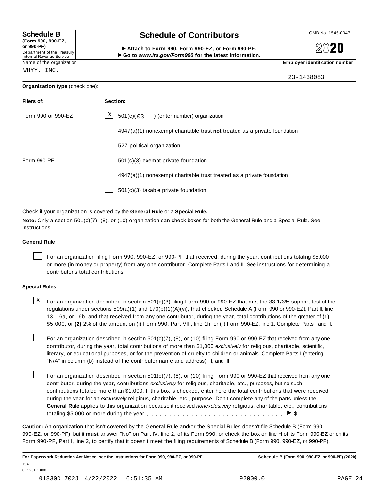| (Form 990, 990-EZ,         |  |
|----------------------------|--|
| or 990-PF)                 |  |
| Department of the Treasury |  |
| Internal Revenue Service   |  |

WHYY, INC.

**Organization type** (check one):

## **Schedule B chedule of Contributors**

(Form 990, 990-EZ,<br>
or 990-PF,<br>
Department of the Treasury **COLOCY**<br>
Internal Revenue Service **COLOCY**<br>
Name of the organization<br>
Name of the organization

**2020** 

23-1438083

| $\frac{1}{2}$ . gaineactor: cypo (0.1001). |                                                                             |
|--------------------------------------------|-----------------------------------------------------------------------------|
| Filers of:                                 | Section:                                                                    |
| Form 990 or 990-EZ                         | $\mathbf{x}$<br>501(c)(03) (enter number) organization                      |
|                                            | $4947(a)(1)$ nonexempt charitable trust not treated as a private foundation |
|                                            | 527 political organization                                                  |
| Form 990-PF                                | 501(c)(3) exempt private foundation                                         |
|                                            | 4947(a)(1) nonexempt charitable trust treated as a private foundation       |
|                                            | $501(c)(3)$ taxable private foundation                                      |

Check if your organization is covered by the **General Rule** or a **Special Rule.**

**Note:** Only a section 501(c)(7), (8), or (10) organization can check boxes for both the General Rule and a Special Rule. See instructions.

### **General Rule**

For an organization filing Form 990, 990-EZ, or 990-PF that received, during the year, contributions totaling \$5,000 or more (in money or property) from any one contributor. Complete Parts I and II. See instructions for determining a contributor's total contributions.

### **Special Rules**

 $\text{X}$  For an organization described in section 501(c)(3) filing Form 990 or 990-EZ that met the 33 1/3% support test of the regulations under sections 509(a)(1) and 170(b)(1)(A)(vi), that checked Schedule A (Form 990 or 990-EZ), Part II, line 13, 16a, or 16b, and that received from any one contributor, during the year, total contributions of the greater of **(1)** \$5,000; or **(2)** 2% of the amount on (i) Form 990, Part VIII, line 1h; or (ii) Form 990-EZ, line 1. Complete Parts I and II.

For an organization described in section 501(c)(7), (8), or (10) filing Form 990 or 990-EZ that received from any one contributor, during the year, total contributions of more than \$1,000 *exclusively* for religious, charitable, scientific, literary, or educational purposes, or for the prevention of cruelty to children or animals. Complete Parts I (entering "N/A" in column (b) instead of the contributor name and address), II, and III.

For an organization described in section 501(c)(7), (8), or (10) filing Form 990 or 990-EZ that received from any one contributor, during the year, contributions *exclusively* for religious, charitable, etc., purposes, but no such contributions totaled more than \$1,000. If this box is checked, enter here the total contributions that were received during the year for an *exclusively* religious, charitable, etc., purpose. Don't complete any of the parts unless the **General Rule** applies to this organization because it received *nonexclusively* religious, charitable, etc., contributions totaling \$5,000 or more during the year  $\ldots \ldots \ldots \ldots \ldots \ldots \ldots \ldots \ldots \vdots$ 

**Caution:** An organization that isn't covered by the General Rule and/or the Special Rules doesn't file Schedule B (Form 990, 990-EZ, or 990-PF), but it **must** answer "No" on Part IV, line 2, of its Form 990; or check the box on line H of its Form 990-EZ or on its Form 990-PF, Part I, line 2, to certify that it doesn't meet the filing requirements of Schedule B (Form 990, 990-EZ, or 990-PF).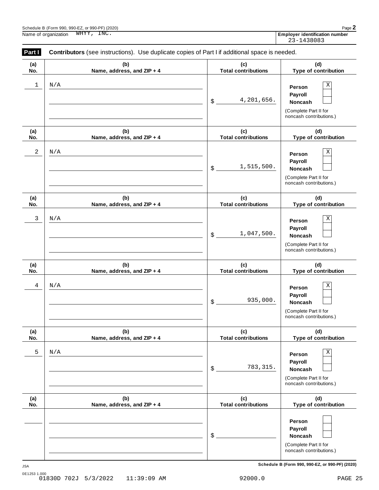| Part I     | Contributors (see instructions). Use duplicate copies of Part I if additional space is needed. |                                   |                                                                                                 |  |  |
|------------|------------------------------------------------------------------------------------------------|-----------------------------------|-------------------------------------------------------------------------------------------------|--|--|
| (a)<br>No. | (b)<br>Name, address, and ZIP + 4                                                              | (c)<br><b>Total contributions</b> | (d)<br>Type of contribution                                                                     |  |  |
| 1          | N/A                                                                                            | 4,201,656.<br>$\frac{1}{2}$       | $\mathbf X$<br>Person<br>Payroll<br>Noncash<br>(Complete Part II for<br>noncash contributions.) |  |  |
| (a)<br>No. | (b)<br>Name, address, and ZIP + 4                                                              | (c)<br><b>Total contributions</b> | (d)<br>Type of contribution                                                                     |  |  |
| 2          | N/A                                                                                            | 1,515,500.<br>$\frac{1}{2}$       | Χ<br>Person<br>Payroll<br>Noncash<br>(Complete Part II for<br>noncash contributions.)           |  |  |
| (a)<br>No. | (b)<br>Name, address, and ZIP + 4                                                              | (c)<br><b>Total contributions</b> | (d)<br>Type of contribution                                                                     |  |  |
| 3          | N/A                                                                                            | 1,047,500.<br>$\frac{1}{2}$       | Χ<br>Person<br>Payroll<br>Noncash<br>(Complete Part II for<br>noncash contributions.)           |  |  |
| (a)<br>No. | (b)<br>Name, address, and ZIP + 4                                                              | (c)<br><b>Total contributions</b> | (d)<br>Type of contribution                                                                     |  |  |
| 4          | N/A                                                                                            | 935,000.<br>\$                    | Χ<br>Person<br>Payroll<br>Noncash<br>(Complete Part II for<br>noncash contributions.)           |  |  |
| (a)<br>No. | (b)<br>Name, address, and ZIP + 4                                                              | (c)<br><b>Total contributions</b> | (d)<br>Type of contribution                                                                     |  |  |
| 5          | N/A                                                                                            | 783, 315.<br>\$                   | Χ<br>Person<br>Payroll<br>Noncash<br>(Complete Part II for<br>noncash contributions.)           |  |  |
| (a)<br>No. | (b)<br>Name, address, and ZIP + 4                                                              | (c)<br><b>Total contributions</b> | (d)<br>Type of contribution                                                                     |  |  |
|            |                                                                                                | \$                                | Person<br>Payroll<br>Noncash<br>(Complete Part II for<br>noncash contributions.)                |  |  |

**Schedule B (Form 990, 990-EZ, or 990-PF) (2020)** JSA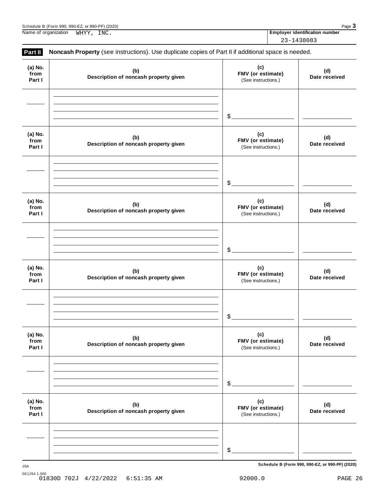| Schedule B (Form 990, 990-EZ, or 990-PF) (2020)                                                                  | Page 3                                |
|------------------------------------------------------------------------------------------------------------------|---------------------------------------|
| Name of organization<br>WHYY, INC.                                                                               | <b>Employer identification number</b> |
|                                                                                                                  | 23-1438083                            |
| <b>Part II</b> Noncash Property (see instructions) Use duplicate copies of Part II if additional space is peeded |                                       |

**Schedule B (Form 990, 990-EZ, or 990-PF) (2020)** JSA

| Part II                   | Noncash Property (see instructions). Use duplicate copies of Part II if additional space is needed. |                                                 |                      |
|---------------------------|-----------------------------------------------------------------------------------------------------|-------------------------------------------------|----------------------|
| (a) No.<br>from<br>Part I | (b)<br>Description of noncash property given                                                        | (c)<br>FMV (or estimate)<br>(See instructions.) | (d)<br>Date received |
|                           |                                                                                                     | $\mathcal{L}_{\mathcal{L}}$                     |                      |
| (a) No.<br>from<br>Part I | (b)<br>Description of noncash property given                                                        | (c)<br>FMV (or estimate)<br>(See instructions.) | (d)<br>Date received |
|                           |                                                                                                     | $\mathcal{L}_{\mathcal{L}}$                     |                      |
| (a) No.<br>from<br>Part I | (b)<br>Description of noncash property given                                                        | (c)<br>FMV (or estimate)<br>(See instructions.) | (d)<br>Date received |
|                           |                                                                                                     | $\mathcal{L}_{\mathcal{L}}$                     |                      |
| (a) No.<br>from<br>Part I | (b)<br>Description of noncash property given                                                        | (c)<br>FMV (or estimate)<br>(See instructions.) | (d)<br>Date received |
|                           |                                                                                                     | \$                                              |                      |
| (a) No.<br>from<br>Part I | (b)<br>Description of noncash property given                                                        | (c)<br>FMV (or estimate)<br>(See instructions.) | (d)<br>Date received |
|                           |                                                                                                     | $\boldsymbol{\$}$                               |                      |
| (a) No.<br>from<br>Part I | (b)<br>Description of noncash property given                                                        | (c)<br>FMV (or estimate)<br>(See instructions.) | (d)<br>Date received |
|                           |                                                                                                     |                                                 |                      |
|                           |                                                                                                     | \$                                              |                      |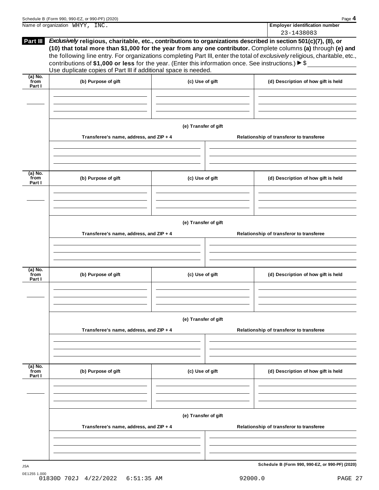|                              |                                                                                                                                                                                        |                      | <b>Employer identification number</b><br>23-1438083                                                                                                                                                                                                                                                                                                              |
|------------------------------|----------------------------------------------------------------------------------------------------------------------------------------------------------------------------------------|----------------------|------------------------------------------------------------------------------------------------------------------------------------------------------------------------------------------------------------------------------------------------------------------------------------------------------------------------------------------------------------------|
| Part III                     | contributions of \$1,000 or less for the year. (Enter this information once. See instructions.) $\triangleright$ \$<br>Use duplicate copies of Part III if additional space is needed. |                      | Exclusively religious, charitable, etc., contributions to organizations described in section 501(c)(7), (8), or<br>(10) that total more than \$1,000 for the year from any one contributor. Complete columns (a) through (e) and<br>the following line entry. For organizations completing Part III, enter the total of exclusively religious, charitable, etc., |
| (a) No.<br>from<br>Part I    | (b) Purpose of gift                                                                                                                                                                    | (c) Use of gift      | (d) Description of how gift is held                                                                                                                                                                                                                                                                                                                              |
|                              |                                                                                                                                                                                        |                      |                                                                                                                                                                                                                                                                                                                                                                  |
|                              | Transferee's name, address, and ZIP + 4                                                                                                                                                | (e) Transfer of gift | Relationship of transferor to transferee                                                                                                                                                                                                                                                                                                                         |
|                              |                                                                                                                                                                                        |                      |                                                                                                                                                                                                                                                                                                                                                                  |
| (a) No.<br>from<br>Part I    | (b) Purpose of gift                                                                                                                                                                    | (c) Use of gift      | (d) Description of how gift is held                                                                                                                                                                                                                                                                                                                              |
|                              |                                                                                                                                                                                        |                      |                                                                                                                                                                                                                                                                                                                                                                  |
|                              | Transferee's name, address, and ZIP + 4                                                                                                                                                | (e) Transfer of gift | Relationship of transferor to transferee                                                                                                                                                                                                                                                                                                                         |
| (a) No.<br>from<br>Part I    | (b) Purpose of gift                                                                                                                                                                    | (c) Use of gift      | (d) Description of how gift is held                                                                                                                                                                                                                                                                                                                              |
|                              |                                                                                                                                                                                        |                      |                                                                                                                                                                                                                                                                                                                                                                  |
|                              |                                                                                                                                                                                        | (e) Transfer of gift |                                                                                                                                                                                                                                                                                                                                                                  |
|                              | Transferee's name, address, and ZIP + 4                                                                                                                                                |                      | Relationship of transferor to transferee                                                                                                                                                                                                                                                                                                                         |
|                              | (b) Purpose of gift                                                                                                                                                                    | (c) Use of gift      | (d) Description of how gift is held                                                                                                                                                                                                                                                                                                                              |
|                              |                                                                                                                                                                                        |                      |                                                                                                                                                                                                                                                                                                                                                                  |
|                              |                                                                                                                                                                                        | (e) Transfer of gift |                                                                                                                                                                                                                                                                                                                                                                  |
|                              | Transferee's name, address, and ZIP + 4                                                                                                                                                |                      | Relationship of transferor to transferee                                                                                                                                                                                                                                                                                                                         |
| $(a)$ No.<br>`from<br>Part I |                                                                                                                                                                                        |                      |                                                                                                                                                                                                                                                                                                                                                                  |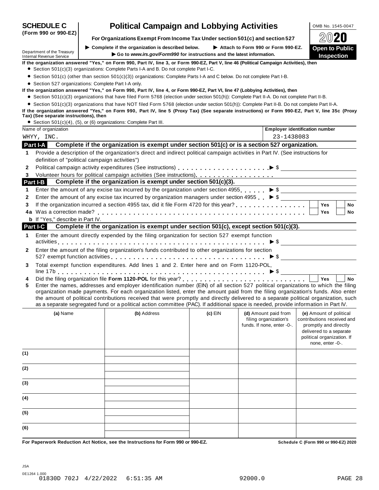|            | For Paperwork Reduction Act Notice, see the Instructions for Form 990 or 990-EZ. |  |         | Schedule C (Form 990 or 990-EZ) 2020 |  |
|------------|----------------------------------------------------------------------------------|--|---------|--------------------------------------|--|
|            |                                                                                  |  |         |                                      |  |
|            |                                                                                  |  |         |                                      |  |
| <b>JSA</b> |                                                                                  |  |         |                                      |  |
|            | 0E1264 1.000<br>01830D 702J 4/22/2022 6:51:35 AM                                 |  | 92000.0 | PAGE 28                              |  |
|            |                                                                                  |  |         |                                      |  |

| <b>SCHEDULE C</b> | <b>Political Campaign and Lobbying Activities</b> | OMB No. 1545-0047 |
|-------------------|---------------------------------------------------|-------------------|

**For Organizations Exempt From Income Tax Under section 501(c) and section <sup>527</sup>** À¾¶´

I **Complete if the organization is described below.** I **Attach to Form <sup>990</sup> or Form 990-EZ. Open to Public**

Department of the Treasury **IGO Formplete if the organization is described below.** it is a and the latest information.<br>
Internal Revenue Service **Inspection**<br>
Inspection

If the organization answered "Yes," on Form 990, Part IV, line 3, or Form 990-EZ, Part V, line 46 (Political Campaign Activities), then

● Section 501(c)(3) organizations: Complete Parts I-A and B. Do not complete Part I-C.

Section 501(c)(3) organizations: Complete Parts I-A and B. Do not complete Part I-C.<br>• Section 501(c) (other than section 501(c)(3)) organizations: Complete Parts I-A and C below. Do not complete Part I-B.

Section 501(c) (other than section 501(c)(3)) organizations: Complete Part I-A only.<br>• Section 527 organizations: Complete Part I-A only.

**(Form 990 or 990-EZ)**

**(1)**

**(2)**

**(3)**

**(4)**

**(5)**

**(6)**

If the organization answered "Yes," on Form 990, Part IV, line 4, or Form 990-EZ, Part VI, line 47 (Lobbying Activities), then<br>• Section 501(c)(3) organizations that have filed Form 5768 (election under section 501(h)): C

Section 501(c)(3) organizations that have filed Form 5768 (election under section 501(h)): Complete Part II-A. Do not complete Part II-B.<br>• Section 501(c)(3) organizations that have NOT filed Form 5768 (election under sect

If the organization answered "Yes," on Form 990, Part IV, line 5 (Proxy Tax) (See separate instructions) or Form 990-EZ, Part V, line 35c (Proxy Tax) (See separate instructions), then

 $\bullet$  Section 501(c)(4), (5), or (6) organizations: Complete Part III.

|                | Name of organization                           |                                                                                                                                                                                                                                                                         |           |                                                     | <b>Employer identification number</b>            |           |
|----------------|------------------------------------------------|-------------------------------------------------------------------------------------------------------------------------------------------------------------------------------------------------------------------------------------------------------------------------|-----------|-----------------------------------------------------|--------------------------------------------------|-----------|
|                | WHYY, INC.                                     |                                                                                                                                                                                                                                                                         |           | 23-1438083                                          |                                                  |           |
|                | Part I-A                                       | Complete if the organization is exempt under section 501(c) or is a section 527 organization.                                                                                                                                                                           |           |                                                     |                                                  |           |
| 1.             |                                                | Provide a description of the organization's direct and indirect political campaign activities in Part IV. (See instructions for                                                                                                                                         |           |                                                     |                                                  |           |
|                | definition of "political campaign activities") |                                                                                                                                                                                                                                                                         |           |                                                     |                                                  |           |
| $\overline{2}$ |                                                |                                                                                                                                                                                                                                                                         |           |                                                     |                                                  |           |
| 3              |                                                |                                                                                                                                                                                                                                                                         |           |                                                     |                                                  |           |
|                | Part I-B                                       | Complete if the organization is exempt under section 501(c)(3).                                                                                                                                                                                                         |           |                                                     |                                                  |           |
| 1.             |                                                | Enter the amount of any excise tax incurred by the organization under section 4955. $\triangleright$ \$                                                                                                                                                                 |           |                                                     |                                                  |           |
| 2              |                                                | Enter the amount of any excise tax incurred by organization managers under section 4955 $\triangleright$ \$                                                                                                                                                             |           |                                                     |                                                  |           |
| 3              |                                                |                                                                                                                                                                                                                                                                         |           |                                                     | <b>Yes</b>                                       | <b>No</b> |
|                |                                                |                                                                                                                                                                                                                                                                         |           |                                                     | Yes                                              | No        |
|                | <b>b</b> If "Yes." describe in Part IV.        |                                                                                                                                                                                                                                                                         |           |                                                     |                                                  |           |
|                | Part I-C                                       | Complete if the organization is exempt under section 501(c), except section 501(c)(3).                                                                                                                                                                                  |           |                                                     |                                                  |           |
| 1              |                                                | Enter the amount directly expended by the filing organization for section 527 exempt function                                                                                                                                                                           |           |                                                     |                                                  |           |
| $\overline{2}$ |                                                | Enter the amount of the filing organization's funds contributed to other organizations for section                                                                                                                                                                      |           |                                                     |                                                  |           |
|                |                                                |                                                                                                                                                                                                                                                                         |           |                                                     |                                                  |           |
| 3              |                                                | Total exempt function expenditures. Add lines 1 and 2. Enter here and on Form 1120-POL,                                                                                                                                                                                 |           |                                                     |                                                  |           |
|                |                                                |                                                                                                                                                                                                                                                                         |           |                                                     |                                                  |           |
| 4              |                                                |                                                                                                                                                                                                                                                                         |           |                                                     | Yes                                              | <b>No</b> |
| 5              |                                                | Enter the names, addresses and employer identification number (EIN) of all section 527 political organizations to which the filing                                                                                                                                      |           |                                                     |                                                  |           |
|                |                                                | organization made payments. For each organization listed, enter the amount paid from the filing organization's funds. Also enter<br>the amount of political contributions received that were promptly and directly delivered to a separate political organization, such |           |                                                     |                                                  |           |
|                |                                                | as a separate segregated fund or a political action committee (PAC). If additional space is needed, provide information in Part IV.                                                                                                                                     |           |                                                     |                                                  |           |
|                | (a) Name                                       | (b) Address                                                                                                                                                                                                                                                             | $(c)$ EIN | (d) Amount paid from                                | (e) Amount of political                          |           |
|                |                                                |                                                                                                                                                                                                                                                                         |           | filing organization's<br>funds. If none, enter -0-. | contributions received and                       |           |
|                |                                                |                                                                                                                                                                                                                                                                         |           |                                                     | promptly and directly<br>delivered to a separate |           |
|                |                                                |                                                                                                                                                                                                                                                                         |           |                                                     | political organization. If                       |           |
|                |                                                |                                                                                                                                                                                                                                                                         |           |                                                     | none, enter -0-.                                 |           |

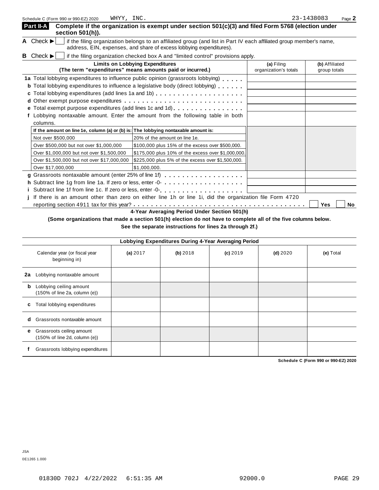WHYY, INC. 23-1438083

| WHYY, INC.<br>Schedule C (Form 990 or 990-EZ) 2020                                 |                                                                                                                                                                                                                                                                                                                                                                                                   |                                     | 23-1438083<br>Page 2           |
|------------------------------------------------------------------------------------|---------------------------------------------------------------------------------------------------------------------------------------------------------------------------------------------------------------------------------------------------------------------------------------------------------------------------------------------------------------------------------------------------|-------------------------------------|--------------------------------|
| <b>Part II-A</b><br>section 501(h)).                                               | Complete if the organization is exempt under section 501(c)(3) and filed Form 5768 (election under                                                                                                                                                                                                                                                                                                |                                     |                                |
| A Check $\blacktriangleright$                                                      | if the filing organization belongs to an affiliated group (and list in Part IV each affiliated group member's name,<br>address, EIN, expenses, and share of excess lobbying expenditures).                                                                                                                                                                                                        |                                     |                                |
| Check $\blacktriangleright$<br>в                                                   | if the filing organization checked box A and "limited control" provisions apply.                                                                                                                                                                                                                                                                                                                  |                                     |                                |
|                                                                                    | <b>Limits on Lobbying Expenditures</b><br>(The term "expenditures" means amounts paid or incurred.)                                                                                                                                                                                                                                                                                               | (a) Filing<br>organization's totals | (b) Affiliated<br>group totals |
| d<br>columns.                                                                      | 1a Total lobbying expenditures to influence public opinion (grassroots lobbying)<br><b>b</b> Total lobbying expenditures to influence a legislative body (direct lobbying)<br>c Total lobbying expenditures (add lines 1a and 1b)<br><b>e</b> Total exempt purpose expenditures (add lines 1c and 1d) $\ldots$ ,<br>Lobbying nontaxable amount. Enter the amount from the following table in both |                                     |                                |
| If the amount on line 1e, column (a) or (b) is: The lobbying nontaxable amount is: |                                                                                                                                                                                                                                                                                                                                                                                                   |                                     |                                |
| Not over \$500,000                                                                 | 20% of the amount on line 1e.                                                                                                                                                                                                                                                                                                                                                                     |                                     |                                |
| Over \$500,000 but not over \$1,000,000                                            | \$100,000 plus 15% of the excess over \$500,000.                                                                                                                                                                                                                                                                                                                                                  |                                     |                                |
| Over \$1,000,000 but not over \$1,500,000                                          | \$175,000 plus 10% of the excess over \$1,000,000.                                                                                                                                                                                                                                                                                                                                                |                                     |                                |
| Over \$1,500,000 but not over \$17,000,000                                         | \$225,000 plus 5% of the excess over \$1,500,000.                                                                                                                                                                                                                                                                                                                                                 |                                     |                                |
| Over \$17,000,000                                                                  | \$1,000,000.                                                                                                                                                                                                                                                                                                                                                                                      |                                     |                                |
|                                                                                    | g Grassroots nontaxable amount (enter 25% of line 1f)                                                                                                                                                                                                                                                                                                                                             |                                     |                                |
|                                                                                    |                                                                                                                                                                                                                                                                                                                                                                                                   |                                     |                                |
|                                                                                    | Subtract line 1f from line 1c. If zero or less, enter -0-<br>example - example - example - example - example - example - example - example - example - example - example - example - example - example - example - example - exam                                                                                                                                                                 |                                     |                                |
|                                                                                    | If there is an amount other than zero on either line 1h or line 1i, did the organization file Form 4720                                                                                                                                                                                                                                                                                           |                                     |                                |
|                                                                                    |                                                                                                                                                                                                                                                                                                                                                                                                   |                                     | Yes<br>No                      |

**4-Year Averaging Period Under Section 501(h)**

(Some organizations that made a section 501(h) election do not have to complete all of the five columns below.

**See the separate instructions for lines 2a through 2f.)**

|    |                                                                               |          |          | Lobbying Expenditures During 4-Year Averaging Period |            |           |
|----|-------------------------------------------------------------------------------|----------|----------|------------------------------------------------------|------------|-----------|
|    | Calendar year (or fiscal year<br>beginning in)                                | (a) 2017 | (b) 2018 | $(c)$ 2019                                           | $(d)$ 2020 | (e) Total |
| 2a | Lobbying nontaxable amount                                                    |          |          |                                                      |            |           |
| b  | Lobbying ceiling amount<br>$(150\% \text{ of line } 2a, \text{ column } (e))$ |          |          |                                                      |            |           |
| c  | Total lobbying expenditures                                                   |          |          |                                                      |            |           |
| d  | Grassroots nontaxable amount                                                  |          |          |                                                      |            |           |
| е  | Grassroots ceiling amount<br>(150% of line 2d, column (e))                    |          |          |                                                      |            |           |
|    | Grassroots lobbying expenditures                                              |          |          |                                                      |            |           |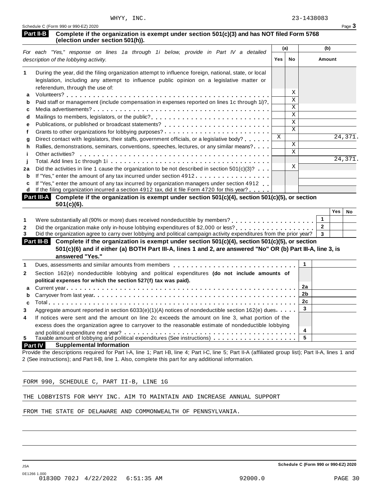| Schedule C (Form 990 or 990-EZ) 2020 | Page $\mathbf{\dot{5}}$ |
|--------------------------------------|-------------------------|
|                                      |                         |

Part II-B Complete if the organization is exempt under section 501(c)(3) and has NOT filed Form 5768<br>(election under section 501(h)).

|    | For each "Yes," response on lines 1a through 1i below, provide in Part IV a detailed                              | (a) |              | (b)      |
|----|-------------------------------------------------------------------------------------------------------------------|-----|--------------|----------|
|    | description of the lobbying activity.                                                                             | Yes | No           | Amount   |
| 1  | During the year, did the filing organization attempt to influence foreign, national, state, or local              |     |              |          |
|    | legislation, including any attempt to influence public opinion on a legislative matter or                         |     |              |          |
|    | referendum, through the use of:                                                                                   |     |              |          |
| a  |                                                                                                                   |     | Χ            |          |
| b  | Paid staff or management (include compensation in expenses reported on lines 1c through 1i)?                      |     | X            |          |
| c  |                                                                                                                   |     | X            |          |
| d  | Mailings to members, legislators, or the public?                                                                  |     | $\mathbf{X}$ |          |
| е  |                                                                                                                   |     | X            |          |
|    |                                                                                                                   |     | X            |          |
| a  | Direct contact with legislators, their staffs, government officials, or a legislative body?                       | X   |              | 24,371.  |
| h  | Rallies, demonstrations, seminars, conventions, speeches, lectures, or any similar means?.                        |     | X            |          |
|    |                                                                                                                   |     | X            |          |
|    |                                                                                                                   |     |              | 24, 371. |
| 2a | Did the activities in line 1 cause the organization to be not described in section $501(c)(3)$ ?                  |     | Χ            |          |
| b  | If "Yes," enter the amount of any tax incurred under section 4912                                                 |     |              |          |
| c  | If "Yes," enter the amount of any tax incurred by organization managers under section 4912                        |     |              |          |
| d  | If the filing organization incurred a section 4912 tax, did it file Form 4720 for this year?                      |     |              |          |
|    | Part III-A<br>Complete if the organization is exempt under section $501(c)(4)$ , section $501(c)(5)$ , or section |     |              |          |
|    | $501(c)(6)$ .                                                                                                     |     |              |          |

| .                                                                                                                             | Yes | No |
|-------------------------------------------------------------------------------------------------------------------------------|-----|----|
|                                                                                                                               |     |    |
| Were substantially all (90% or more) dues received nondeductible by members?                                                  |     |    |
| Did the organization make only in-house lobbying expenditures of \$2,000 or less?                                             |     |    |
| Did the organization agree to carry over lobbying and political campaign activity expenditures from the prior year? $\vert$ 3 |     |    |

| Part III-B Complete if the organization is exempt under section 501(c)(4), section 501(c)(5), or section                       |  |
|--------------------------------------------------------------------------------------------------------------------------------|--|
| 501(c)(6) and if either (a) BOTH Part III-A, lines 1 and 2, are answered "No" OR (b) Part III-A, line 3, is<br>answered "Yes." |  |
|                                                                                                                                |  |

| 2c |                                                                                                                                                                                                           |
|----|-----------------------------------------------------------------------------------------------------------------------------------------------------------------------------------------------------------|
|    |                                                                                                                                                                                                           |
|    |                                                                                                                                                                                                           |
|    |                                                                                                                                                                                                           |
|    |                                                                                                                                                                                                           |
|    |                                                                                                                                                                                                           |
|    | Aggregate amount reported in section 6033(e)(1)(A) notices of nondeductible section 162(e) dues<br>Taxable amount of lobbying and political expenditures (See instructions) $\ldots \ldots \ldots \ldots$ |

### **Part IV Supplemental Information**

JSA

Provide the descriptions required for Part I-A, line 1; Part I-B, line 4; Part I-C, line 5; Part II-A (affiliated group list); Part II-A, lines 1 and 2 (See instructions); and Part II-B, line 1. Also, complete this part for any additional information.

FORM 990, SCHEDULE C, PART II-B, LINE 1G

THE LOBBYISTS FOR WHYY INC. AIM TO MAINTAIN AND INCREASE ANNUAL SUPPORT

FROM THE STATE OF DELAWARE AND COMMONWEALTH OF PENNSYLVANIA.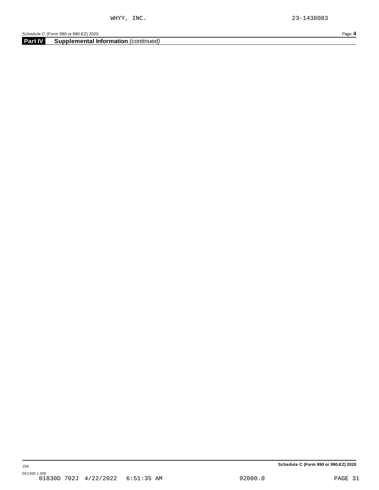| <b>Part IV</b> | <b>Supplemental Information (continued)</b> |  |
|----------------|---------------------------------------------|--|
|                |                                             |  |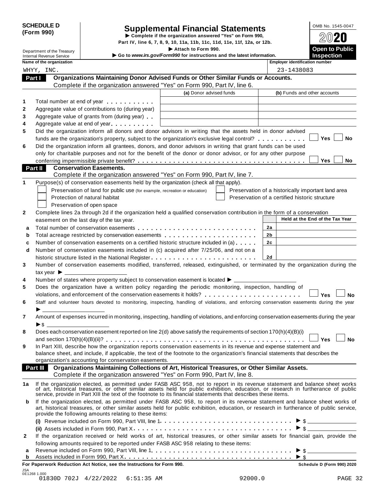| <b>SCHEDULE D</b> |  |
|-------------------|--|
| (Form 990)        |  |

# CHEDULE D<br>
Supplemental Financial Statements<br>  $\triangleright$  Complete if the organization answered "Yes" on Form 990,<br>
Part IV, line 6, 7, 8, 9, 10, 11a, 11b, 11c, 11d, 11e, 11f, 12a, or 12b.<br>
Attach to Form 990.<br>
Deen to Public

Department of the Treasury<br>Department of the Treasury<br>Control **Public Inches Example 2014 Control in the Intervet intervention** and the latest information

| Department of the Treasury<br><b>Inspection</b><br>Go to www.irs.gov/Form990 for instructions and the latest information.<br><b>Internal Revenue Service</b><br><b>Employer identification number</b><br>Name of the organization<br>23-1438083<br>WHYY, INC.<br>Organizations Maintaining Donor Advised Funds or Other Similar Funds or Accounts.<br>Part I<br>Complete if the organization answered "Yes" on Form 990, Part IV, line 6.<br>(b) Funds and other accounts<br>(a) Donor advised funds<br>Total number at end of year manufacturers.<br>1<br>2<br>Aggregate value of contributions to (during year)<br>3<br>Aggregate value of grants from (during year)<br>Aggregate value at end of year<br>4<br>5<br>Did the organization inform all donors and donor advisors in writing that the assets held in donor advised<br>Yes<br>funds are the organization's property, subject to the organization's exclusive legal control?<br>6<br>Did the organization inform all grantees, donors, and donor advisors in writing that grant funds can be used<br>only for charitable purposes and not for the benefit of the donor or donor advisor, or for any other purpose<br>Yes<br>Part II<br><b>Conservation Easements.</b><br>Complete if the organization answered "Yes" on Form 990, Part IV, line 7.<br>1<br>Purpose(s) of conservation easements held by the organization (check all that apply).<br>Preservation of land for public use (for example, recreation or education)<br>Preservation of a historically important land area<br>Protection of natural habitat<br>Preservation of a certified historic structure<br>Preservation of open space<br>2<br>Complete lines 2a through 2d if the organization held a qualified conservation contribution in the form of a conservation<br>Held at the End of the Tax Year<br>easement on the last day of the tax year.<br>2a<br>a<br>2b<br>Total acreage restricted by conservation easements<br>b<br>Number of conservation easements on a certified historic structure included in (a)<br>2c<br>c<br>Number of conservation easements included in (c) acquired after 7/25/06, and not on a<br>d<br>2d<br>3<br>Number of conservation easements modified, transferred, released, extinguished, or terminated by the organization during the<br>Number of states where property subject to conservation easement is located $\blacktriangleright$<br>4<br>5<br>Does the organization have a written policy regarding the periodic monitoring, inspection, handling of<br>violations, and enforcement of the conservation easements it holds?<br>Yes<br>6<br>Staff and volunteer hours devoted to monitoring, inspecting, handling of violations, and enforcing conservation easements during the year<br>7<br>Amount of expenses incurred in monitoring, inspecting, handling of violations, and enforcing conservation easements during the year | No        |
|----------------------------------------------------------------------------------------------------------------------------------------------------------------------------------------------------------------------------------------------------------------------------------------------------------------------------------------------------------------------------------------------------------------------------------------------------------------------------------------------------------------------------------------------------------------------------------------------------------------------------------------------------------------------------------------------------------------------------------------------------------------------------------------------------------------------------------------------------------------------------------------------------------------------------------------------------------------------------------------------------------------------------------------------------------------------------------------------------------------------------------------------------------------------------------------------------------------------------------------------------------------------------------------------------------------------------------------------------------------------------------------------------------------------------------------------------------------------------------------------------------------------------------------------------------------------------------------------------------------------------------------------------------------------------------------------------------------------------------------------------------------------------------------------------------------------------------------------------------------------------------------------------------------------------------------------------------------------------------------------------------------------------------------------------------------------------------------------------------------------------------------------------------------------------------------------------------------------------------------------------------------------------------------------------------------------------------------------------------------------------------------------------------------------------------------------------------------------------------------------------------------------------------------------------------------------------------------------------------------------------------------------------------------------------------------------------------------------------------------------------------------------------------------------------------------------------------------------------------------------------------------------------------------|-----------|
|                                                                                                                                                                                                                                                                                                                                                                                                                                                                                                                                                                                                                                                                                                                                                                                                                                                                                                                                                                                                                                                                                                                                                                                                                                                                                                                                                                                                                                                                                                                                                                                                                                                                                                                                                                                                                                                                                                                                                                                                                                                                                                                                                                                                                                                                                                                                                                                                                                                                                                                                                                                                                                                                                                                                                                                                                                                                                                                |           |
|                                                                                                                                                                                                                                                                                                                                                                                                                                                                                                                                                                                                                                                                                                                                                                                                                                                                                                                                                                                                                                                                                                                                                                                                                                                                                                                                                                                                                                                                                                                                                                                                                                                                                                                                                                                                                                                                                                                                                                                                                                                                                                                                                                                                                                                                                                                                                                                                                                                                                                                                                                                                                                                                                                                                                                                                                                                                                                                |           |
|                                                                                                                                                                                                                                                                                                                                                                                                                                                                                                                                                                                                                                                                                                                                                                                                                                                                                                                                                                                                                                                                                                                                                                                                                                                                                                                                                                                                                                                                                                                                                                                                                                                                                                                                                                                                                                                                                                                                                                                                                                                                                                                                                                                                                                                                                                                                                                                                                                                                                                                                                                                                                                                                                                                                                                                                                                                                                                                |           |
|                                                                                                                                                                                                                                                                                                                                                                                                                                                                                                                                                                                                                                                                                                                                                                                                                                                                                                                                                                                                                                                                                                                                                                                                                                                                                                                                                                                                                                                                                                                                                                                                                                                                                                                                                                                                                                                                                                                                                                                                                                                                                                                                                                                                                                                                                                                                                                                                                                                                                                                                                                                                                                                                                                                                                                                                                                                                                                                |           |
|                                                                                                                                                                                                                                                                                                                                                                                                                                                                                                                                                                                                                                                                                                                                                                                                                                                                                                                                                                                                                                                                                                                                                                                                                                                                                                                                                                                                                                                                                                                                                                                                                                                                                                                                                                                                                                                                                                                                                                                                                                                                                                                                                                                                                                                                                                                                                                                                                                                                                                                                                                                                                                                                                                                                                                                                                                                                                                                |           |
|                                                                                                                                                                                                                                                                                                                                                                                                                                                                                                                                                                                                                                                                                                                                                                                                                                                                                                                                                                                                                                                                                                                                                                                                                                                                                                                                                                                                                                                                                                                                                                                                                                                                                                                                                                                                                                                                                                                                                                                                                                                                                                                                                                                                                                                                                                                                                                                                                                                                                                                                                                                                                                                                                                                                                                                                                                                                                                                |           |
|                                                                                                                                                                                                                                                                                                                                                                                                                                                                                                                                                                                                                                                                                                                                                                                                                                                                                                                                                                                                                                                                                                                                                                                                                                                                                                                                                                                                                                                                                                                                                                                                                                                                                                                                                                                                                                                                                                                                                                                                                                                                                                                                                                                                                                                                                                                                                                                                                                                                                                                                                                                                                                                                                                                                                                                                                                                                                                                |           |
|                                                                                                                                                                                                                                                                                                                                                                                                                                                                                                                                                                                                                                                                                                                                                                                                                                                                                                                                                                                                                                                                                                                                                                                                                                                                                                                                                                                                                                                                                                                                                                                                                                                                                                                                                                                                                                                                                                                                                                                                                                                                                                                                                                                                                                                                                                                                                                                                                                                                                                                                                                                                                                                                                                                                                                                                                                                                                                                |           |
|                                                                                                                                                                                                                                                                                                                                                                                                                                                                                                                                                                                                                                                                                                                                                                                                                                                                                                                                                                                                                                                                                                                                                                                                                                                                                                                                                                                                                                                                                                                                                                                                                                                                                                                                                                                                                                                                                                                                                                                                                                                                                                                                                                                                                                                                                                                                                                                                                                                                                                                                                                                                                                                                                                                                                                                                                                                                                                                |           |
|                                                                                                                                                                                                                                                                                                                                                                                                                                                                                                                                                                                                                                                                                                                                                                                                                                                                                                                                                                                                                                                                                                                                                                                                                                                                                                                                                                                                                                                                                                                                                                                                                                                                                                                                                                                                                                                                                                                                                                                                                                                                                                                                                                                                                                                                                                                                                                                                                                                                                                                                                                                                                                                                                                                                                                                                                                                                                                                |           |
|                                                                                                                                                                                                                                                                                                                                                                                                                                                                                                                                                                                                                                                                                                                                                                                                                                                                                                                                                                                                                                                                                                                                                                                                                                                                                                                                                                                                                                                                                                                                                                                                                                                                                                                                                                                                                                                                                                                                                                                                                                                                                                                                                                                                                                                                                                                                                                                                                                                                                                                                                                                                                                                                                                                                                                                                                                                                                                                |           |
|                                                                                                                                                                                                                                                                                                                                                                                                                                                                                                                                                                                                                                                                                                                                                                                                                                                                                                                                                                                                                                                                                                                                                                                                                                                                                                                                                                                                                                                                                                                                                                                                                                                                                                                                                                                                                                                                                                                                                                                                                                                                                                                                                                                                                                                                                                                                                                                                                                                                                                                                                                                                                                                                                                                                                                                                                                                                                                                |           |
|                                                                                                                                                                                                                                                                                                                                                                                                                                                                                                                                                                                                                                                                                                                                                                                                                                                                                                                                                                                                                                                                                                                                                                                                                                                                                                                                                                                                                                                                                                                                                                                                                                                                                                                                                                                                                                                                                                                                                                                                                                                                                                                                                                                                                                                                                                                                                                                                                                                                                                                                                                                                                                                                                                                                                                                                                                                                                                                |           |
|                                                                                                                                                                                                                                                                                                                                                                                                                                                                                                                                                                                                                                                                                                                                                                                                                                                                                                                                                                                                                                                                                                                                                                                                                                                                                                                                                                                                                                                                                                                                                                                                                                                                                                                                                                                                                                                                                                                                                                                                                                                                                                                                                                                                                                                                                                                                                                                                                                                                                                                                                                                                                                                                                                                                                                                                                                                                                                                |           |
|                                                                                                                                                                                                                                                                                                                                                                                                                                                                                                                                                                                                                                                                                                                                                                                                                                                                                                                                                                                                                                                                                                                                                                                                                                                                                                                                                                                                                                                                                                                                                                                                                                                                                                                                                                                                                                                                                                                                                                                                                                                                                                                                                                                                                                                                                                                                                                                                                                                                                                                                                                                                                                                                                                                                                                                                                                                                                                                | No        |
|                                                                                                                                                                                                                                                                                                                                                                                                                                                                                                                                                                                                                                                                                                                                                                                                                                                                                                                                                                                                                                                                                                                                                                                                                                                                                                                                                                                                                                                                                                                                                                                                                                                                                                                                                                                                                                                                                                                                                                                                                                                                                                                                                                                                                                                                                                                                                                                                                                                                                                                                                                                                                                                                                                                                                                                                                                                                                                                |           |
|                                                                                                                                                                                                                                                                                                                                                                                                                                                                                                                                                                                                                                                                                                                                                                                                                                                                                                                                                                                                                                                                                                                                                                                                                                                                                                                                                                                                                                                                                                                                                                                                                                                                                                                                                                                                                                                                                                                                                                                                                                                                                                                                                                                                                                                                                                                                                                                                                                                                                                                                                                                                                                                                                                                                                                                                                                                                                                                |           |
|                                                                                                                                                                                                                                                                                                                                                                                                                                                                                                                                                                                                                                                                                                                                                                                                                                                                                                                                                                                                                                                                                                                                                                                                                                                                                                                                                                                                                                                                                                                                                                                                                                                                                                                                                                                                                                                                                                                                                                                                                                                                                                                                                                                                                                                                                                                                                                                                                                                                                                                                                                                                                                                                                                                                                                                                                                                                                                                |           |
|                                                                                                                                                                                                                                                                                                                                                                                                                                                                                                                                                                                                                                                                                                                                                                                                                                                                                                                                                                                                                                                                                                                                                                                                                                                                                                                                                                                                                                                                                                                                                                                                                                                                                                                                                                                                                                                                                                                                                                                                                                                                                                                                                                                                                                                                                                                                                                                                                                                                                                                                                                                                                                                                                                                                                                                                                                                                                                                |           |
|                                                                                                                                                                                                                                                                                                                                                                                                                                                                                                                                                                                                                                                                                                                                                                                                                                                                                                                                                                                                                                                                                                                                                                                                                                                                                                                                                                                                                                                                                                                                                                                                                                                                                                                                                                                                                                                                                                                                                                                                                                                                                                                                                                                                                                                                                                                                                                                                                                                                                                                                                                                                                                                                                                                                                                                                                                                                                                                |           |
|                                                                                                                                                                                                                                                                                                                                                                                                                                                                                                                                                                                                                                                                                                                                                                                                                                                                                                                                                                                                                                                                                                                                                                                                                                                                                                                                                                                                                                                                                                                                                                                                                                                                                                                                                                                                                                                                                                                                                                                                                                                                                                                                                                                                                                                                                                                                                                                                                                                                                                                                                                                                                                                                                                                                                                                                                                                                                                                |           |
|                                                                                                                                                                                                                                                                                                                                                                                                                                                                                                                                                                                                                                                                                                                                                                                                                                                                                                                                                                                                                                                                                                                                                                                                                                                                                                                                                                                                                                                                                                                                                                                                                                                                                                                                                                                                                                                                                                                                                                                                                                                                                                                                                                                                                                                                                                                                                                                                                                                                                                                                                                                                                                                                                                                                                                                                                                                                                                                |           |
|                                                                                                                                                                                                                                                                                                                                                                                                                                                                                                                                                                                                                                                                                                                                                                                                                                                                                                                                                                                                                                                                                                                                                                                                                                                                                                                                                                                                                                                                                                                                                                                                                                                                                                                                                                                                                                                                                                                                                                                                                                                                                                                                                                                                                                                                                                                                                                                                                                                                                                                                                                                                                                                                                                                                                                                                                                                                                                                |           |
|                                                                                                                                                                                                                                                                                                                                                                                                                                                                                                                                                                                                                                                                                                                                                                                                                                                                                                                                                                                                                                                                                                                                                                                                                                                                                                                                                                                                                                                                                                                                                                                                                                                                                                                                                                                                                                                                                                                                                                                                                                                                                                                                                                                                                                                                                                                                                                                                                                                                                                                                                                                                                                                                                                                                                                                                                                                                                                                |           |
|                                                                                                                                                                                                                                                                                                                                                                                                                                                                                                                                                                                                                                                                                                                                                                                                                                                                                                                                                                                                                                                                                                                                                                                                                                                                                                                                                                                                                                                                                                                                                                                                                                                                                                                                                                                                                                                                                                                                                                                                                                                                                                                                                                                                                                                                                                                                                                                                                                                                                                                                                                                                                                                                                                                                                                                                                                                                                                                |           |
|                                                                                                                                                                                                                                                                                                                                                                                                                                                                                                                                                                                                                                                                                                                                                                                                                                                                                                                                                                                                                                                                                                                                                                                                                                                                                                                                                                                                                                                                                                                                                                                                                                                                                                                                                                                                                                                                                                                                                                                                                                                                                                                                                                                                                                                                                                                                                                                                                                                                                                                                                                                                                                                                                                                                                                                                                                                                                                                |           |
|                                                                                                                                                                                                                                                                                                                                                                                                                                                                                                                                                                                                                                                                                                                                                                                                                                                                                                                                                                                                                                                                                                                                                                                                                                                                                                                                                                                                                                                                                                                                                                                                                                                                                                                                                                                                                                                                                                                                                                                                                                                                                                                                                                                                                                                                                                                                                                                                                                                                                                                                                                                                                                                                                                                                                                                                                                                                                                                |           |
|                                                                                                                                                                                                                                                                                                                                                                                                                                                                                                                                                                                                                                                                                                                                                                                                                                                                                                                                                                                                                                                                                                                                                                                                                                                                                                                                                                                                                                                                                                                                                                                                                                                                                                                                                                                                                                                                                                                                                                                                                                                                                                                                                                                                                                                                                                                                                                                                                                                                                                                                                                                                                                                                                                                                                                                                                                                                                                                |           |
|                                                                                                                                                                                                                                                                                                                                                                                                                                                                                                                                                                                                                                                                                                                                                                                                                                                                                                                                                                                                                                                                                                                                                                                                                                                                                                                                                                                                                                                                                                                                                                                                                                                                                                                                                                                                                                                                                                                                                                                                                                                                                                                                                                                                                                                                                                                                                                                                                                                                                                                                                                                                                                                                                                                                                                                                                                                                                                                |           |
|                                                                                                                                                                                                                                                                                                                                                                                                                                                                                                                                                                                                                                                                                                                                                                                                                                                                                                                                                                                                                                                                                                                                                                                                                                                                                                                                                                                                                                                                                                                                                                                                                                                                                                                                                                                                                                                                                                                                                                                                                                                                                                                                                                                                                                                                                                                                                                                                                                                                                                                                                                                                                                                                                                                                                                                                                                                                                                                |           |
|                                                                                                                                                                                                                                                                                                                                                                                                                                                                                                                                                                                                                                                                                                                                                                                                                                                                                                                                                                                                                                                                                                                                                                                                                                                                                                                                                                                                                                                                                                                                                                                                                                                                                                                                                                                                                                                                                                                                                                                                                                                                                                                                                                                                                                                                                                                                                                                                                                                                                                                                                                                                                                                                                                                                                                                                                                                                                                                |           |
|                                                                                                                                                                                                                                                                                                                                                                                                                                                                                                                                                                                                                                                                                                                                                                                                                                                                                                                                                                                                                                                                                                                                                                                                                                                                                                                                                                                                                                                                                                                                                                                                                                                                                                                                                                                                                                                                                                                                                                                                                                                                                                                                                                                                                                                                                                                                                                                                                                                                                                                                                                                                                                                                                                                                                                                                                                                                                                                |           |
|                                                                                                                                                                                                                                                                                                                                                                                                                                                                                                                                                                                                                                                                                                                                                                                                                                                                                                                                                                                                                                                                                                                                                                                                                                                                                                                                                                                                                                                                                                                                                                                                                                                                                                                                                                                                                                                                                                                                                                                                                                                                                                                                                                                                                                                                                                                                                                                                                                                                                                                                                                                                                                                                                                                                                                                                                                                                                                                | No        |
|                                                                                                                                                                                                                                                                                                                                                                                                                                                                                                                                                                                                                                                                                                                                                                                                                                                                                                                                                                                                                                                                                                                                                                                                                                                                                                                                                                                                                                                                                                                                                                                                                                                                                                                                                                                                                                                                                                                                                                                                                                                                                                                                                                                                                                                                                                                                                                                                                                                                                                                                                                                                                                                                                                                                                                                                                                                                                                                |           |
|                                                                                                                                                                                                                                                                                                                                                                                                                                                                                                                                                                                                                                                                                                                                                                                                                                                                                                                                                                                                                                                                                                                                                                                                                                                                                                                                                                                                                                                                                                                                                                                                                                                                                                                                                                                                                                                                                                                                                                                                                                                                                                                                                                                                                                                                                                                                                                                                                                                                                                                                                                                                                                                                                                                                                                                                                                                                                                                |           |
|                                                                                                                                                                                                                                                                                                                                                                                                                                                                                                                                                                                                                                                                                                                                                                                                                                                                                                                                                                                                                                                                                                                                                                                                                                                                                                                                                                                                                                                                                                                                                                                                                                                                                                                                                                                                                                                                                                                                                                                                                                                                                                                                                                                                                                                                                                                                                                                                                                                                                                                                                                                                                                                                                                                                                                                                                                                                                                                |           |
| ▶\$                                                                                                                                                                                                                                                                                                                                                                                                                                                                                                                                                                                                                                                                                                                                                                                                                                                                                                                                                                                                                                                                                                                                                                                                                                                                                                                                                                                                                                                                                                                                                                                                                                                                                                                                                                                                                                                                                                                                                                                                                                                                                                                                                                                                                                                                                                                                                                                                                                                                                                                                                                                                                                                                                                                                                                                                                                                                                                            |           |
| 8<br>Does each conservation easement reported on line 2(d) above satisfy the requirements of section 170(h)(4)(B)(i)                                                                                                                                                                                                                                                                                                                                                                                                                                                                                                                                                                                                                                                                                                                                                                                                                                                                                                                                                                                                                                                                                                                                                                                                                                                                                                                                                                                                                                                                                                                                                                                                                                                                                                                                                                                                                                                                                                                                                                                                                                                                                                                                                                                                                                                                                                                                                                                                                                                                                                                                                                                                                                                                                                                                                                                           |           |
| Yes                                                                                                                                                                                                                                                                                                                                                                                                                                                                                                                                                                                                                                                                                                                                                                                                                                                                                                                                                                                                                                                                                                                                                                                                                                                                                                                                                                                                                                                                                                                                                                                                                                                                                                                                                                                                                                                                                                                                                                                                                                                                                                                                                                                                                                                                                                                                                                                                                                                                                                                                                                                                                                                                                                                                                                                                                                                                                                            | <b>No</b> |
| In Part XIII, describe how the organization reports conservation easements in its revenue and expense statement and<br>9                                                                                                                                                                                                                                                                                                                                                                                                                                                                                                                                                                                                                                                                                                                                                                                                                                                                                                                                                                                                                                                                                                                                                                                                                                                                                                                                                                                                                                                                                                                                                                                                                                                                                                                                                                                                                                                                                                                                                                                                                                                                                                                                                                                                                                                                                                                                                                                                                                                                                                                                                                                                                                                                                                                                                                                       |           |
| balance sheet, and include, if applicable, the text of the footnote to the organization's financial statements that describes the                                                                                                                                                                                                                                                                                                                                                                                                                                                                                                                                                                                                                                                                                                                                                                                                                                                                                                                                                                                                                                                                                                                                                                                                                                                                                                                                                                                                                                                                                                                                                                                                                                                                                                                                                                                                                                                                                                                                                                                                                                                                                                                                                                                                                                                                                                                                                                                                                                                                                                                                                                                                                                                                                                                                                                              |           |
| organization's accounting for conservation easements.                                                                                                                                                                                                                                                                                                                                                                                                                                                                                                                                                                                                                                                                                                                                                                                                                                                                                                                                                                                                                                                                                                                                                                                                                                                                                                                                                                                                                                                                                                                                                                                                                                                                                                                                                                                                                                                                                                                                                                                                                                                                                                                                                                                                                                                                                                                                                                                                                                                                                                                                                                                                                                                                                                                                                                                                                                                          |           |
| Organizations Maintaining Collections of Art, Historical Treasures, or Other Similar Assets.<br>Part III                                                                                                                                                                                                                                                                                                                                                                                                                                                                                                                                                                                                                                                                                                                                                                                                                                                                                                                                                                                                                                                                                                                                                                                                                                                                                                                                                                                                                                                                                                                                                                                                                                                                                                                                                                                                                                                                                                                                                                                                                                                                                                                                                                                                                                                                                                                                                                                                                                                                                                                                                                                                                                                                                                                                                                                                       |           |
| Complete if the organization answered "Yes" on Form 990, Part IV, line 8.                                                                                                                                                                                                                                                                                                                                                                                                                                                                                                                                                                                                                                                                                                                                                                                                                                                                                                                                                                                                                                                                                                                                                                                                                                                                                                                                                                                                                                                                                                                                                                                                                                                                                                                                                                                                                                                                                                                                                                                                                                                                                                                                                                                                                                                                                                                                                                                                                                                                                                                                                                                                                                                                                                                                                                                                                                      |           |
| If the organization elected, as permitted under FASB ASC 958, not to report in its revenue statement and balance sheet works<br>1a<br>of art, historical treasures, or other similar assets held for public exhibition, education, or research in furtherance of public                                                                                                                                                                                                                                                                                                                                                                                                                                                                                                                                                                                                                                                                                                                                                                                                                                                                                                                                                                                                                                                                                                                                                                                                                                                                                                                                                                                                                                                                                                                                                                                                                                                                                                                                                                                                                                                                                                                                                                                                                                                                                                                                                                                                                                                                                                                                                                                                                                                                                                                                                                                                                                        |           |
| service, provide in Part XIII the text of the footnote to its financial statements that describes these items.                                                                                                                                                                                                                                                                                                                                                                                                                                                                                                                                                                                                                                                                                                                                                                                                                                                                                                                                                                                                                                                                                                                                                                                                                                                                                                                                                                                                                                                                                                                                                                                                                                                                                                                                                                                                                                                                                                                                                                                                                                                                                                                                                                                                                                                                                                                                                                                                                                                                                                                                                                                                                                                                                                                                                                                                 |           |
| If the organization elected, as permitted under FASB ASC 958, to report in its revenue statement and balance sheet works of<br>b                                                                                                                                                                                                                                                                                                                                                                                                                                                                                                                                                                                                                                                                                                                                                                                                                                                                                                                                                                                                                                                                                                                                                                                                                                                                                                                                                                                                                                                                                                                                                                                                                                                                                                                                                                                                                                                                                                                                                                                                                                                                                                                                                                                                                                                                                                                                                                                                                                                                                                                                                                                                                                                                                                                                                                               |           |
| art, historical treasures, or other similar assets held for public exhibition, education, or research in furtherance of public service,                                                                                                                                                                                                                                                                                                                                                                                                                                                                                                                                                                                                                                                                                                                                                                                                                                                                                                                                                                                                                                                                                                                                                                                                                                                                                                                                                                                                                                                                                                                                                                                                                                                                                                                                                                                                                                                                                                                                                                                                                                                                                                                                                                                                                                                                                                                                                                                                                                                                                                                                                                                                                                                                                                                                                                        |           |
| provide the following amounts relating to these items:                                                                                                                                                                                                                                                                                                                                                                                                                                                                                                                                                                                                                                                                                                                                                                                                                                                                                                                                                                                                                                                                                                                                                                                                                                                                                                                                                                                                                                                                                                                                                                                                                                                                                                                                                                                                                                                                                                                                                                                                                                                                                                                                                                                                                                                                                                                                                                                                                                                                                                                                                                                                                                                                                                                                                                                                                                                         |           |
| (i) Revenue included on Form 990, Part VIII, line $1, \ldots, \ldots, \ldots, \ldots, \ldots, \ldots, \ldots, \ldots, \ldots$<br>$\triangleright$ \$                                                                                                                                                                                                                                                                                                                                                                                                                                                                                                                                                                                                                                                                                                                                                                                                                                                                                                                                                                                                                                                                                                                                                                                                                                                                                                                                                                                                                                                                                                                                                                                                                                                                                                                                                                                                                                                                                                                                                                                                                                                                                                                                                                                                                                                                                                                                                                                                                                                                                                                                                                                                                                                                                                                                                           |           |
| $\triangleright$ \$                                                                                                                                                                                                                                                                                                                                                                                                                                                                                                                                                                                                                                                                                                                                                                                                                                                                                                                                                                                                                                                                                                                                                                                                                                                                                                                                                                                                                                                                                                                                                                                                                                                                                                                                                                                                                                                                                                                                                                                                                                                                                                                                                                                                                                                                                                                                                                                                                                                                                                                                                                                                                                                                                                                                                                                                                                                                                            |           |
| If the organization received or held works of art, historical treasures, or other similar assets for financial gain, provide the<br>2                                                                                                                                                                                                                                                                                                                                                                                                                                                                                                                                                                                                                                                                                                                                                                                                                                                                                                                                                                                                                                                                                                                                                                                                                                                                                                                                                                                                                                                                                                                                                                                                                                                                                                                                                                                                                                                                                                                                                                                                                                                                                                                                                                                                                                                                                                                                                                                                                                                                                                                                                                                                                                                                                                                                                                          |           |
| following amounts required to be reported under FASB ASC 958 relating to these items:                                                                                                                                                                                                                                                                                                                                                                                                                                                                                                                                                                                                                                                                                                                                                                                                                                                                                                                                                                                                                                                                                                                                                                                                                                                                                                                                                                                                                                                                                                                                                                                                                                                                                                                                                                                                                                                                                                                                                                                                                                                                                                                                                                                                                                                                                                                                                                                                                                                                                                                                                                                                                                                                                                                                                                                                                          |           |
| $\triangleright$ \$<br>a                                                                                                                                                                                                                                                                                                                                                                                                                                                                                                                                                                                                                                                                                                                                                                                                                                                                                                                                                                                                                                                                                                                                                                                                                                                                                                                                                                                                                                                                                                                                                                                                                                                                                                                                                                                                                                                                                                                                                                                                                                                                                                                                                                                                                                                                                                                                                                                                                                                                                                                                                                                                                                                                                                                                                                                                                                                                                       |           |
| $\blacktriangleright$ \$<br>b<br>For Paperwork Reduction Act Notice, see the Instructions for Form 990.<br>Schedule D (Form 990) 2020                                                                                                                                                                                                                                                                                                                                                                                                                                                                                                                                                                                                                                                                                                                                                                                                                                                                                                                                                                                                                                                                                                                                                                                                                                                                                                                                                                                                                                                                                                                                                                                                                                                                                                                                                                                                                                                                                                                                                                                                                                                                                                                                                                                                                                                                                                                                                                                                                                                                                                                                                                                                                                                                                                                                                                          |           |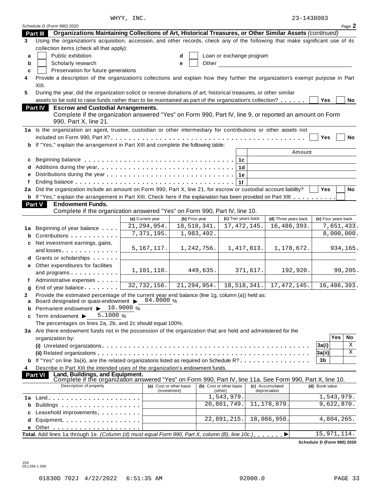|    |                                                                                                                                                                                                                                     | WHYY, INC.                              |                |                                    |            |                                 | 23-1438083          |            |             |
|----|-------------------------------------------------------------------------------------------------------------------------------------------------------------------------------------------------------------------------------------|-----------------------------------------|----------------|------------------------------------|------------|---------------------------------|---------------------|------------|-------------|
|    | Schedule D (Form 990) 2020                                                                                                                                                                                                          |                                         |                |                                    |            |                                 |                     |            | Page 2      |
|    | Organizations Maintaining Collections of Art, Historical Treasures, or Other Similar Assets (continued)<br>Part III                                                                                                                 |                                         |                |                                    |            |                                 |                     |            |             |
| 3  | Using the organization's acquisition, accession, and other records, check any of the following that make significant use of its                                                                                                     |                                         |                |                                    |            |                                 |                     |            |             |
|    | collection items (check all that apply):                                                                                                                                                                                            |                                         |                |                                    |            |                                 |                     |            |             |
| a  | Public exhibition                                                                                                                                                                                                                   |                                         | d              | Loan or exchange program           |            |                                 |                     |            |             |
| b  | Scholarly research                                                                                                                                                                                                                  |                                         | Other<br>е     |                                    |            |                                 |                     |            |             |
| c  | Preservation for future generations                                                                                                                                                                                                 |                                         |                |                                    |            |                                 |                     |            |             |
| 4  | Provide a description of the organization's collections and explain how they further the organization's exempt purpose in Part                                                                                                      |                                         |                |                                    |            |                                 |                     |            |             |
|    | XIII.                                                                                                                                                                                                                               |                                         |                |                                    |            |                                 |                     |            |             |
| 5  | During the year, did the organization solicit or receive donations of art, historical treasures, or other similar                                                                                                                   |                                         |                |                                    |            |                                 |                     |            |             |
|    | assets to be sold to raise funds rather than to be maintained as part of the organization's collection?                                                                                                                             |                                         |                |                                    |            |                                 | <b>Yes</b>          |            | No          |
|    | <b>Escrow and Custodial Arrangements.</b><br><b>Part IV</b>                                                                                                                                                                         |                                         |                |                                    |            |                                 |                     |            |             |
|    | Complete if the organization answered "Yes" on Form 990, Part IV, line 9, or reported an amount on Form                                                                                                                             |                                         |                |                                    |            |                                 |                     |            |             |
|    | 990, Part X, line 21.                                                                                                                                                                                                               |                                         |                |                                    |            |                                 |                     |            |             |
|    | 1a Is the organization an agent, trustee, custodian or other intermediary for contributions or other assets not                                                                                                                     |                                         |                |                                    |            |                                 |                     |            |             |
|    |                                                                                                                                                                                                                                     |                                         |                |                                    |            |                                 |                     |            |             |
|    |                                                                                                                                                                                                                                     |                                         |                |                                    |            |                                 | <b>Yes</b>          |            | No          |
|    | If "Yes," explain the arrangement in Part XIII and complete the following table:                                                                                                                                                    |                                         |                |                                    |            |                                 |                     |            |             |
|    |                                                                                                                                                                                                                                     |                                         |                |                                    |            | Amount                          |                     |            |             |
| c  |                                                                                                                                                                                                                                     |                                         |                |                                    |            |                                 |                     |            |             |
|    |                                                                                                                                                                                                                                     |                                         |                | 1 <sub>d</sub>                     |            |                                 |                     |            |             |
|    |                                                                                                                                                                                                                                     |                                         |                | 1e                                 |            |                                 |                     |            |             |
|    |                                                                                                                                                                                                                                     |                                         |                | 1f                                 |            |                                 |                     |            |             |
| 2a | Did the organization include an amount on Form 990, Part X, line 21, for escrow or custodial account liability?                                                                                                                     |                                         |                |                                    |            |                                 | <b>Yes</b>          |            | No          |
|    | <b>b</b> If "Yes," explain the arrangement in Part XIII. Check here if the explanation has been provided on Part XIII                                                                                                               |                                         |                |                                    |            |                                 |                     |            |             |
|    | <b>Endowment Funds.</b><br>Part V                                                                                                                                                                                                   |                                         |                |                                    |            |                                 |                     |            |             |
|    | Complete if the organization answered "Yes" on Form 990, Part IV, line 10.                                                                                                                                                          |                                         |                |                                    |            |                                 |                     |            |             |
|    |                                                                                                                                                                                                                                     | (a) Current year                        | (b) Prior year | (c) Two years back                 |            | (d) Three years back            | (e) Four years back |            |             |
| 1а | Beginning of year balance                                                                                                                                                                                                           | 21, 294, 954.                           | 18,518,341.    | 17, 472, 145.                      |            | 16, 486, 393.                   |                     |            | 7,651,433.  |
| b  | Contributions <b>Contributions</b>                                                                                                                                                                                                  | 7,371,195.                              | 1,983,492.     |                                    |            |                                 |                     |            | 8,000,000.  |
| c  | Net investment earnings, gains,                                                                                                                                                                                                     |                                         |                |                                    |            |                                 |                     |            |             |
|    |                                                                                                                                                                                                                                     | 5,167,117.                              | 1,242,756.     |                                    | 1,417,813. | 1,178,672.                      |                     |            | 934,165.    |
|    | d Grants or scholarships                                                                                                                                                                                                            |                                         |                |                                    |            |                                 |                     |            |             |
| е  | Other expenditures for facilities                                                                                                                                                                                                   |                                         |                |                                    |            |                                 |                     |            |             |
|    | and programs                                                                                                                                                                                                                        | 1,101,110.                              | 449,635.       |                                    | 371,617.   | 192,920.                        |                     |            | 99,205.     |
|    | Administrative expenses <b>Administrative</b>                                                                                                                                                                                       |                                         |                |                                    |            |                                 |                     |            |             |
| g  | End of year balance                                                                                                                                                                                                                 | 32, 732, 156.                           | 21, 294, 954.  | 18,518,341.                        |            | 17, 472, 145.                   |                     |            | 16,486,393. |
| 2  | Provide the estimated percentage of the current year end balance (line 1g, column (a)) held as:                                                                                                                                     |                                         |                |                                    |            |                                 |                     |            |             |
| a  | Board designated or quasi-endowment > 84.0000 %                                                                                                                                                                                     |                                         |                |                                    |            |                                 |                     |            |             |
| b  | Permanent endowment ▶ 10.9000 %                                                                                                                                                                                                     |                                         |                |                                    |            |                                 |                     |            |             |
| c  | Term endowment ▶<br>5.1000%                                                                                                                                                                                                         |                                         |                |                                    |            |                                 |                     |            |             |
|    | The percentages on lines 2a, 2b, and 2c should equal 100%.                                                                                                                                                                          |                                         |                |                                    |            |                                 |                     |            |             |
|    | 3a Are there endowment funds not in the possession of the organization that are held and administered for the                                                                                                                       |                                         |                |                                    |            |                                 |                     |            |             |
|    | organization by:                                                                                                                                                                                                                    |                                         |                |                                    |            |                                 |                     | <b>Yes</b> | No          |
|    |                                                                                                                                                                                                                                     |                                         |                |                                    |            |                                 | 3a(i)               |            | Χ           |
|    |                                                                                                                                                                                                                                     |                                         |                |                                    |            |                                 | 3a(ii)              |            | $\mathbf X$ |
|    | If "Yes" on line 3a(ii), are the related organizations listed as required on Schedule R?                                                                                                                                            |                                         |                |                                    |            |                                 | 3b                  |            |             |
| 4  | Describe in Part XIII the intended uses of the organization's endowment funds.                                                                                                                                                      |                                         |                |                                    |            |                                 |                     |            |             |
|    | <b>Part VI</b>                                                                                                                                                                                                                      |                                         |                |                                    |            |                                 |                     |            |             |
|    | Land, Buildings, and Equipment.<br>Complete if the organization answered "Yes" on Form 990, Part IV, line 11a. See Form 990, Part X, line 10.                                                                                       |                                         |                |                                    |            |                                 |                     |            |             |
|    | Description of property                                                                                                                                                                                                             | (a) Cost or other basis<br>(investment) |                | (b) Cost or other basis<br>(other) |            | (c) Accumulated<br>depreciation | (d) Book value      |            |             |
| 1a |                                                                                                                                                                                                                                     |                                         |                | 1,543,979.                         |            |                                 |                     | 1,543,979. |             |
| b  | Buildings <b>Example 20</b> Suite 1 and 20 Suite 1 and 20 Suite 20 Suite 20 Suite 20 Suite 20 Suite 20 Suite 20 Suite 20 Suite 20 Suite 20 Suite 20 Suite 20 Suite 20 Suite 20 Suite 20 Suite 20 Suite 20 Suite 20 Suite 20 Suite 2 |                                         |                | 20,801,749.                        |            | 11, 178, 879.                   |                     | 9,622,870. |             |
| c  | Leasehold improvements <b>Leasehold</b> improvements                                                                                                                                                                                |                                         |                |                                    |            |                                 |                     |            |             |
| d  | Equipment                                                                                                                                                                                                                           |                                         |                | 22,891,215.                        |            | 18,086,950                      |                     | 4,804,265. |             |
|    |                                                                                                                                                                                                                                     |                                         |                |                                    |            |                                 |                     |            |             |
|    | Total. Add lines 1a through 1e. (Column (d) must equal Form 990, Part X, column (B), line 10c.),                                                                                                                                    |                                         |                |                                    |            | ▶                               | 15, 971, 114.       |            |             |
|    |                                                                                                                                                                                                                                     |                                         |                |                                    |            |                                 |                     |            |             |

**Schedule D (Form 990) 2020**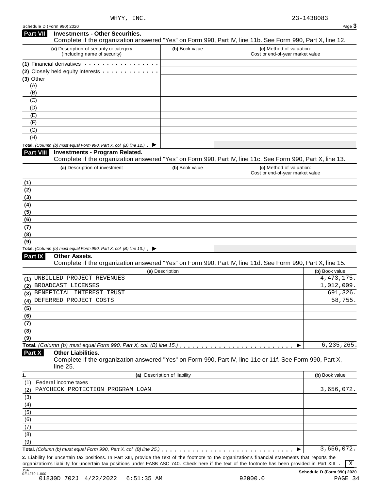| <b>Part VII</b><br><b>Investments - Other Securities.</b>                                                                                                                                                                      |                              | Page 3                                                                                                                        |
|--------------------------------------------------------------------------------------------------------------------------------------------------------------------------------------------------------------------------------|------------------------------|-------------------------------------------------------------------------------------------------------------------------------|
|                                                                                                                                                                                                                                |                              | Complete if the organization answered "Yes" on Form 990, Part IV, line 11b. See Form 990, Part X, line 12.                    |
| (a) Description of security or category<br>(including name of security)                                                                                                                                                        | (b) Book value               | (c) Method of valuation:<br>Cost or end-of-year market value                                                                  |
| (1) Financial derivatives expansion of the state of the state of the state of the state of the state of the state of the state of the state of the state of the state of the state of the state of the state of the state of t |                              |                                                                                                                               |
| (2) Closely held equity interests                                                                                                                                                                                              |                              |                                                                                                                               |
| $(3)$ Other                                                                                                                                                                                                                    |                              |                                                                                                                               |
| (A)                                                                                                                                                                                                                            |                              |                                                                                                                               |
| (B)                                                                                                                                                                                                                            |                              |                                                                                                                               |
| (C)                                                                                                                                                                                                                            |                              |                                                                                                                               |
| (D)                                                                                                                                                                                                                            |                              |                                                                                                                               |
| (E)                                                                                                                                                                                                                            |                              |                                                                                                                               |
| (F)                                                                                                                                                                                                                            |                              |                                                                                                                               |
| (G)                                                                                                                                                                                                                            |                              |                                                                                                                               |
| (H)                                                                                                                                                                                                                            |                              |                                                                                                                               |
| Total. (Column (b) must equal Form 990, Part X, col. (B) line 12.) $\blacktriangleright$                                                                                                                                       |                              |                                                                                                                               |
| Part VIII<br><b>Investments - Program Related.</b>                                                                                                                                                                             |                              | Complete if the organization answered "Yes" on Form 990, Part IV, line 11c. See Form 990, Part X, line 13.                    |
| (a) Description of investment                                                                                                                                                                                                  | (b) Book value               | (c) Method of valuation:                                                                                                      |
|                                                                                                                                                                                                                                |                              | Cost or end-of-year market value                                                                                              |
| (1)                                                                                                                                                                                                                            |                              |                                                                                                                               |
| (2)                                                                                                                                                                                                                            |                              |                                                                                                                               |
| (3)                                                                                                                                                                                                                            |                              |                                                                                                                               |
| (4)                                                                                                                                                                                                                            |                              |                                                                                                                               |
| (5)                                                                                                                                                                                                                            |                              |                                                                                                                               |
| (6)                                                                                                                                                                                                                            |                              |                                                                                                                               |
| (7)                                                                                                                                                                                                                            |                              |                                                                                                                               |
| (8)                                                                                                                                                                                                                            |                              |                                                                                                                               |
| (9)                                                                                                                                                                                                                            |                              |                                                                                                                               |
| Total. (Column (b) must equal Form 990, Part X, col. (B) line 13.) $\blacktriangleright$                                                                                                                                       |                              |                                                                                                                               |
| Part IX<br><b>Other Assets.</b>                                                                                                                                                                                                |                              | Complete if the organization answered "Yes" on Form 990, Part IV, line 11d. See Form 990, Part X, line 15.                    |
|                                                                                                                                                                                                                                |                              |                                                                                                                               |
|                                                                                                                                                                                                                                | (a) Description              | (b) Book value                                                                                                                |
| UNBILLED PROJECT REVENUES                                                                                                                                                                                                      |                              | 4, 473, 175.                                                                                                                  |
| BROADCAST LICENSES                                                                                                                                                                                                             |                              |                                                                                                                               |
|                                                                                                                                                                                                                                |                              | 1,012,009.                                                                                                                    |
|                                                                                                                                                                                                                                |                              | 691,326.                                                                                                                      |
|                                                                                                                                                                                                                                |                              | 58,755                                                                                                                        |
|                                                                                                                                                                                                                                |                              |                                                                                                                               |
|                                                                                                                                                                                                                                |                              |                                                                                                                               |
|                                                                                                                                                                                                                                |                              |                                                                                                                               |
|                                                                                                                                                                                                                                |                              |                                                                                                                               |
|                                                                                                                                                                                                                                |                              |                                                                                                                               |
| (1)<br>(2)<br>(3) BENEFICIAL INTEREST TRUST<br>(4) DEFERRED PROJECT COSTS<br>(5)<br>(6)<br>(7)<br>(8)<br>(9)<br><b>Other Liabilities.</b><br>Part X                                                                            |                              | 6, 235, 265.<br>▶<br>Complete if the organization answered "Yes" on Form 990, Part IV, line 11e or 11f. See Form 990, Part X, |
| line 25.                                                                                                                                                                                                                       |                              |                                                                                                                               |
|                                                                                                                                                                                                                                | (a) Description of liability | (b) Book value                                                                                                                |
| Federal income taxes                                                                                                                                                                                                           |                              |                                                                                                                               |
| PAYCHECK PROTECTION PROGRAM LOAN                                                                                                                                                                                               |                              | 3,656,072.                                                                                                                    |
|                                                                                                                                                                                                                                |                              |                                                                                                                               |
|                                                                                                                                                                                                                                |                              |                                                                                                                               |
|                                                                                                                                                                                                                                |                              |                                                                                                                               |
|                                                                                                                                                                                                                                |                              |                                                                                                                               |
|                                                                                                                                                                                                                                |                              |                                                                                                                               |
|                                                                                                                                                                                                                                |                              |                                                                                                                               |
| 1.<br>(1)<br>(2)<br>(3)<br>(4)<br>(5)<br>(6)<br>(7)<br>(8)<br>(9)                                                                                                                                                              |                              |                                                                                                                               |

organization's liability for uncertain tax positions under FASB ASC 740. Check here if the text of the footnote has been provided in Part XIII

 $\boxed{\text{X}}$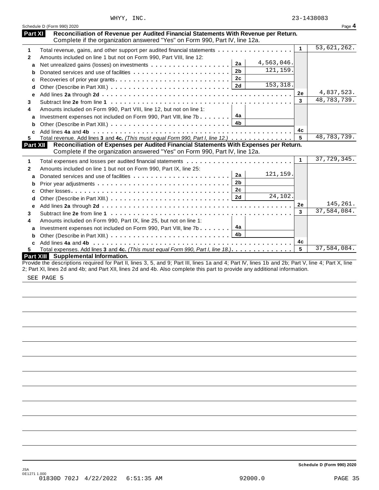| Part XI      | Reconciliation of Revenue per Audited Financial Statements With Revenue per Return.<br>Complete if the organization answered "Yes" on Form 990, Part IV, line 12a.                      |                |             |
|--------------|-----------------------------------------------------------------------------------------------------------------------------------------------------------------------------------------|----------------|-------------|
| 1            | Total revenue, gains, and other support per audited financial statements                                                                                                                | $\mathbf{1}$   | 53,621,262. |
| $\mathbf{2}$ | Amounts included on line 1 but not on Form 990, Part VIII, line 12:                                                                                                                     |                |             |
| a            | 4,563,046.<br>2a                                                                                                                                                                        |                |             |
| b            | 121,159.<br>2 <sub>b</sub>                                                                                                                                                              |                |             |
| с            | 2c<br>Recoveries of prior year grants                                                                                                                                                   |                |             |
| d            | 153, 318.                                                                                                                                                                               |                |             |
| е            |                                                                                                                                                                                         | 2e             | 4,837,523.  |
| 3            |                                                                                                                                                                                         | $\overline{3}$ | 48,783,739. |
| 4            | Amounts included on Form 990, Part VIII, line 12, but not on line 1:                                                                                                                    |                |             |
| a            | 4a<br>Investment expenses not included on Form 990, Part VIII, line 7b                                                                                                                  |                |             |
| b            | 4b                                                                                                                                                                                      |                |             |
| C            |                                                                                                                                                                                         | 4c             |             |
| 5.           | Total revenue. Add lines 3 and 4c. (This must equal Form 990, Part I, line 12.)                                                                                                         | 5              | 48,783,739. |
|              | Reconciliation of Expenses per Audited Financial Statements With Expenses per Return.<br><b>Part XII</b><br>Complete if the organization answered "Yes" on Form 990, Part IV, line 12a. |                |             |
| 1            | Total expenses and losses per audited financial statements                                                                                                                              | $\mathbf{1}$   | 37,729,345. |
| $\mathbf{2}$ | Amounts included on line 1 but not on Form 990, Part IX, line 25:                                                                                                                       |                |             |
| a            | 121,159.<br>2a                                                                                                                                                                          |                |             |
| b            | 2 <sub>b</sub>                                                                                                                                                                          |                |             |
| с            | 2c                                                                                                                                                                                      |                |             |
| d            | 24,102.                                                                                                                                                                                 |                |             |
| e            |                                                                                                                                                                                         | 2e             | 145,261.    |
| 3            |                                                                                                                                                                                         | 3              | 37,584,084. |
| 4            | Amounts included on Form 990, Part IX, line 25, but not on line 1:                                                                                                                      |                |             |
| a            | 4a<br>Investment expenses not included on Form 990, Part VIII, line 7b                                                                                                                  |                |             |
| b            | 4b                                                                                                                                                                                      |                |             |
| C            |                                                                                                                                                                                         | 4с             |             |
|              | Total expenses. Add lines 3 and 4c. (This must equal Form 990, Part I, line 18.).                                                                                                       | 5              | 37,584,084. |
| 5.           |                                                                                                                                                                                         |                |             |

SEE PAGE 5

**Schedule D (Form 990) 2020**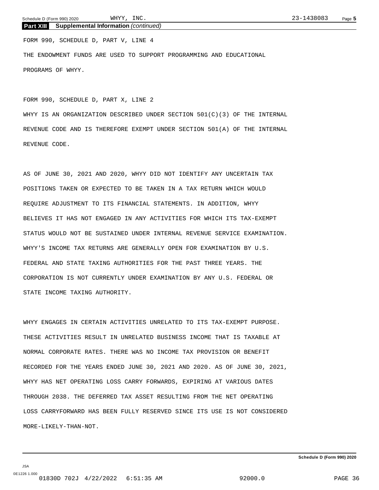**Part XIII Supplemental Information** *(continued)*

FORM 990, SCHEDULE D, PART V, LINE 4 THE ENDOWMENT FUNDS ARE USED TO SUPPORT PROGRAMMING AND EDUCATIONAL PROGRAMS OF WHYY.

FORM 990, SCHEDULE D, PART X, LINE 2 WHYY IS AN ORGANIZATION DESCRIBED UNDER SECTION 501(C)(3) OF THE INTERNAL REVENUE CODE AND IS THEREFORE EXEMPT UNDER SECTION 501(A) OF THE INTERNAL REVENUE CODE.

AS OF JUNE 30, 2021 AND 2020, WHYY DID NOT IDENTIFY ANY UNCERTAIN TAX POSITIONS TAKEN OR EXPECTED TO BE TAKEN IN A TAX RETURN WHICH WOULD REQUIRE ADJUSTMENT TO ITS FINANCIAL STATEMENTS. IN ADDITION, WHYY BELIEVES IT HAS NOT ENGAGED IN ANY ACTIVITIES FOR WHICH ITS TAX-EXEMPT STATUS WOULD NOT BE SUSTAINED UNDER INTERNAL REVENUE SERVICE EXAMINATION. WHYY'S INCOME TAX RETURNS ARE GENERALLY OPEN FOR EXAMINATION BY U.S. FEDERAL AND STATE TAXING AUTHORITIES FOR THE PAST THREE YEARS. THE CORPORATION IS NOT CURRENTLY UNDER EXAMINATION BY ANY U.S. FEDERAL OR STATE INCOME TAXING AUTHORITY.

WHYY ENGAGES IN CERTAIN ACTIVITIES UNRELATED TO ITS TAX-EXEMPT PURPOSE. THESE ACTIVITIES RESULT IN UNRELATED BUSINESS INCOME THAT IS TAXABLE AT NORMAL CORPORATE RATES. THERE WAS NO INCOME TAX PROVISION OR BENEFIT RECORDED FOR THE YEARS ENDED JUNE 30, 2021 AND 2020. AS OF JUNE 30, 2021, WHYY HAS NET OPERATING LOSS CARRY FORWARDS, EXPIRING AT VARIOUS DATES THROUGH 2038. THE DEFERRED TAX ASSET RESULTING FROM THE NET OPERATING LOSS CARRYFORWARD HAS BEEN FULLY RESERVED SINCE ITS USE IS NOT CONSIDERED MORE-LIKELY-THAN-NOT.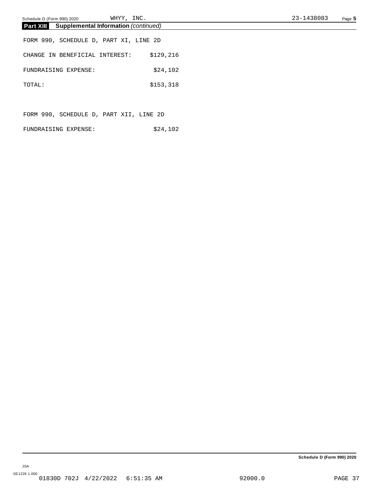| WHYY, INC.<br>Schedule D (Form 990) 2020                        |           |  |  | 23-1438083 | Page 5 |
|-----------------------------------------------------------------|-----------|--|--|------------|--------|
| <b>Part XIII</b><br><b>Supplemental Information (continued)</b> |           |  |  |            |        |
| FORM 990, SCHEDULE D, PART XI, LINE 2D                          |           |  |  |            |        |
| CHANGE IN BENEFICIAL INTEREST:                                  | \$129,216 |  |  |            |        |
| <b>FUNDRAISING EXPENSE:</b>                                     | \$24,102  |  |  |            |        |
| TOTAL:                                                          | \$153,318 |  |  |            |        |
|                                                                 |           |  |  |            |        |

FORM 990, SCHEDULE D, PART XII, LINE 2D

FUNDRAISING EXPENSE:  $$24,102$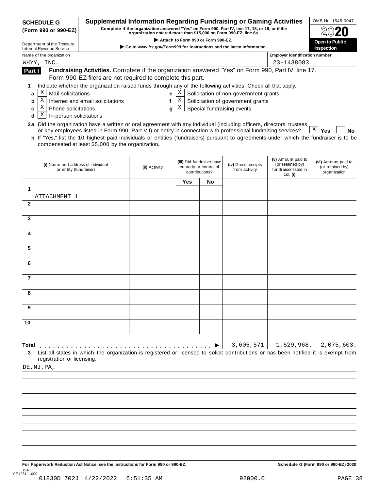| <b>SCHEDULE G</b>                                                                                                      |                                                                                                                                                                                                                                                                                                                     | <b>Supplemental Information Regarding Fundraising or Gaming Activities</b><br>Complete if the organization answered "Yes" on Form 990, Part IV, line 17, 18, or 19, or if the |                                                                      |    |                                       |                                                                            |                                                         |  |  |
|------------------------------------------------------------------------------------------------------------------------|---------------------------------------------------------------------------------------------------------------------------------------------------------------------------------------------------------------------------------------------------------------------------------------------------------------------|-------------------------------------------------------------------------------------------------------------------------------------------------------------------------------|----------------------------------------------------------------------|----|---------------------------------------|----------------------------------------------------------------------------|---------------------------------------------------------|--|--|
| (Form 990 or 990-EZ)                                                                                                   |                                                                                                                                                                                                                                                                                                                     | organization entered more than \$15,000 on Form 990-EZ, line 6a.                                                                                                              |                                                                      |    |                                       |                                                                            |                                                         |  |  |
| Department of the Treasury<br><b>Internal Revenue Service</b>                                                          |                                                                                                                                                                                                                                                                                                                     | Go to www.irs.gov/Form990 for instructions and the latest information.                                                                                                        | Attach to Form 990 or Form 990-EZ.                                   |    |                                       |                                                                            | Open to Public<br>Inspection                            |  |  |
| Name of the organization                                                                                               |                                                                                                                                                                                                                                                                                                                     |                                                                                                                                                                               |                                                                      |    |                                       | <b>Employer identification number</b>                                      |                                                         |  |  |
| WHYY, INC.                                                                                                             |                                                                                                                                                                                                                                                                                                                     |                                                                                                                                                                               |                                                                      |    |                                       | 23-1438083                                                                 |                                                         |  |  |
| Part I                                                                                                                 | Fundraising Activities. Complete if the organization answered "Yes" on Form 990, Part IV, line 17.<br>Form 990-EZ filers are not required to complete this part.                                                                                                                                                    |                                                                                                                                                                               |                                                                      |    |                                       |                                                                            |                                                         |  |  |
| 1                                                                                                                      | Indicate whether the organization raised funds through any of the following activities. Check all that apply.                                                                                                                                                                                                       |                                                                                                                                                                               |                                                                      |    |                                       |                                                                            |                                                         |  |  |
| Χ<br>Mail solicitations<br>a                                                                                           |                                                                                                                                                                                                                                                                                                                     | е                                                                                                                                                                             | Χ                                                                    |    | Solicitation of non-government grants |                                                                            |                                                         |  |  |
| X<br>b<br>Χ                                                                                                            | Internet and email solicitations                                                                                                                                                                                                                                                                                    | $\mathbf{f}$                                                                                                                                                                  | X<br>$\mathbf X$                                                     |    | Solicitation of government grants     |                                                                            |                                                         |  |  |
| Phone solicitations<br>c<br>Χ<br>In-person solicitations<br>d                                                          |                                                                                                                                                                                                                                                                                                                     | g                                                                                                                                                                             |                                                                      |    | Special fundraising events            |                                                                            |                                                         |  |  |
| 2a Did the organization have a written or oral agreement with any individual (including officers, directors, trustees, |                                                                                                                                                                                                                                                                                                                     |                                                                                                                                                                               |                                                                      |    |                                       |                                                                            | $\mathbf X$                                             |  |  |
|                                                                                                                        | or key employees listed in Form 990, Part VII) or entity in connection with professional fundraising services?<br><b>b</b> If "Yes," list the 10 highest paid individuals or entities (fundraisers) pursuant to agreements under which the fundraiser is to be<br>compensated at least \$5,000 by the organization. |                                                                                                                                                                               |                                                                      |    |                                       |                                                                            | Yes<br>No                                               |  |  |
| (i) Name and address of individual<br>or entity (fundraiser)                                                           |                                                                                                                                                                                                                                                                                                                     | (ii) Activity                                                                                                                                                                 | (iii) Did fundraiser have<br>custody or control of<br>contributions? |    | (iv) Gross receipts<br>from activity  | (v) Amount paid to<br>(or retained by)<br>fundraiser listed in<br>col. (i) | (vi) Amount paid to<br>(or retained by)<br>organization |  |  |
|                                                                                                                        |                                                                                                                                                                                                                                                                                                                     |                                                                                                                                                                               | Yes                                                                  | No |                                       |                                                                            |                                                         |  |  |
| 1                                                                                                                      |                                                                                                                                                                                                                                                                                                                     |                                                                                                                                                                               |                                                                      |    |                                       |                                                                            |                                                         |  |  |
| ATTACHMENT 1                                                                                                           |                                                                                                                                                                                                                                                                                                                     |                                                                                                                                                                               |                                                                      |    |                                       |                                                                            |                                                         |  |  |
| $\mathbf{2}$                                                                                                           |                                                                                                                                                                                                                                                                                                                     |                                                                                                                                                                               |                                                                      |    |                                       |                                                                            |                                                         |  |  |
| 3                                                                                                                      |                                                                                                                                                                                                                                                                                                                     |                                                                                                                                                                               |                                                                      |    |                                       |                                                                            |                                                         |  |  |
| 4                                                                                                                      |                                                                                                                                                                                                                                                                                                                     |                                                                                                                                                                               |                                                                      |    |                                       |                                                                            |                                                         |  |  |
| 5                                                                                                                      |                                                                                                                                                                                                                                                                                                                     |                                                                                                                                                                               |                                                                      |    |                                       |                                                                            |                                                         |  |  |
| 6                                                                                                                      |                                                                                                                                                                                                                                                                                                                     |                                                                                                                                                                               |                                                                      |    |                                       |                                                                            |                                                         |  |  |
| 7                                                                                                                      |                                                                                                                                                                                                                                                                                                                     |                                                                                                                                                                               |                                                                      |    |                                       |                                                                            |                                                         |  |  |
| 8                                                                                                                      |                                                                                                                                                                                                                                                                                                                     |                                                                                                                                                                               |                                                                      |    |                                       |                                                                            |                                                         |  |  |
| 9                                                                                                                      |                                                                                                                                                                                                                                                                                                                     |                                                                                                                                                                               |                                                                      |    |                                       |                                                                            |                                                         |  |  |
| 10                                                                                                                     |                                                                                                                                                                                                                                                                                                                     |                                                                                                                                                                               |                                                                      |    |                                       |                                                                            |                                                         |  |  |
| Total                                                                                                                  |                                                                                                                                                                                                                                                                                                                     |                                                                                                                                                                               |                                                                      |    | 3,605,571.                            | 1,529,968.                                                                 | 2,075,603.                                              |  |  |
| 3<br>registration or licensing.                                                                                        | List all states in which the organization is registered or licensed to solicit contributions or has been notified it is exempt from                                                                                                                                                                                 |                                                                                                                                                                               |                                                                      |    |                                       |                                                                            |                                                         |  |  |
| DE, NJ, PA,                                                                                                            |                                                                                                                                                                                                                                                                                                                     |                                                                                                                                                                               |                                                                      |    |                                       |                                                                            |                                                         |  |  |
|                                                                                                                        |                                                                                                                                                                                                                                                                                                                     |                                                                                                                                                                               |                                                                      |    |                                       |                                                                            |                                                         |  |  |
|                                                                                                                        |                                                                                                                                                                                                                                                                                                                     |                                                                                                                                                                               |                                                                      |    |                                       |                                                                            |                                                         |  |  |
|                                                                                                                        |                                                                                                                                                                                                                                                                                                                     |                                                                                                                                                                               |                                                                      |    |                                       |                                                                            |                                                         |  |  |
|                                                                                                                        |                                                                                                                                                                                                                                                                                                                     |                                                                                                                                                                               |                                                                      |    |                                       |                                                                            |                                                         |  |  |
|                                                                                                                        |                                                                                                                                                                                                                                                                                                                     |                                                                                                                                                                               |                                                                      |    |                                       |                                                                            |                                                         |  |  |
|                                                                                                                        |                                                                                                                                                                                                                                                                                                                     |                                                                                                                                                                               |                                                                      |    |                                       |                                                                            |                                                         |  |  |
|                                                                                                                        |                                                                                                                                                                                                                                                                                                                     |                                                                                                                                                                               |                                                                      |    |                                       |                                                                            |                                                         |  |  |
|                                                                                                                        |                                                                                                                                                                                                                                                                                                                     |                                                                                                                                                                               |                                                                      |    |                                       |                                                                            |                                                         |  |  |
|                                                                                                                        |                                                                                                                                                                                                                                                                                                                     |                                                                                                                                                                               |                                                                      |    |                                       |                                                                            |                                                         |  |  |

For Paperwork Reduction Act Notice, see the Instructions for Form 990 or 990-EZ. Schedule G (Form 990 or 990-EZ) 2020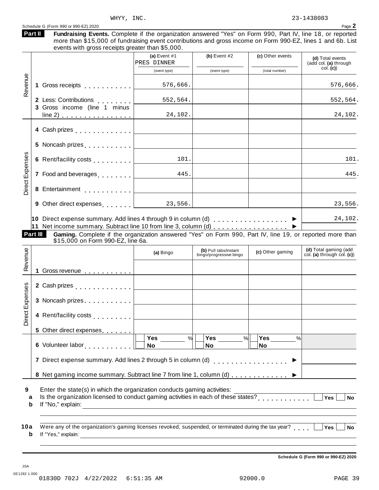### Schedule G (Form 990 or 990-EZ) 2020 Page 2

**Part II**

|                                  |                                                                                                                                                                | (a) Event #1<br>PRES DINNER | (b) Event $#2$          | (c) Other events  | (d) Total events<br>(add col. (a) through |
|----------------------------------|----------------------------------------------------------------------------------------------------------------------------------------------------------------|-----------------------------|-------------------------|-------------------|-------------------------------------------|
|                                  |                                                                                                                                                                | (event type)                | (event type)            | (total number)    | col. (c)                                  |
| Revenue                          | 1 Gross receipts [1, 1, 1, 1, 1, 1, 1, 1]                                                                                                                      | 576,666.                    |                         |                   | 576,666.                                  |
|                                  | 2 Less: Contributions    <br>3 Gross income (line 1 minus                                                                                                      | 552,564.                    |                         |                   | 552,564.                                  |
|                                  | <u>line 2) .................</u>                                                                                                                               | 24,102.                     |                         |                   | 24,102.                                   |
|                                  | 4 Cash prizes <u>  _ _ _ _ _ _ _ _ _ _ _</u>                                                                                                                   |                             |                         |                   |                                           |
|                                  | 5 Noncash prizes <u>  _ _ _ _ _ _ _ _ _ _ _</u>                                                                                                                |                             |                         |                   |                                           |
|                                  | 6 Rent/facility costs [1999]                                                                                                                                   | 101.                        |                         |                   | 101.                                      |
|                                  | 7 Food and beverages entitled and the set of the set of the set of the set of the set of the set of the set of                                                 | 445.                        |                         |                   | 445.                                      |
|                                  | 8 Entertainment <u>  _ _ _ _ _ _ _ _ _ _ _ _</u>                                                                                                               |                             |                         |                   |                                           |
|                                  | 9 Other direct expenses 23,556.                                                                                                                                |                             |                         |                   | 23,556.                                   |
|                                  |                                                                                                                                                                |                             |                         |                   |                                           |
|                                  | \$15,000 on Form 990-EZ, line 6a.                                                                                                                              | (a) Bingo                   | (b) Pull tabs/instant   | (c) Other gaming  | (d) Total gaming (add                     |
|                                  |                                                                                                                                                                |                             | bingo/progressive bingo |                   |                                           |
|                                  | 1 Gross revenue                                                                                                                                                |                             |                         |                   |                                           |
|                                  |                                                                                                                                                                |                             |                         |                   |                                           |
|                                  | 3 Noncash prizes                                                                                                                                               |                             |                         |                   |                                           |
| Revenue<br>Expenses<br>ಕ<br>Dire | 4 Rent/facility costs                                                                                                                                          |                             |                         |                   |                                           |
|                                  | 5 Other direct expenses                                                                                                                                        |                             |                         |                   | col. (a) through col. (c))                |
|                                  |                                                                                                                                                                | Yes<br>$\frac{9}{6}$        | Yes<br>$\frac{9}{6}$    | Yes<br>%          |                                           |
|                                  | 6 Volunteer labor<br>1.                                                                                                                                        | <b>No</b>                   | <b>No</b>               | No                |                                           |
|                                  | 7 Direct expense summary. Add lines 2 through 5 in column (d)                                                                                                  |                             |                         | . <b>.</b> .<br>▶ |                                           |
|                                  | 8 Net gaming income summary. Subtract line 7 from line 1, column (d)                                                                                           |                             |                         |                   |                                           |
|                                  | Enter the state(s) in which the organization conducts gaming activities:<br>Is the organization licensed to conduct gaming activities in each of these states? |                             |                         |                   | Yes                                       |
| 9<br>a<br>b<br>10a               | Were any of the organization's gaming licenses revoked, suspended, or terminated during the tax year?                                                          |                             |                         |                   | <b>No</b><br>Yes  <br><b>No</b>           |

Fundraising Events. Complete if the organization answered "Yes" on Form 990, Part IV, line 18, or reported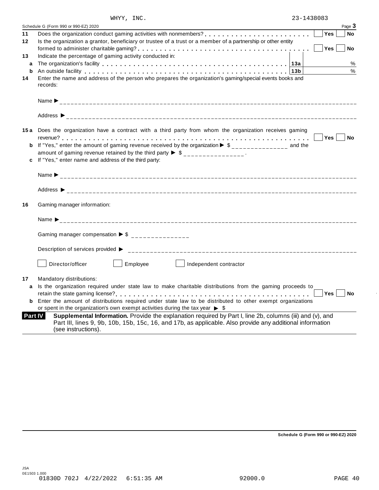|          | WHYY, INC.                                                                                                                                                                                                                                                      | 23-1438083                |                 |
|----------|-----------------------------------------------------------------------------------------------------------------------------------------------------------------------------------------------------------------------------------------------------------------|---------------------------|-----------------|
|          | Schedule G (Form 990 or 990-EZ) 2020                                                                                                                                                                                                                            |                           | Page 3          |
| 11<br>12 | Is the organization a grantor, beneficiary or trustee of a trust or a member of a partnership or other entity                                                                                                                                                   | Yes<br>Yes                | No<br><b>No</b> |
| 13       | Indicate the percentage of gaming activity conducted in:                                                                                                                                                                                                        |                           |                 |
| a        |                                                                                                                                                                                                                                                                 |                           | %               |
| b        | An outside facility enterpretence in the series of the series of the series of the series of the series of the series of the series of the series of the series of the series of the series of the series of the series of the                                  |                           | %               |
| 14       | Enter the name and address of the person who prepares the organization's gaming/special events books and<br>records:                                                                                                                                            |                           |                 |
|          |                                                                                                                                                                                                                                                                 |                           |                 |
|          |                                                                                                                                                                                                                                                                 |                           |                 |
|          | 15a Does the organization have a contract with a third party from whom the organization receives gaming                                                                                                                                                         | $Yes$ $ $ No              |                 |
| b        | If "Yes," enter the amount of gaming revenue received by the organization $\triangleright$ \$_____________ and the                                                                                                                                              |                           |                 |
| c        | amount of gaming revenue retained by the third party $\triangleright$ \$ ________________.<br>If "Yes," enter name and address of the third party:                                                                                                              |                           |                 |
|          |                                                                                                                                                                                                                                                                 |                           |                 |
|          |                                                                                                                                                                                                                                                                 |                           |                 |
|          |                                                                                                                                                                                                                                                                 |                           |                 |
| 16       | Gaming manager information:                                                                                                                                                                                                                                     |                           |                 |
|          | Name $\sum_{-2}$                                                                                                                                                                                                                                                |                           |                 |
|          | Gaming manager compensation $\triangleright$ \$ ________________                                                                                                                                                                                                |                           |                 |
|          |                                                                                                                                                                                                                                                                 |                           |                 |
|          | Employee<br>Director/officer<br>Independent contractor<br><b>Contract Contract State</b>                                                                                                                                                                        |                           |                 |
| 17       | Mandatory distributions:                                                                                                                                                                                                                                        |                           |                 |
| a        | Is the organization required under state law to make charitable distributions from the gaming proceeds to                                                                                                                                                       | <b>The Common Service</b> |                 |
|          | <b>b</b> Enter the amount of distributions required under state law to be distributed to other exempt organizations                                                                                                                                             | Yes                       | No              |
|          | or spent in the organization's own exempt activities during the tax year $\triangleright$ \$                                                                                                                                                                    |                           |                 |
|          | Supplemental Information. Provide the explanation required by Part I, line 2b, columns (iii) and (v), and<br><b>Part IV</b><br>Part III, lines 9, 9b, 10b, 15b, 15c, 16, and 17b, as applicable. Also provide any additional information<br>(see instructions). |                           |                 |

**Schedule G (Form 990 or 990-EZ) 2020**

 $\ddot{\phantom{a}}$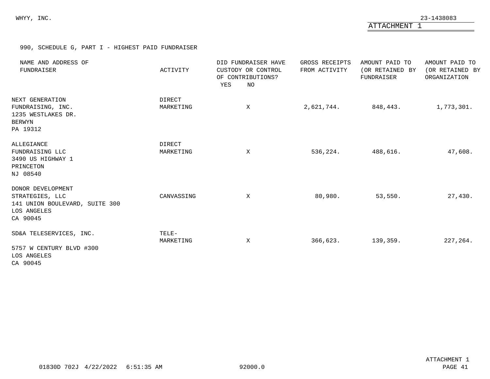ATTACHMENT 1

990, SCHEDULE G, PART I - HIGHEST PAID FUNDRAISER

| NAME AND ADDRESS OF<br>FUNDRAISER                                                                 | ACTIVITY            | DID FUNDRAISER HAVE<br>CUSTODY OR CONTROL<br>OF CONTRIBUTIONS?<br>YES<br>NO | GROSS RECEIPTS<br>FROM ACTIVITY | AMOUNT PAID TO<br>(OR RETAINED BY<br>FUNDRAISER | AMOUNT PAID TO<br>(OR RETAINED BY<br>ORGANIZATION |
|---------------------------------------------------------------------------------------------------|---------------------|-----------------------------------------------------------------------------|---------------------------------|-------------------------------------------------|---------------------------------------------------|
| NEXT GENERATION<br>FUNDRAISING, INC.<br>1235 WESTLAKES DR.<br>BERWYN<br>PA 19312                  | DIRECT<br>MARKETING | X                                                                           |                                 | 2,621,744. 848,443.                             | 1,773,301.                                        |
| ALLEGIANCE<br>FUNDRAISING LLC<br>3490 US HIGHWAY 1<br>PRINCETON<br>NJ 08540                       | DIRECT<br>MARKETING | $\mathbf{X}$                                                                | 536,224.                        | 488,616.                                        | 47,608.                                           |
| DONOR DEVELOPMENT<br>STRATEGIES, LLC<br>141 UNION BOULEVARD, SUITE 300<br>LOS ANGELES<br>CA 90045 | CANVASSING          | $\mathbf{X}$                                                                | 80,980.                         | 53,550.                                         | 27,430.                                           |
| SD&A TELESERVICES, INC.<br>5757 W CENTURY BLVD #300<br>LOS ANGELES<br>CA 90045                    | TELE-<br>MARKETING  | Χ                                                                           | 366,623.                        | 139,359.                                        | 227,264.                                          |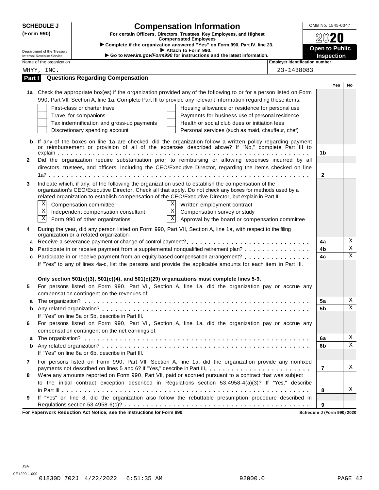| <b>SCHEDULE J</b><br>(Form 990) |                                                      | <b>Compensation Information</b>                                                                                                                                                                                  | OMB No. 1545-0047               |            |                         |
|---------------------------------|------------------------------------------------------|------------------------------------------------------------------------------------------------------------------------------------------------------------------------------------------------------------------|---------------------------------|------------|-------------------------|
|                                 |                                                      | For certain Officers, Directors, Trustees, Key Employees, and Highest                                                                                                                                            |                                 |            |                         |
|                                 |                                                      | <b>Compensated Employees</b><br>Complete if the organization answered "Yes" on Form 990, Part IV, line 23.                                                                                                       |                                 |            |                         |
|                                 | Department of the Treasury                           | Attach to Form 990.                                                                                                                                                                                              | <b>Open to Public</b>           |            |                         |
|                                 | Internal Revenue Service<br>Name of the organization | Go to www.irs.gov/Form990 for instructions and the latest information.<br><b>Employer identification number</b>                                                                                                  | <b>Inspection</b>               |            |                         |
|                                 | WHYY, INC.                                           | 23-1438083                                                                                                                                                                                                       |                                 |            |                         |
| Part I                          |                                                      | <b>Questions Regarding Compensation</b>                                                                                                                                                                          |                                 |            |                         |
|                                 |                                                      |                                                                                                                                                                                                                  |                                 | <b>Yes</b> | No                      |
|                                 |                                                      | 1a Check the appropriate box(es) if the organization provided any of the following to or for a person listed on Form                                                                                             |                                 |            |                         |
|                                 |                                                      | 990, Part VII, Section A, line 1a. Complete Part III to provide any relevant information regarding these items.                                                                                                  |                                 |            |                         |
|                                 |                                                      | First-class or charter travel<br>Housing allowance or residence for personal use                                                                                                                                 |                                 |            |                         |
|                                 |                                                      | Travel for companions<br>Payments for business use of personal residence                                                                                                                                         |                                 |            |                         |
|                                 |                                                      | Tax indemnification and gross-up payments<br>Health or social club dues or initiation fees                                                                                                                       |                                 |            |                         |
|                                 |                                                      | Discretionary spending account<br>Personal services (such as maid, chauffeur, chef)                                                                                                                              |                                 |            |                         |
| b                               |                                                      | If any of the boxes on line 1a are checked, did the organization follow a written policy regarding payment                                                                                                       |                                 |            |                         |
|                                 |                                                      | or reimbursement or provision of all of the expenses described above? If "No," complete Part III to                                                                                                              |                                 |            |                         |
|                                 |                                                      |                                                                                                                                                                                                                  | 1b                              |            |                         |
| 2                               |                                                      | Did the organization require substantiation prior to reimbursing or allowing expenses incurred by all                                                                                                            |                                 |            |                         |
|                                 |                                                      | directors, trustees, and officers, including the CEO/Executive Director, regarding the items checked on line                                                                                                     |                                 |            |                         |
|                                 |                                                      |                                                                                                                                                                                                                  | $\mathbf{2}$                    |            |                         |
| 3                               |                                                      | Indicate which, if any, of the following the organization used to establish the compensation of the<br>organization's CEO/Executive Director. Check all that apply. Do not check any boxes for methods used by a |                                 |            |                         |
|                                 |                                                      | related organization to establish compensation of the CEO/Executive Director, but explain in Part III.                                                                                                           |                                 |            |                         |
|                                 | X                                                    | Χ<br>Compensation committee<br>Written employment contract                                                                                                                                                       |                                 |            |                         |
|                                 | $\mathbf X$                                          | $\mathbf X$<br>Independent compensation consultant<br>Compensation survey or study                                                                                                                               |                                 |            |                         |
|                                 | $\mathbf X$                                          | $\mathbf X$<br>Form 990 of other organizations<br>Approval by the board or compensation committee                                                                                                                |                                 |            |                         |
| 4                               |                                                      | During the year, did any person listed on Form 990, Part VII, Section A, line 1a, with respect to the filing                                                                                                     |                                 |            |                         |
|                                 |                                                      | organization or a related organization:                                                                                                                                                                          |                                 |            |                         |
| a                               |                                                      |                                                                                                                                                                                                                  | 4a                              |            | Χ                       |
|                                 |                                                      | Participate in or receive payment from a supplemental nonqualified retirement plan?                                                                                                                              | 4b                              |            | $\overline{\mathbf{x}}$ |
| c                               |                                                      | Participate in or receive payment from an equity-based compensation arrangement?                                                                                                                                 | 4c                              |            | $\mathbf X$             |
|                                 |                                                      | If "Yes" to any of lines 4a-c, list the persons and provide the applicable amounts for each item in Part III.                                                                                                    |                                 |            |                         |
|                                 |                                                      |                                                                                                                                                                                                                  |                                 |            |                         |
|                                 |                                                      | Only section 501(c)(3), 501(c)(4), and 501(c)(29) organizations must complete lines 5-9.                                                                                                                         |                                 |            |                         |
| 5                               |                                                      | For persons listed on Form 990, Part VII, Section A, line 1a, did the organization pay or accrue any                                                                                                             |                                 |            |                         |
|                                 |                                                      | compensation contingent on the revenues of:                                                                                                                                                                      |                                 |            | Χ                       |
|                                 |                                                      |                                                                                                                                                                                                                  | 5a<br>5 <sub>b</sub>            |            | X                       |
|                                 |                                                      | If "Yes" on line 5a or 5b, describe in Part III.                                                                                                                                                                 |                                 |            |                         |
| 6                               |                                                      | For persons listed on Form 990, Part VII, Section A, line 1a, did the organization pay or accrue any                                                                                                             |                                 |            |                         |
|                                 |                                                      | compensation contingent on the net earnings of:                                                                                                                                                                  |                                 |            |                         |
|                                 |                                                      |                                                                                                                                                                                                                  | 6а                              |            | Χ                       |
| b                               |                                                      |                                                                                                                                                                                                                  | 6b                              |            | X                       |
|                                 |                                                      | If "Yes" on line 6a or 6b, describe in Part III.                                                                                                                                                                 |                                 |            |                         |
| 7                               |                                                      | For persons listed on Form 990, Part VII, Section A, line 1a, did the organization provide any nonfixed                                                                                                          |                                 |            |                         |
|                                 |                                                      | payments not described on lines 5 and 6? If "Yes," describe in Part III.                                                                                                                                         | $\overline{7}$                  |            | Χ                       |
| 8                               |                                                      | Were any amounts reported on Form 990, Part VII, paid or accrued pursuant to a contract that was subject                                                                                                         |                                 |            |                         |
|                                 |                                                      | to the initial contract exception described in Regulations section 53.4958-4(a)(3)? If "Yes," describe                                                                                                           |                                 |            |                         |
|                                 |                                                      |                                                                                                                                                                                                                  | 8                               |            | Χ                       |
| 9                               |                                                      | If "Yes" on line 8, did the organization also follow the rebuttable presumption procedure described in                                                                                                           |                                 |            |                         |
|                                 |                                                      | For Paperwork Reduction Act Notice, see the Instructions for Form 990.                                                                                                                                           | 9<br>Schedule J (Form 990) 2020 |            |                         |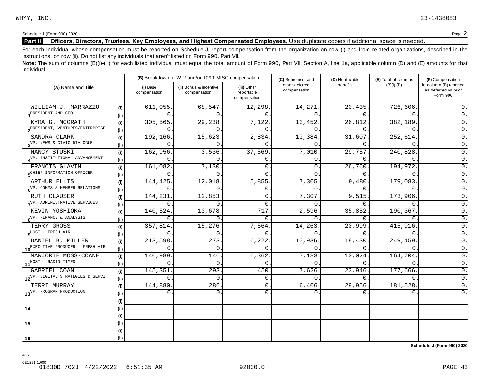Schedule <sup>J</sup> (Form 990) <sup>2020</sup> Page **2**

### **Part II Officers, Directors, Trustees, Key Employees, and Highest Compensated Employees.** Use duplicate copies ifadditional space is needed.

For each individual whose compensation must be reported on Schedule J, report compensation from the organization on row (i) and from related organizations, described in the instructions, on row (ii). Do not list any individuals that aren't listed on Form 990, Part VII.

Note: The sum of columns (B)(i)-(iii) for each listed individual must equal the total amount of Form 990, Part VII, Section A, line 1a, applicable column (D) and (E) amounts for that individual.

| (A) Name and Title                                                |      | (B) Breakdown of W-2 and/or 1099-MISC compensation |                                        |                                           | (C) Retirement and             | (D) Nontaxable | (E) Total of columns | (F) Compensation                                           |  |
|-------------------------------------------------------------------|------|----------------------------------------------------|----------------------------------------|-------------------------------------------|--------------------------------|----------------|----------------------|------------------------------------------------------------|--|
|                                                                   |      | (i) Base<br>compensation                           | (ii) Bonus & incentive<br>compensation | (iii) Other<br>reportable<br>compensation | other deferred<br>compensation | benefits       | $(B)(i)-(D)$         | in column (B) reported<br>as deferred on prior<br>Form 990 |  |
| WILLIAM J. MARRAZZO                                               | (i)  | 611,055.                                           | 68,547.                                | 12,298.                                   | 14,271                         | 20,435.        | 726,606.             | $0$ .                                                      |  |
| PRESIDENT AND CEO                                                 | (ii) | $\Omega$ .                                         | $\Omega$ .                             | $\Omega$ .                                | $\Omega$                       | $\Omega$ .     | $\Omega$ .           | $0$ .                                                      |  |
| KYRA G. MCGRATH                                                   | (i)  | 305,565                                            | 29,238                                 | 7,122                                     | 13,452                         | 26,812.        | 382,189.             | $0$ .                                                      |  |
| PRESIDENT, VENTURES/ENTERPRISE                                    | (ii) | 0                                                  | $\Omega$ .                             | $\Omega$ .                                | $\Omega$                       | $0$ .          | $\Omega$ .           | $\overline{0}$ .                                           |  |
| SANDRA CLARK                                                      | (i)  | 192,166                                            | 15,623.                                | 2,834                                     | 10,384                         | 31,607.        | 252,614.             | $\mathsf 0$ .                                              |  |
| $3^{\text{VP}}$ , NEWS & CIVIC DIALOGUE                           | (i)  | $\Omega$ .                                         | $\Omega$ .                             | $\Omega$                                  | $\Omega$                       | 0.             | $\Omega$ .           | $0$ .                                                      |  |
| NANCY STUSKI                                                      | (i)  | 162,956.                                           | 3,536.                                 | 37,569                                    | 7,010                          | 29,757.        | 240,828              | $0$ .                                                      |  |
| $\boldsymbol{\varLambda}^{\text{VP}}$ , INSTITUTIONAL ADVANCEMENT | (i)  | $\mathbf{0}$ .                                     | $\Omega$ .                             | $\mathsf{O}$ .                            | 0                              | 0.             | $\mathbf{0}$ .       | 0.                                                         |  |
| FRANCIS GLAVIN                                                    | (i)  | 161,082.                                           | 7,130                                  | $\mathbf{0}$ .                            | $\Omega$                       | 26,760.        | 194,972              | $\mathsf 0$ .                                              |  |
| 5 <sup>CHIEF</sup> INFORMATION OFFICER                            | (ii) | $\mathsf{O}$ .                                     | $\mathbf 0$ .                          | $\Omega$ .                                | $\Omega$                       | 0.             | $\overline{0}$ .     | $0$ .                                                      |  |
| ARTHUR ELLIS                                                      | (i)  | 144,425                                            | 12,018.                                | 5,855                                     | 7,305                          | 9,480.         | 179,083.             | $\overline{0}$ .                                           |  |
| 6 <sup>VP, COMMS &amp; MEMBER RELATIONS</sup>                     | (i)  | $\mathsf{O}$ .                                     | $0$ .                                  | $\mathsf{O}$ .                            | 0                              | 0.             | $\mathbf 0$ .        | $\mathsf 0$ .                                              |  |
| RUTH CLAUSER                                                      | (i)  | 144,231                                            | 12,853.                                | $\mathsf{O}$ .                            | 7,307                          | 9,515.         | 173,906.             | $\overline{0}$ .                                           |  |
| VP, ADMINISTRATIVE SERVICES                                       | (i)  | $\Omega$ .                                         | $\Omega$ .                             | $\Omega$ .                                | $\Omega$                       | $0$ .          | $\Omega$ .           | $\overline{0}$ .                                           |  |
| KEVIN YOSHIOKA                                                    | (i)  | 140,524                                            | 10,678.                                | 717.                                      | 2,596                          | 35,852.        | 190,367.             | $0$ .                                                      |  |
| $8^{\text{VP}}$ , FINANCE & ANALYSIS                              | (ii) | $\mathbf{0}$ .                                     | $\overline{0}$ .                       | $\Omega$ .                                | $\Omega$                       | 0.             | $\Omega$ .           | $0$ .                                                      |  |
| TERRY GROSS                                                       | (i)  | 357,814.                                           | 15,276.                                | 7,564.                                    | 14,263                         | 20,999.        | 415,916.             | $\overline{0}$ .                                           |  |
| $q^{HOST}$ - FRESH AIR                                            | (i)  | $\Omega$ .                                         | $0$ .                                  | $\Omega$ .                                | $\Omega$                       | 0.             | $\Omega$ .           | $\mathsf 0$ .                                              |  |
| DANIEL B. MILLER                                                  | (i)  | 213,598.                                           | 273.                                   | 6,222                                     | 10,936                         | 18,430.        | 249,459              | $0$ .                                                      |  |
| 10 <sup>EXECUTIVE PRODUCER - FRESH</sup> AIR                      | (i)  | $\mathbf{0}$ .                                     | $\mathbf 0$ .                          | $\Omega$ .                                | $\Omega$ .                     | 0.             | $\Omega$ .           | $\mathsf 0$ .                                              |  |
| MARJORIE MOSS-COANE                                               | (i)  | 140,989                                            | 146.                                   | 6, 362.                                   | 7,183                          | 10,024.        | 164,704.             | $\mathsf 0$ .                                              |  |
| 11 <sup>HOST</sup> - RADIO TIMES                                  | (i)  | $\Omega$ .                                         | $\mathbf{0}$ .                         | $\Omega$                                  | $\Omega$                       | $\Omega$ .     | $\Omega$ .           | $\overline{0}$ .                                           |  |
| GABRIEL COAN                                                      | (i)  | 145, 351                                           | 293.                                   | 450.                                      | 7,626                          | 23,946.        | 177,666.             | $\overline{0}$ .                                           |  |
| 12 <sup>VP, DIGITAL STRATEGIES &amp; SERVI</sup>                  | (i)  | $\mathbf{0}$ .                                     | $\mathsf{O}$ .                         | $\mathbf{0}$                              | $\Omega$                       | 0.             | 0.                   | $\overline{0}$ .                                           |  |
| TERRI MURRAY                                                      | (i)  | 144,880                                            | 286.                                   | 0.                                        | 6,406                          | 29,956.        | 181,528.             | $\mathsf 0$ .                                              |  |
| 13 <sup>VP, PROGRAM PRODUCTION</sup>                              | (ii) | $\mathsf{0}$ .                                     | $\mathbf{0}$ .                         | $\mathbf{0}$ .                            | $0$ .                          | $0$ .          | $\mathbf 0$ .        | $\overline{0}$ .                                           |  |
|                                                                   | (i)  |                                                    |                                        |                                           |                                |                |                      |                                                            |  |
| 14                                                                | (i)  |                                                    |                                        |                                           |                                |                |                      |                                                            |  |
|                                                                   | (i)  |                                                    |                                        |                                           |                                |                |                      |                                                            |  |
| 15                                                                | (i)  |                                                    |                                        |                                           |                                |                |                      |                                                            |  |
|                                                                   | (i)  |                                                    |                                        |                                           |                                |                |                      |                                                            |  |
| 16                                                                | (i)  |                                                    |                                        |                                           |                                |                |                      |                                                            |  |

**Schedule J (Form 990) 2020**

JSA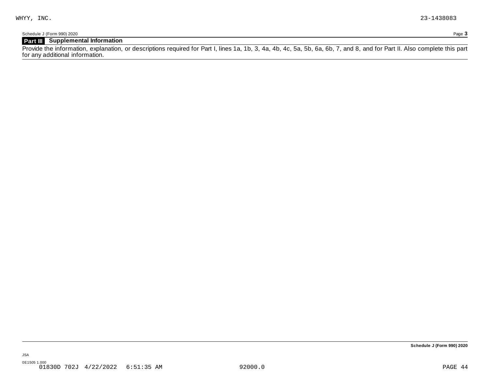Schedule J (Form 990) 2020 Page **3**

**Part III Supplemental Information**

Provide the information, explanation, or descriptions required for Part I, lines 1a, 1b, 3, 4a, 4b, 4c, 5a, 5b, 6a, 6b, 7, and 8, and for Part II. Also complete this part for any additional information.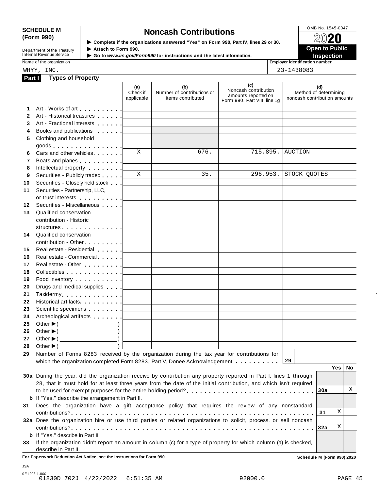# SCHEDULE M<br>
(Form 990) **Solutions**<br>  $\begin{array}{r} \bigcirc \text{MBD No. 1545-0047} \\ \bigcirc \text{S} \text{Complete if the organizations answered "Yes" on Form 990 Part IV lines 29 or 30} \\ \bigcirc \bigcirc \text{S} \text{OR} \text{OR} \end{array}$

**Department of the Treasury<br>Internal Revenue Service** 

**Examplete** if the organizations answered "Yes" on Form 990, Part Ⅳ, lines 29 or 30. 
<br>
■ **Open to Public Department of the Treasury ▶ Attach to Form 990.**<br>Internal Revenue Service ▶ Go to *www.irs.gov/Form990* for instructions and the latest information.<br>Nome of the organization aumhor

|  |  | Name of the organization |  |
|--|--|--------------------------|--|
|--|--|--------------------------|--|

|                          | _____ |  | .<br>_____ | .                              |
|--------------------------|-------|--|------------|--------------------------------|
| Name of the organization |       |  |            | Employer identification number |
| INC.<br>WHYY             |       |  |            | 281<br>$\sim$ $-$<br>.         |

| Part I | <b>Types of Property</b>                                                                                                                                                                                                       |                                   |                                                                            |                                                                                    |                                                              |
|--------|--------------------------------------------------------------------------------------------------------------------------------------------------------------------------------------------------------------------------------|-----------------------------------|----------------------------------------------------------------------------|------------------------------------------------------------------------------------|--------------------------------------------------------------|
|        |                                                                                                                                                                                                                                | (a)<br>Check if<br>applicable     | (b)<br>Number of contributions or<br>items contributed                     | (c)<br>Noncash contribution<br>amounts reported on<br>Form 990, Part VIII, line 1g | (d)<br>Method of determining<br>noncash contribution amounts |
| 1      |                                                                                                                                                                                                                                |                                   |                                                                            |                                                                                    |                                                              |
| 2      | Art - Historical treasures                                                                                                                                                                                                     |                                   |                                                                            |                                                                                    |                                                              |
| 3      | Art - Fractional interests [1995]                                                                                                                                                                                              |                                   |                                                                            |                                                                                    |                                                              |
| 4      | Books and publications [19]                                                                                                                                                                                                    |                                   |                                                                            |                                                                                    |                                                              |
| 5      | Clothing and household                                                                                                                                                                                                         |                                   |                                                                            |                                                                                    |                                                              |
|        | $goods$                                                                                                                                                                                                                        |                                   |                                                                            |                                                                                    |                                                              |
| 6      | Cars and other vehicles                                                                                                                                                                                                        | X                                 | 676.                                                                       | 715,895.                                                                           | <b>AUCTION</b>                                               |
| 7      | Boats and planes                                                                                                                                                                                                               |                                   |                                                                            |                                                                                    |                                                              |
| 8      | Intellectual property [19]                                                                                                                                                                                                     |                                   |                                                                            |                                                                                    |                                                              |
| 9      | Securities - Publicly traded                                                                                                                                                                                                   | X                                 | 35.                                                                        | 296,953.                                                                           | STOCK QUOTES                                                 |
| 10     | Securities - Closely held stock                                                                                                                                                                                                |                                   |                                                                            |                                                                                    |                                                              |
| 11     | Securities - Partnership, LLC,                                                                                                                                                                                                 |                                   |                                                                            |                                                                                    |                                                              |
|        | or trust interests experience and the set of the set of the set of the set of the set of the set of the set of                                                                                                                 |                                   |                                                                            |                                                                                    |                                                              |
| 12     | Securities - Miscellaneous                                                                                                                                                                                                     |                                   |                                                                            |                                                                                    |                                                              |
| 13     | Qualified conservation                                                                                                                                                                                                         |                                   |                                                                            |                                                                                    |                                                              |
|        | contribution - Historic                                                                                                                                                                                                        |                                   |                                                                            |                                                                                    |                                                              |
|        | structures experience and structures                                                                                                                                                                                           |                                   |                                                                            |                                                                                    |                                                              |
| 14     | Qualified conservation                                                                                                                                                                                                         |                                   |                                                                            |                                                                                    |                                                              |
|        | contribution - Other [1994]                                                                                                                                                                                                    |                                   |                                                                            |                                                                                    |                                                              |
| 15     | Real estate - Residential                                                                                                                                                                                                      | the contract of the contract of   |                                                                            |                                                                                    |                                                              |
| 16     |                                                                                                                                                                                                                                |                                   | the control of the control of the control of the control of the control of |                                                                                    |                                                              |
| 17     | Real estate - Other <u>  _ _ _ _ _   _ _ _ _ _ _ _ _ _ _ _</u>                                                                                                                                                                 |                                   |                                                                            |                                                                                    |                                                              |
| 18     |                                                                                                                                                                                                                                |                                   | the control of the control of the control of the control of the control of |                                                                                    |                                                              |
| 19     | Food inventory entertainment of the state of the state of the state of the state of the state of the state of the state of the state of the state of the state of the state of the state of the state of the state of the stat | <b>Contract Contract Contract</b> | the control of the control of the control of the control of the control of |                                                                                    |                                                              |
| 20     |                                                                                                                                                                                                                                |                                   |                                                                            |                                                                                    |                                                              |
| 21     |                                                                                                                                                                                                                                |                                   |                                                                            |                                                                                    |                                                              |
| 22     |                                                                                                                                                                                                                                |                                   |                                                                            |                                                                                    |                                                              |
| 23     | Scientific specimens <u>  _ _ _ _ _</u>                                                                                                                                                                                        |                                   |                                                                            |                                                                                    |                                                              |
| 24     | Archeological artifacts [                                                                                                                                                                                                      | the contract of the contract of   |                                                                            |                                                                                    |                                                              |
| 25     | Other $\blacktriangleright$ ( $\_\_\_\_\_\_\_\_$ )                                                                                                                                                                             |                                   |                                                                            |                                                                                    |                                                              |
| 26     | Other $\blacktriangleright$ ( $\_\_\_\_\_\_\_\_$ )                                                                                                                                                                             |                                   |                                                                            |                                                                                    |                                                              |
| 27     | Other $\blacktriangleright$ ( $\qquad \qquad$                                                                                                                                                                                  |                                   |                                                                            |                                                                                    |                                                              |
|        | 28 Other $\blacktriangleright$ (                                                                                                                                                                                               |                                   |                                                                            |                                                                                    |                                                              |
| 29     | Number of Forms 8283 received by the organization during the tax year for contributions for                                                                                                                                    |                                   |                                                                            |                                                                                    |                                                              |
|        | which the organization completed Form 8283, Part V, Donee Acknowledgement                                                                                                                                                      |                                   |                                                                            |                                                                                    | 29                                                           |
|        |                                                                                                                                                                                                                                |                                   |                                                                            |                                                                                    | Yes  <br>No                                                  |
|        | 30a During the year, did the organization receive by contribution any property reported in Part I, lines 1 through                                                                                                             |                                   |                                                                            |                                                                                    |                                                              |
|        | 28, that it must hold for at least three years from the date of the initial contribution, and which isn't required                                                                                                             |                                   |                                                                            |                                                                                    |                                                              |
|        |                                                                                                                                                                                                                                |                                   |                                                                            |                                                                                    | Χ<br>30a                                                     |
|        | <b>b</b> If "Yes," describe the arrangement in Part II.                                                                                                                                                                        |                                   |                                                                            |                                                                                    |                                                              |
| 31     | Does the organization have a gift acceptance policy that requires the review of any nonstandard                                                                                                                                |                                   |                                                                            |                                                                                    |                                                              |
|        |                                                                                                                                                                                                                                |                                   |                                                                            |                                                                                    | Χ<br>31                                                      |
|        | 32a Does the organization hire or use third parties or related organizations to solicit, process, or sell noncash                                                                                                              |                                   |                                                                            |                                                                                    |                                                              |
|        |                                                                                                                                                                                                                                |                                   |                                                                            |                                                                                    | Χ<br>32a                                                     |
|        | <b>b</b> If "Yes," describe in Part II.                                                                                                                                                                                        |                                   |                                                                            |                                                                                    |                                                              |
| 33     | If the organization didn't report an amount in column (c) for a type of property for which column (a) is checked,                                                                                                              |                                   |                                                                            |                                                                                    |                                                              |
|        | describe in Part II.                                                                                                                                                                                                           |                                   |                                                                            |                                                                                    |                                                              |
|        | For Paperwork Reduction Act Notice, see the Instructions for Form 990.                                                                                                                                                         |                                   |                                                                            |                                                                                    | Schedule M (Form 990) 2020                                   |

JSA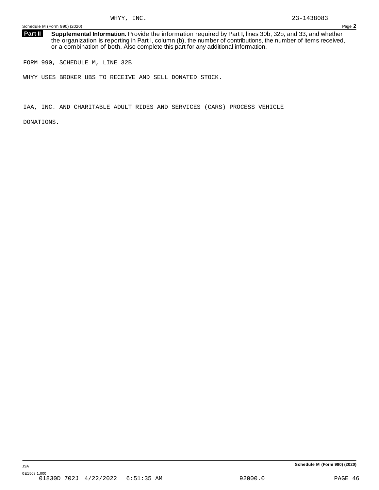**Supplemental Information.** Provide the information required by Part I, lines 30b, 32b, and 33, and whether the organization is reporting in Part I, column (b), the number of contributions, the number of items received, or a combination of both. Also complete this part for any additional information. **Part II**

FORM 990, SCHEDULE M, LINE 32B

WHYY USES BROKER UBS TO RECEIVE AND SELL DONATED STOCK.

IAA, INC. AND CHARITABLE ADULT RIDES AND SERVICES (CARS) PROCESS VEHICLE

DONATIONS.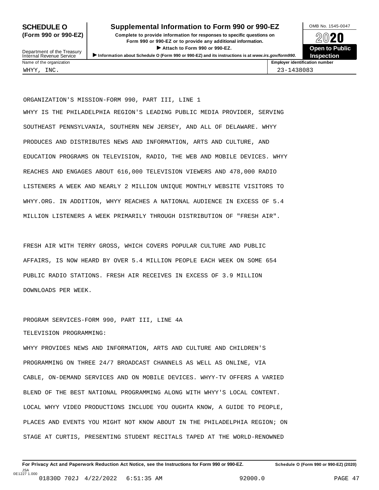### **SCHEDULE O** Supplemental Information to Form 990 or 990-EZ DMB No. 1545-0047

**(Form 990 or 990-EZ) Complete to provide information for responses to specific questions on** plete to provide information for responses to specific questions on  $\bigotimes_{\mathbb{Z}}\mathbb{Q}$  20 **EVECT**<br>
Attach to Form 990 or 990-EZ.<br>
and the Communication of the Communication of the Communication of the Communication of the Communication of the Communication of the Communication of the Communication of the Commu Department of the Treasury <br>Depen to Public<br>Name of the organization<br>Name of the organization<br>Name of the organization<br>Name of the organization



Department of the Treasury<br>Internal Revenue Service

ORGANIZATION'S MISSION-FORM 990, PART III, LINE 1 WHYY IS THE PHILADELPHIA REGION'S LEADING PUBLIC MEDIA PROVIDER, SERVING SOUTHEAST PENNSYLVANIA, SOUTHERN NEW JERSEY, AND ALL OF DELAWARE. WHYY PRODUCES AND DISTRIBUTES NEWS AND INFORMATION, ARTS AND CULTURE, AND EDUCATION PROGRAMS ON TELEVISION, RADIO, THE WEB AND MOBILE DEVICES. WHYY REACHES AND ENGAGES ABOUT 616,000 TELEVISION VIEWERS AND 478,000 RADIO LISTENERS A WEEK AND NEARLY 2 MILLION UNIQUE MONTHLY WEBSITE VISITORS TO WHYY.ORG. IN ADDITION, WHYY REACHES A NATIONAL AUDIENCE IN EXCESS OF 5.4 MILLION LISTENERS A WEEK PRIMARILY THROUGH DISTRIBUTION OF "FRESH AIR".

FRESH AIR WITH TERRY GROSS, WHICH COVERS POPULAR CULTURE AND PUBLIC AFFAIRS, IS NOW HEARD BY OVER 5.4 MILLION PEOPLE EACH WEEK ON SOME 654 PUBLIC RADIO STATIONS. FRESH AIR RECEIVES IN EXCESS OF 3.9 MILLION DOWNLOADS PER WEEK.

PROGRAM SERVICES-FORM 990, PART III, LINE 4A TELEVISION PROGRAMMING:

WHYY PROVIDES NEWS AND INFORMATION, ARTS AND CULTURE AND CHILDREN'S PROGRAMMING ON THREE 24/7 BROADCAST CHANNELS AS WELL AS ONLINE, VIA CABLE, ON-DEMAND SERVICES AND ON MOBILE DEVICES. WHYY-TV OFFERS A VARIED BLEND OF THE BEST NATIONAL PROGRAMMING ALONG WITH WHYY'S LOCAL CONTENT. LOCAL WHYY VIDEO PRODUCTIONS INCLUDE YOU OUGHTA KNOW, A GUIDE TO PEOPLE, PLACES AND EVENTS YOU MIGHT NOT KNOW ABOUT IN THE PHILADELPHIA REGION; ON STAGE AT CURTIS, PRESENTING STUDENT RECITALS TAPED AT THE WORLD-RENOWNED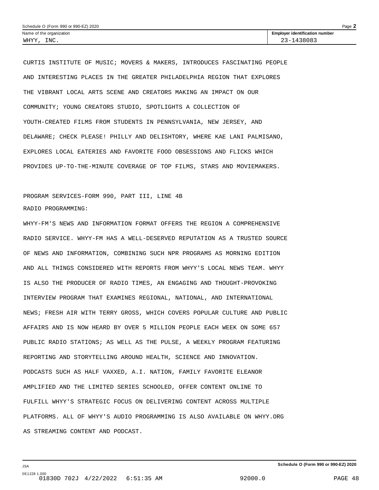CURTIS INSTITUTE OF MUSIC; MOVERS & MAKERS, INTRODUCES FASCINATING PEOPLE AND INTERESTING PLACES IN THE GREATER PHILADELPHIA REGION THAT EXPLORES THE VIBRANT LOCAL ARTS SCENE AND CREATORS MAKING AN IMPACT ON OUR COMMUNITY; YOUNG CREATORS STUDIO, SPOTLIGHTS A COLLECTION OF YOUTH-CREATED FILMS FROM STUDENTS IN PENNSYLVANIA, NEW JERSEY, AND DELAWARE; CHECK PLEASE! PHILLY AND DELISHTORY, WHERE KAE LANI PALMISANO, EXPLORES LOCAL EATERIES AND FAVORITE FOOD OBSESSIONS AND FLICKS WHICH PROVIDES UP-TO-THE-MINUTE COVERAGE OF TOP FILMS, STARS AND MOVIEMAKERS.

### PROGRAM SERVICES-FORM 990, PART III, LINE 4B

### RADIO PROGRAMMING:

WHYY-FM'S NEWS AND INFORMATION FORMAT OFFERS THE REGION A COMPREHENSIVE RADIO SERVICE. WHYY-FM HAS A WELL-DESERVED REPUTATION AS A TRUSTED SOURCE OF NEWS AND INFORMATION, COMBINING SUCH NPR PROGRAMS AS MORNING EDITION AND ALL THINGS CONSIDERED WITH REPORTS FROM WHYY'S LOCAL NEWS TEAM. WHYY IS ALSO THE PRODUCER OF RADIO TIMES, AN ENGAGING AND THOUGHT-PROVOKING INTERVIEW PROGRAM THAT EXAMINES REGIONAL, NATIONAL, AND INTERNATIONAL NEWS; FRESH AIR WITH TERRY GROSS, WHICH COVERS POPULAR CULTURE AND PUBLIC AFFAIRS AND IS NOW HEARD BY OVER 5 MILLION PEOPLE EACH WEEK ON SOME 657 PUBLIC RADIO STATIONS; AS WELL AS THE PULSE, A WEEKLY PROGRAM FEATURING REPORTING AND STORYTELLING AROUND HEALTH, SCIENCE AND INNOVATION. PODCASTS SUCH AS HALF VAXXED, A.I. NATION, FAMILY FAVORITE ELEANOR AMPLIFIED AND THE LIMITED SERIES SCHOOLED, OFFER CONTENT ONLINE TO FULFILL WHYY'S STRATEGIC FOCUS ON DELIVERING CONTENT ACROSS MULTIPLE PLATFORMS. ALL OF WHYY'S AUDIO PROGRAMMING IS ALSO AVAILABLE ON WHYY.ORG AS STREAMING CONTENT AND PODCAST.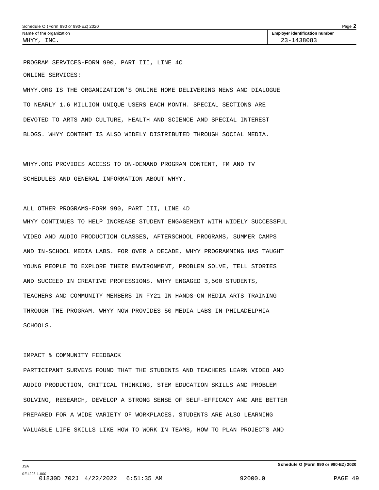PROGRAM SERVICES-FORM 990, PART III, LINE 4C ONLINE SERVICES:

WHYY.ORG IS THE ORGANIZATION'S ONLINE HOME DELIVERING NEWS AND DIALOGUE TO NEARLY 1.6 MILLION UNIQUE USERS EACH MONTH. SPECIAL SECTIONS ARE DEVOTED TO ARTS AND CULTURE, HEALTH AND SCIENCE AND SPECIAL INTEREST BLOGS. WHYY CONTENT IS ALSO WIDELY DISTRIBUTED THROUGH SOCIAL MEDIA.

WHYY.ORG PROVIDES ACCESS TO ON-DEMAND PROGRAM CONTENT, FM AND TV SCHEDULES AND GENERAL INFORMATION ABOUT WHYY.

ALL OTHER PROGRAMS-FORM 990, PART III, LINE 4D WHYY CONTINUES TO HELP INCREASE STUDENT ENGAGEMENT WITH WIDELY SUCCESSFUL VIDEO AND AUDIO PRODUCTION CLASSES, AFTERSCHOOL PROGRAMS, SUMMER CAMPS AND IN-SCHOOL MEDIA LABS. FOR OVER A DECADE, WHYY PROGRAMMING HAS TAUGHT YOUNG PEOPLE TO EXPLORE THEIR ENVIRONMENT, PROBLEM SOLVE, TELL STORIES AND SUCCEED IN CREATIVE PROFESSIONS. WHYY ENGAGED 3,500 STUDENTS, TEACHERS AND COMMUNITY MEMBERS IN FY21 IN HANDS-ON MEDIA ARTS TRAINING THROUGH THE PROGRAM. WHYY NOW PROVIDES 50 MEDIA LABS IN PHILADELPHIA SCHOOLS.

### IMPACT & COMMUNITY FEEDBACK

PARTICIPANT SURVEYS FOUND THAT THE STUDENTS AND TEACHERS LEARN VIDEO AND AUDIO PRODUCTION, CRITICAL THINKING, STEM EDUCATION SKILLS AND PROBLEM SOLVING, RESEARCH, DEVELOP A STRONG SENSE OF SELF-EFFICACY AND ARE BETTER PREPARED FOR A WIDE VARIETY OF WORKPLACES. STUDENTS ARE ALSO LEARNING VALUABLE LIFE SKILLS LIKE HOW TO WORK IN TEAMS, HOW TO PLAN PROJECTS AND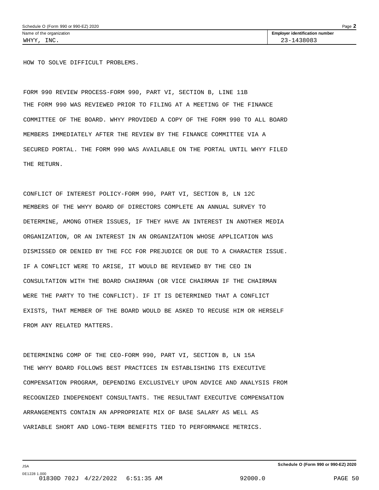HOW TO SOLVE DIFFICULT PROBLEMS.

FORM 990 REVIEW PROCESS-FORM 990, PART VI, SECTION B, LINE 11B THE FORM 990 WAS REVIEWED PRIOR TO FILING AT A MEETING OF THE FINANCE COMMITTEE OF THE BOARD. WHYY PROVIDED A COPY OF THE FORM 990 TO ALL BOARD MEMBERS IMMEDIATELY AFTER THE REVIEW BY THE FINANCE COMMITTEE VIA A SECURED PORTAL. THE FORM 990 WAS AVAILABLE ON THE PORTAL UNTIL WHYY FILED THE RETURN.

CONFLICT OF INTEREST POLICY-FORM 990, PART VI, SECTION B, LN 12C MEMBERS OF THE WHYY BOARD OF DIRECTORS COMPLETE AN ANNUAL SURVEY TO DETERMINE, AMONG OTHER ISSUES, IF THEY HAVE AN INTEREST IN ANOTHER MEDIA ORGANIZATION, OR AN INTEREST IN AN ORGANIZATION WHOSE APPLICATION WAS DISMISSED OR DENIED BY THE FCC FOR PREJUDICE OR DUE TO A CHARACTER ISSUE. IF A CONFLICT WERE TO ARISE, IT WOULD BE REVIEWED BY THE CEO IN CONSULTATION WITH THE BOARD CHAIRMAN (OR VICE CHAIRMAN IF THE CHAIRMAN WERE THE PARTY TO THE CONFLICT). IF IT IS DETERMINED THAT A CONFLICT EXISTS, THAT MEMBER OF THE BOARD WOULD BE ASKED TO RECUSE HIM OR HERSELF FROM ANY RELATED MATTERS.

DETERMINING COMP OF THE CEO-FORM 990, PART VI, SECTION B, LN 15A THE WHYY BOARD FOLLOWS BEST PRACTICES IN ESTABLISHING ITS EXECUTIVE COMPENSATION PROGRAM, DEPENDING EXCLUSIVELY UPON ADVICE AND ANALYSIS FROM RECOGNIZED INDEPENDENT CONSULTANTS. THE RESULTANT EXECUTIVE COMPENSATION ARRANGEMENTS CONTAIN AN APPROPRIATE MIX OF BASE SALARY AS WELL AS VARIABLE SHORT AND LONG-TERM BENEFITS TIED TO PERFORMANCE METRICS.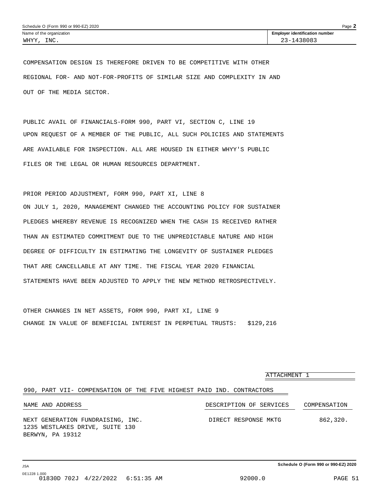COMPENSATION DESIGN IS THEREFORE DRIVEN TO BE COMPETITIVE WITH OTHER REGIONAL FOR- AND NOT-FOR-PROFITS OF SIMILAR SIZE AND COMPLEXITY IN AND OUT OF THE MEDIA SECTOR.

PUBLIC AVAIL OF FINANCIALS-FORM 990, PART VI, SECTION C, LINE 19 UPON REQUEST OF A MEMBER OF THE PUBLIC, ALL SUCH POLICIES AND STATEMENTS ARE AVAILABLE FOR INSPECTION. ALL ARE HOUSED IN EITHER WHYY'S PUBLIC FILES OR THE LEGAL OR HUMAN RESOURCES DEPARTMENT.

PRIOR PERIOD ADJUSTMENT, FORM 990, PART XI, LINE 8 ON JULY 1, 2020, MANAGEMENT CHANGED THE ACCOUNTING POLICY FOR SUSTAINER PLEDGES WHEREBY REVENUE IS RECOGNIZED WHEN THE CASH IS RECEIVED RATHER THAN AN ESTIMATED COMMITMENT DUE TO THE UNPREDICTABLE NATURE AND HIGH DEGREE OF DIFFICULTY IN ESTIMATING THE LONGEVITY OF SUSTAINER PLEDGES THAT ARE CANCELLABLE AT ANY TIME. THE FISCAL YEAR 2020 FINANCIAL STATEMENTS HAVE BEEN ADJUSTED TO APPLY THE NEW METHOD RETROSPECTIVELY.

OTHER CHANGES IN NET ASSETS, FORM 990, PART XI, LINE 9 CHANGE IN VALUE OF BENEFICIAL INTEREST IN PERPETUAL TRUSTS: \$129,216

ATTACHMENT 1

|                  | 990, PART VII- COMPENSATION OF THE FIVE HIGHEST PAID IND. CONTRACTORS |  |  |                         |              |
|------------------|-----------------------------------------------------------------------|--|--|-------------------------|--------------|
| NAME AND ADDRESS |                                                                       |  |  | DESCRIPTION OF SERVICES | COMPENSATION |
|                  | NEXT GENERATION FUNDRAISING, INC.<br>1235 WESTLAKES DRIVE, SUITE 130  |  |  | DIRECT RESPONSE MKTG    | 862,320.     |
| BERWYN, PA 19312 |                                                                       |  |  |                         |              |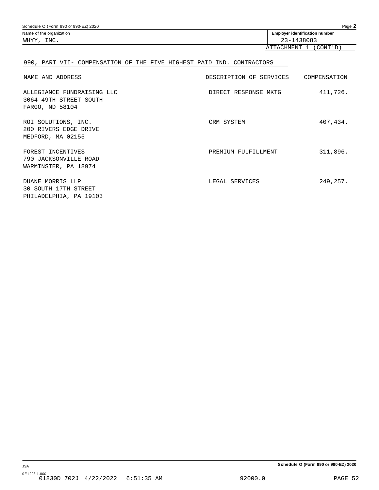| Schedule O (Form 990 or 990-EZ) 2020 | $P$ age $\blacktriangle$              |
|--------------------------------------|---------------------------------------|
| Name of the organization             | <b>Employer identification number</b> |
| INC.<br>WHYY                         | 23-1438083                            |

ATTACHMENT 1 (CONT'D)

## 990, PART VII- COMPENSATION OF THE FIVE HIGHEST PAID IND. CONTRACTORS

| NAME AND ADDRESS                                                        | DESCRIPTION OF SERVICES | COMPENSATION |
|-------------------------------------------------------------------------|-------------------------|--------------|
| ALLEGIANCE FUNDRAISING LLC<br>3064 49TH STREET SOUTH<br>FARGO, ND 58104 | DIRECT RESPONSE MKTG    | 411,726.     |
| ROI SOLUTIONS, INC.<br>200 RIVERS EDGE DRIVE<br>MEDFORD, MA 02155       | CRM SYSTEM              | 407,434.     |
| FOREST INCENTIVES<br>790 JACKSONVILLE ROAD<br>WARMINSTER, PA 18974      | PREMIUM FULFILLMENT     | 311,896.     |
| DUANE MORRIS LLP<br>30 SOUTH 17TH STREET<br>PHILADELPHIA, PA 19103      | LEGAL SERVICES          | 249,257.     |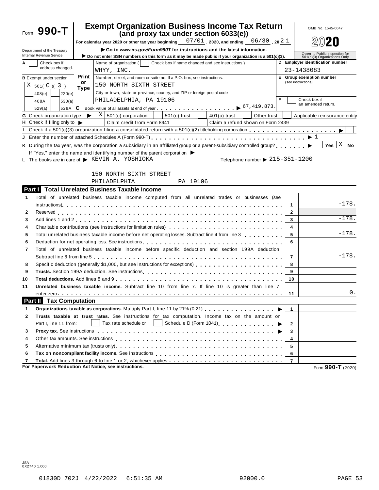| Form 990-T                                             |            | <b>Exempt Organization Business Income Tax Return</b>                                                                                                                                                                                                                                                                    |                |                                                  |                                          |                | OMB No. 1545-0047                                             |
|--------------------------------------------------------|------------|--------------------------------------------------------------------------------------------------------------------------------------------------------------------------------------------------------------------------------------------------------------------------------------------------------------------------|----------------|--------------------------------------------------|------------------------------------------|----------------|---------------------------------------------------------------|
|                                                        |            | For calendar year 2020 or other tax year beginning $07/01$ , 2020, and ending 06/30, 20 2 1                                                                                                                                                                                                                              |                | (and proxy tax under section 6033(e))            |                                          |                |                                                               |
| Department of the Treasury                             |            | Go to www.irs.gov/Form990T for instructions and the latest information.                                                                                                                                                                                                                                                  |                |                                                  |                                          |                |                                                               |
| Internal Revenue Service                               |            | Do not enter SSN numbers on this form as it may be made public if your organization is a 501(c)(3).                                                                                                                                                                                                                      |                |                                                  |                                          |                | Open to Public Inspection for<br>501(c)(3) Organizations Only |
| Check box if<br>A                                      |            | Name of organization (                                                                                                                                                                                                                                                                                                   |                | Check box if name changed and see instructions.) |                                          |                | D Employer identification number                              |
| address changed.                                       |            | WHYY, INC.                                                                                                                                                                                                                                                                                                               |                |                                                  |                                          |                | 23-1438083                                                    |
| <b>B</b> Exempt under section                          | Print      | Number, street, and room or suite no. If a P.O. box, see instructions.                                                                                                                                                                                                                                                   |                |                                                  |                                          |                | E Group exemption number                                      |
| $X \mid 501(C) (3)$                                    | or<br>Type | 150 NORTH SIXTH STREET                                                                                                                                                                                                                                                                                                   |                |                                                  |                                          |                | (see instructions)                                            |
| 408(e)<br>220(e)                                       |            | City or town, state or province, country, and ZIP or foreign postal code                                                                                                                                                                                                                                                 |                |                                                  |                                          |                |                                                               |
| 408A<br>530(a)                                         |            | PHILADELPHIA, PA 19106                                                                                                                                                                                                                                                                                                   |                |                                                  |                                          | F              | Check box if<br>an amended return.                            |
| 529A<br>529(a)                                         | C          | Book value of all assets at end of year<br>$\cdots$ $\cdots$ $\cdots$ $\cdots$ $\cdots$ $\cdots$ $\cdots$ $\cdots$ $\cdots$ $\cdots$ $\cdots$ $\cdots$ $\cdots$ $\cdots$ $\cdots$ $\cdots$ $\cdots$ $\cdots$ $\cdots$ $\cdots$ $\cdots$ $\cdots$ $\cdots$ $\cdots$ $\cdots$ $\cdots$ $\cdots$ $\cdots$ $\cdots$ $\cdots$ |                |                                                  |                                          |                |                                                               |
| <b>G</b> Check organization type                       |            | $X \mid 501(c)$ corporation                                                                                                                                                                                                                                                                                              | $501(c)$ trust | $401(a)$ trust                                   | Other trust                              |                | Applicable reinsurance entity                                 |
| <b>H</b> Check if filing only to $\blacktriangleright$ |            | Claim credit from Form 8941                                                                                                                                                                                                                                                                                              |                | Claim a refund shown on Form 2439                |                                          |                |                                                               |
|                                                        |            | Check if a 501(c)(3) organization filing a consolidated return with a 501(c)(2) titleholding corporation                                                                                                                                                                                                                 |                |                                                  |                                          |                |                                                               |
| J                                                      |            |                                                                                                                                                                                                                                                                                                                          |                |                                                  |                                          |                |                                                               |
|                                                        |            | K During the tax year, was the corporation a subsidiary in an affiliated group or a parent-subsidiary controlled group?                                                                                                                                                                                                  |                |                                                  |                                          |                | $Yes \mid X \mid$ No                                          |
|                                                        |            | If "Yes," enter the name and identifying number of the parent corporation $\blacktriangleright$                                                                                                                                                                                                                          |                |                                                  |                                          |                |                                                               |
|                                                        |            | L The books are in care of $\triangleright$ KEVIN A. YOSHIOKA                                                                                                                                                                                                                                                            |                |                                                  | Telephone number $\geq 215 - 351 - 1200$ |                |                                                               |
| Part I                                                 |            | 150 NORTH SIXTH STREET<br>PHILADELPHIA<br><b>Total Unrelated Business Taxable Income</b>                                                                                                                                                                                                                                 | PA 19106       |                                                  |                                          |                |                                                               |
|                                                        |            | Total of unrelated business taxable income computed from all unrelated trades or businesses (see                                                                                                                                                                                                                         |                |                                                  |                                          |                |                                                               |
| 1                                                      |            |                                                                                                                                                                                                                                                                                                                          |                |                                                  |                                          | 1              | $-178.$                                                       |
| 2                                                      |            |                                                                                                                                                                                                                                                                                                                          |                |                                                  |                                          | $\mathbf{2}$   |                                                               |
| 3                                                      |            |                                                                                                                                                                                                                                                                                                                          |                |                                                  |                                          | 3              | $-178.$                                                       |
| 4                                                      |            |                                                                                                                                                                                                                                                                                                                          |                |                                                  |                                          | 4              |                                                               |
| 5                                                      |            | Total unrelated business taxable income before net operating losses. Subtract line 4 from line 3                                                                                                                                                                                                                         |                |                                                  |                                          | 5              | $-178.$                                                       |
| 6                                                      |            |                                                                                                                                                                                                                                                                                                                          |                |                                                  |                                          | 6              |                                                               |
| 7                                                      |            | Total of unrelated business taxable income before specific deduction and section 199A deduction.                                                                                                                                                                                                                         |                |                                                  |                                          |                |                                                               |
|                                                        |            |                                                                                                                                                                                                                                                                                                                          |                |                                                  |                                          | $\overline{7}$ | $-178.$                                                       |
| 8                                                      |            | Specific deduction (generally \$1,000, but see instructions for exceptions)                                                                                                                                                                                                                                              |                |                                                  |                                          | 8              |                                                               |
| 9                                                      |            |                                                                                                                                                                                                                                                                                                                          |                |                                                  |                                          | 9              |                                                               |
| 10                                                     |            |                                                                                                                                                                                                                                                                                                                          |                |                                                  |                                          | 10             |                                                               |
| 11                                                     |            | Unrelated business taxable income. Subtract line 10 from line 7. If line 10 is greater than line 7,                                                                                                                                                                                                                      |                |                                                  |                                          |                |                                                               |
|                                                        |            |                                                                                                                                                                                                                                                                                                                          |                |                                                  |                                          | 11             | $0$ .                                                         |
| <b>Part II</b> Tax Computation                         |            |                                                                                                                                                                                                                                                                                                                          |                |                                                  |                                          |                |                                                               |
| 1                                                      |            | Organizations taxable as corporations. Multiply Part I, line 11 by 21% (0.21)                                                                                                                                                                                                                                            |                |                                                  |                                          | $\mathbf{1}$   |                                                               |
| $\mathbf{2}$                                           |            | Trusts taxable at trust rates. See instructions for tax computation. Income tax on the amount on                                                                                                                                                                                                                         |                |                                                  |                                          |                |                                                               |
| Part I, line 11 from:                                  |            | Tax rate schedule or                                                                                                                                                                                                                                                                                                     |                |                                                  |                                          | $\mathbf{2}$   |                                                               |
|                                                        |            |                                                                                                                                                                                                                                                                                                                          |                |                                                  |                                          | 3              |                                                               |
| 3                                                      |            |                                                                                                                                                                                                                                                                                                                          |                |                                                  |                                          |                |                                                               |
| 4                                                      |            |                                                                                                                                                                                                                                                                                                                          |                |                                                  |                                          | 4              |                                                               |
| 5                                                      |            |                                                                                                                                                                                                                                                                                                                          |                |                                                  |                                          | 5              |                                                               |
| 6                                                      |            |                                                                                                                                                                                                                                                                                                                          |                |                                                  |                                          | 6              |                                                               |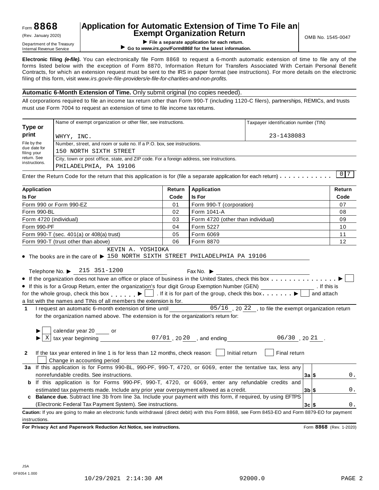## **Application for Automatic Extension of Time To File an Exempt Organization Return** (Rev. January 2020) OMB No. 1545-0047

**I FILERTIFIC SETTIPL SEPARATE IS A RETURN THEORY OF SEPARATE SEPARATE SEPARATE SEPARATE SEPARATE SEPARATE SEPARATE SEPARATE SEPARATE SEPARATE SEPARATE SEPARATE SEPARATE SEPARATE SEPARATE SEPARATE SEPARATE SEPARATE SEPARAT** 

▶ Go to www.irs.gov/Form8868 for the latest information.

**Electronic filing** *(e-file)***.** You can electronically file Form 8868 to request a 6-month automatic extension of time to file any of the forms listed below with the exception of Form 8870, Information Return for Transfers Associated With Certain Personal Benefit Contracts, for which an extension request must be sent to the IRS in paper format (see instructions). For more details on the electronic filing of this form, visit *www.irs.gov/e-file-providers/e-file-for-charities-and-non-profits.*

### **Automatic 6-Month Extension of Time.** Only submit original (no copies needed).

All corporations required to file an income tax return other than Form 990-T (including 1120-C filers), partnerships, REMICs, and trusts must use Form 7004 to request an extension of time to file income tax returns.

| Type or                    | Name of exempt organization or other filer, see instructions.                                                                                                                                                                                                                                                 |        |                                                            | Taxpayer identification number (TIN) |                 |            |
|----------------------------|---------------------------------------------------------------------------------------------------------------------------------------------------------------------------------------------------------------------------------------------------------------------------------------------------------------|--------|------------------------------------------------------------|--------------------------------------|-----------------|------------|
| print                      | WHYY, INC.                                                                                                                                                                                                                                                                                                    |        |                                                            | 23-1438083                           |                 |            |
| File by the                | Number, street, and room or suite no. If a P.O. box, see instructions.                                                                                                                                                                                                                                        |        |                                                            |                                      |                 |            |
| due date for               | 150 NORTH SIXTH STREET                                                                                                                                                                                                                                                                                        |        |                                                            |                                      |                 |            |
| filing your<br>return. See | City, town or post office, state, and ZIP code. For a foreign address, see instructions.                                                                                                                                                                                                                      |        |                                                            |                                      |                 |            |
| instructions.              | PHILADELPHIA, PA 19106                                                                                                                                                                                                                                                                                        |        |                                                            |                                      |                 |            |
|                            | Enter the Return Code for the return that this application is for (file a separate application for each return)                                                                                                                                                                                               |        |                                                            |                                      |                 | $0 \mid 7$ |
| <b>Application</b>         |                                                                                                                                                                                                                                                                                                               | Return | <b>Application</b>                                         |                                      |                 | Return     |
| <b>Is For</b>              |                                                                                                                                                                                                                                                                                                               | Code   | <b>Is For</b>                                              |                                      |                 | Code       |
|                            | Form 990 or Form 990-EZ                                                                                                                                                                                                                                                                                       | 01     | Form 990-T (corporation)                                   |                                      |                 | 07         |
| Form 990-BL                |                                                                                                                                                                                                                                                                                                               | 02     | Form 1041-A                                                |                                      |                 | 08         |
| Form 4720 (individual)     |                                                                                                                                                                                                                                                                                                               | 03     | Form 4720 (other than individual)                          |                                      |                 | 09         |
| Form 990-PF                |                                                                                                                                                                                                                                                                                                               | 04     | Form 5227                                                  |                                      |                 | 10         |
|                            | Form 990-T (sec. 401(a) or 408(a) trust)                                                                                                                                                                                                                                                                      | 05     | Form 6069                                                  |                                      |                 | 11         |
|                            | Form 990-T (trust other than above)                                                                                                                                                                                                                                                                           | 06     | Form 8870                                                  |                                      |                 | 12         |
|                            | • The books are in the care of > 150 NORTH SIXTH STREET PHILADELPHIA PA 19106<br>Telephone No. ▶ 215 351-1200<br>• If the organization does not have an office or place of business in the United States, check this box                                                                                      |        | Fax No. $\blacktriangleright$                              |                                      |                 |            |
| 1.                         | • If this is for a Group Return, enter the organization's four digit Group Exemption Number (GEN) [1982] The Municity of this is<br>for the whole group, check this box $\Box$ . If it is for part of the group, check this box $\Box$<br>a list with the names and TINs of all members the extension is for. |        |                                                            |                                      | and attach      |            |
|                            | I request an automatic 6-month extension of time until<br>for the organization named above. The extension is for the organization's return for:                                                                                                                                                               |        | $05/16$ , 20 $22$ , to file the exempt organization return |                                      |                 |            |
|                            |                                                                                                                                                                                                                                                                                                               |        |                                                            |                                      |                 |            |
|                            | calendar year 20 _____ or<br>$\blacktriangleright$ $\boxed{\text{X}}$ tax year beginning 07/01, 2020, and ending 06/30, 2021.                                                                                                                                                                                 |        |                                                            |                                      |                 |            |
| 2                          | If the tax year entered in line 1 is for less than 12 months, check reason: $\Box$ Initial return $\Box$                                                                                                                                                                                                      |        |                                                            | Final return                         |                 |            |
|                            | Change in accounting period                                                                                                                                                                                                                                                                                   |        |                                                            |                                      |                 |            |
|                            | 3a If this application is for Forms 990-BL, 990-PF, 990-T, 4720, or 6069, enter the tentative tax, less any                                                                                                                                                                                                   |        |                                                            |                                      |                 |            |
|                            | nonrefundable credits. See instructions.                                                                                                                                                                                                                                                                      |        |                                                            |                                      | 3a ∣\$          |            |
|                            | <b>b</b> If this application is for Forms 990-PF, 990-T, 4720, or 6069, enter any refundable credits and                                                                                                                                                                                                      |        |                                                            |                                      |                 |            |
|                            | estimated tax payments made. Include any prior year overpayment allowed as a credit.<br>c Balance due. Subtract line 3b from line 3a. Include your payment with this form, if required, by using EFTPS                                                                                                        |        |                                                            |                                      | $3b$ $\sqrt{5}$ | 0.<br>0.   |
|                            | (Electronic Federal Tax Payment System). See instructions.                                                                                                                                                                                                                                                    |        |                                                            |                                      | $3c$ \$         | 0.         |

instructions.

**For Privacy Act and Paperwork Reduction Act Notice, see instructions.** Form **8868** (Rev. 1-2020)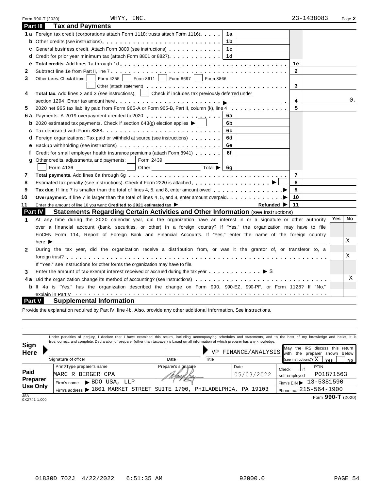|               | WHYY, INC.<br>Form 990-T (2020)<br><b>Tax and Payments</b><br><b>Part III</b>                                                                                                                                                                                                       | 23-1438083     |            | Page 2 |
|---------------|-------------------------------------------------------------------------------------------------------------------------------------------------------------------------------------------------------------------------------------------------------------------------------------|----------------|------------|--------|
|               | 1 a Foreign tax credit (corporations attach Form 1118; trusts attach Form 1116).<br>1a                                                                                                                                                                                              |                |            |        |
|               | 1b                                                                                                                                                                                                                                                                                  |                |            |        |
|               | <b>c</b> General business credit. Attach Form 3800 (see instructions)<br>1c                                                                                                                                                                                                         |                |            |        |
|               | d Credit for prior year minimum tax (attach Form 8801 or 8827). 1d                                                                                                                                                                                                                  |                |            |        |
|               | <b>e</b> Total credits. Add lines 1a through $1d_1, \ldots, a_n, a_1, a_2, a_3, a_4, a_5, a_6, a_7, a_8, a_9, a_1, a_2, a_3, a_4, a_5, a_6, a_7, a_8, a_9, a_1, a_2, a_3, a_4, a_7, a_8, a_9, a_1, a_2, a_3, a_4, a_7, a_8, a_9, a_1, a_2, a_3, a_4, a_5, a_6, a_7, a_8, a_9, a_1,$ | 1е             |            |        |
| 2             |                                                                                                                                                                                                                                                                                     | $\overline{2}$ |            |        |
| 3             | Form 4255   Form 8611   Form 8697   Form 8866<br>Other taxes. Check if from:                                                                                                                                                                                                        |                |            |        |
|               |                                                                                                                                                                                                                                                                                     | 3              |            |        |
| 4             | Total tax. Add lines 2 and 3 (see instructions).     Check if includes tax previously deferred under                                                                                                                                                                                |                |            |        |
|               |                                                                                                                                                                                                                                                                                     | 4              |            | 0.     |
| 5             | 2020 net 965 tax liability paid from Form 965-A or Form 965-B, Part II, column (k), line 4                                                                                                                                                                                          | 5              |            |        |
|               | 6a                                                                                                                                                                                                                                                                                  |                |            |        |
|               | <b>b</b> 2020 estimated tax payments. Check if section 643(g) election applies $\blacktriangleright$<br>6b                                                                                                                                                                          |                |            |        |
| c             | 6с                                                                                                                                                                                                                                                                                  |                |            |        |
| d             | 6d<br>Foreign organizations: Tax paid or withheld at source (see instructions)                                                                                                                                                                                                      |                |            |        |
| е             | 6е                                                                                                                                                                                                                                                                                  |                |            |        |
|               | Credit for small employer health insurance premiums (attach Form 8941)<br>6f                                                                                                                                                                                                        |                |            |        |
| g             | Other credits, adjustments, and payments:                                                                                                                                                                                                                                           |                |            |        |
|               | Other Total 6g<br>Form 4136                                                                                                                                                                                                                                                         |                |            |        |
| 7             |                                                                                                                                                                                                                                                                                     | $\overline{7}$ |            |        |
| 8             |                                                                                                                                                                                                                                                                                     | 8              |            |        |
| 9             | Tax due. If line 7 is smaller than the total of lines 4, 5, and 8, enter amount owed <b>Fig. 1, 1, 1, 1, 1, 1, 1, 1, 1,</b>                                                                                                                                                         | 9              |            |        |
| 10            | Overpayment. If line 7 is larger than the total of lines 4, 5, and 8, enter amount overpaid ▶                                                                                                                                                                                       | 10             |            |        |
| 11            | Enter the amount of line 10 you want: Credited to 2021 estimated tax<br>Refunded $\blacktriangleright$                                                                                                                                                                              | 11             |            |        |
|               | <b>Part IV</b><br><b>Statements Regarding Certain Activities and Other Information (see instructions)</b>                                                                                                                                                                           |                |            |        |
| 1             | At any time during the 2020 calendar year, did the organization have an interest in or a signature or other authority                                                                                                                                                               |                | <b>Yes</b> | No     |
|               | over a financial account (bank, securities, or other) in a foreign country? If "Yes," the organization may have to file                                                                                                                                                             |                |            |        |
|               | FinCEN Form 114, Report of Foreign Bank and Financial Accounts. If "Yes," enter the name of the foreign country                                                                                                                                                                     |                |            |        |
|               | here $\blacktriangleright$                                                                                                                                                                                                                                                          |                |            | Χ      |
| $\mathbf{2}$  | During the tax year, did the organization receive a distribution from, or was it the grantor of, or transferor to, a                                                                                                                                                                |                |            |        |
|               |                                                                                                                                                                                                                                                                                     |                |            | X      |
|               | If "Yes," see instructions for other forms the organization may have to file.                                                                                                                                                                                                       |                |            |        |
| 3             |                                                                                                                                                                                                                                                                                     |                |            |        |
|               |                                                                                                                                                                                                                                                                                     |                |            | X      |
|               | b If 4a is "Yes," has the organization described the change on Form 990, 990-EZ, 990-PF, or Form 1128? If "No,"                                                                                                                                                                     |                |            |        |
|               |                                                                                                                                                                                                                                                                                     |                |            |        |
| <b>Part V</b> | <b>Supplemental Information</b>                                                                                                                                                                                                                                                     |                |            |        |
|               |                                                                                                                                                                                                                                                                                     |                |            |        |

Provide the explanation required by Part IV, line 4b. Also, provide any other additional information. See instructions.

| Sign<br><b>Here</b>        | Under penalties of perjury, I declare that I have examined this return, including accompanying schedules and statements, and to the best of my knowledge and belief, it is<br>true, correct, and complete. Declaration of preparer (other than taxpayer) is based on all information of which preparer has any knowledge. |                      | <b>VP</b> | FINANCE/ANALYSIS | May<br>with                  | the IRS discuss this return<br>the preparer shown below |
|----------------------------|---------------------------------------------------------------------------------------------------------------------------------------------------------------------------------------------------------------------------------------------------------------------------------------------------------------------------|----------------------|-----------|------------------|------------------------------|---------------------------------------------------------|
|                            | Signature of officer                                                                                                                                                                                                                                                                                                      | Date                 | Title     |                  | (see instructions)? X        | Yes<br>No                                               |
|                            | Print/Type preparer's name                                                                                                                                                                                                                                                                                                | Preparer's signature |           | Date             | if<br>Check L                | <b>PTIN</b>                                             |
| Paid                       | MARC R BERGER CPA                                                                                                                                                                                                                                                                                                         | NacKDey-             |           | 05/03/2022       | self-employed                | P01871563                                               |
| Preparer                   | $\blacktriangleright$ BDO USA, LLP<br>Firm's name                                                                                                                                                                                                                                                                         |                      |           |                  | Firm's $EIN$                 | 13-5381590                                              |
| <b>Use Only</b>            | Firm's address > 1801 MARKET STREET SUITE 1700, PHILADELPHIA, PA 19103                                                                                                                                                                                                                                                    |                      |           |                  | Phone no. $215 - 564 - 1900$ |                                                         |
| <b>JSA</b><br>0X2741 1.000 |                                                                                                                                                                                                                                                                                                                           |                      |           |                  |                              | Form 990-T (2020)                                       |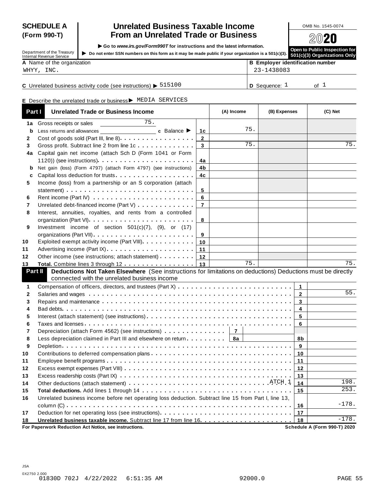# **(Form 990-T)**

# **SCHEDULE A**  $\begin{bmatrix} \end{bmatrix}$  **Unrelated Business Taxable Income**  $\begin{bmatrix} \end{bmatrix}$  OMB No. 1545-0074 **From an Unrelated Trade or Business**<br> **Exacto www.irs.gov/Form990T for instructions and the latest information.**

Department of the Treasury Department of the Treasury Department of the Treasury Department of the Treasury Department of the Treasury Department of the Treasury Department of the Treasury Department of the Do not enter S

| Internal Revenue Service                                                                  | <b>Example 19 April 2014 19 April 2014 19 April 2014 19 April 2014 19 April 2014 19 April 2014 19 April 2014 19 April 2014 19 April 2014 19 April 2014 19 April 2014 19 April 2014 19 April 2014 19 April 2014 19 April 2014 19 </b> |
|-------------------------------------------------------------------------------------------|--------------------------------------------------------------------------------------------------------------------------------------------------------------------------------------------------------------------------------------|
| A Name of the organization                                                                | B Employer identification number                                                                                                                                                                                                     |
| WHYY, INC.                                                                                | 23-1438083                                                                                                                                                                                                                           |
| <b>C</b> Unrelated business activity code (see instructions) $\blacktriangleright$ 515100 | of ⊥<br><b>D</b> Sequence: $\perp$                                                                                                                                                                                                   |

**E** Describe the unrelated trade or business MEDIA SERVICES

| Part I       | <b>Unrelated Trade or Business Income</b>                                                                                                                   |                | (A) Income | (B) Expenses |                | (C) Net |
|--------------|-------------------------------------------------------------------------------------------------------------------------------------------------------------|----------------|------------|--------------|----------------|---------|
| 1a           | 75.<br>Gross receipts or sales                                                                                                                              |                |            |              |                |         |
| b            |                                                                                                                                                             | 1c             | 75.        |              |                |         |
| $\mathbf{2}$ | Cost of goods sold (Part III, line 8).                                                                                                                      | $\overline{2}$ |            |              |                |         |
| 3            | Gross profit. Subtract line 2 from line 1c                                                                                                                  | $\mathbf{3}$   | 75.        |              |                | 75.     |
| 4a           | Capital gain net income (attach Sch D (Form 1041 or Form                                                                                                    |                |            |              |                |         |
|              |                                                                                                                                                             | 4a             |            |              |                |         |
| b            | Net gain (loss) (Form 4797) (attach Form 4797) (see instructions)                                                                                           | 4b             |            |              |                |         |
| c            |                                                                                                                                                             | 4c             |            |              |                |         |
| 5            | Income (loss) from a partnership or an S corporation (attach                                                                                                |                |            |              |                |         |
|              |                                                                                                                                                             | 5              |            |              |                |         |
| 6            |                                                                                                                                                             | 6              |            |              |                |         |
| 7            | Unrelated debt-financed income (Part V)                                                                                                                     | $\overline{7}$ |            |              |                |         |
| 8            | Interest, annuities, royalties, and rents from a controlled                                                                                                 |                |            |              |                |         |
|              |                                                                                                                                                             | 8              |            |              |                |         |
| 9            | Investment income of section $501(c)(7)$ , (9), or (17)                                                                                                     |                |            |              |                |         |
|              |                                                                                                                                                             | 9              |            |              |                |         |
| 10           | Exploited exempt activity income (Part VIII).                                                                                                               | 10             |            |              |                |         |
| 11           |                                                                                                                                                             | 11             |            |              |                |         |
| 12<br>13     | Other income (see instructions; attach statement)<br>Total. Combine lines 3 through 12                                                                      | 12<br>13       | 75.        |              |                | 75.     |
| Part II<br>1 | Deductions Not Taken Elsewhere (See instructions for limitations on deductions) Deductions must be directly<br>connected with the unrelated business income |                |            |              |                |         |
|              |                                                                                                                                                             |                |            |              | $\mathbf{1}$   |         |
| $\mathbf{2}$ |                                                                                                                                                             |                |            |              | $\overline{2}$ | 55.     |
| 3            |                                                                                                                                                             |                |            |              | 3              |         |
| 4            |                                                                                                                                                             |                |            |              | 4              |         |
| 5            |                                                                                                                                                             |                |            |              | 5              |         |
| 6            |                                                                                                                                                             |                |            |              | 6              |         |
| 7            | Depreciation (attach Form 4562) (see instructions) $\ldots \ldots \ldots \ldots$                                                                            |                |            |              |                |         |
| 8            | Less depreciation claimed in Part III and elsewhere on return $\ldots \ldots$ $\mid$ 8a                                                                     |                |            |              | 8b             |         |
| 9            |                                                                                                                                                             |                |            |              | 9              |         |
| 10           |                                                                                                                                                             |                |            |              | 10             |         |
| 11           |                                                                                                                                                             |                |            |              | 11             |         |
| 12           |                                                                                                                                                             |                |            |              | 12             |         |
| 13           |                                                                                                                                                             |                |            |              | 13             |         |
| 14           |                                                                                                                                                             |                |            |              | 14             | 198.    |
| 15           |                                                                                                                                                             |                |            |              | 15             | 253.    |
| 16           | Unrelated business income before net operating loss deduction. Subtract line 15 from Part I, line 13,                                                       |                |            |              |                |         |
|              |                                                                                                                                                             |                |            |              | 16             | $-178.$ |
| 17<br>18     | Deduction for net operating loss (see instructions)                                                                                                         |                |            |              | 17<br>18       | $-178.$ |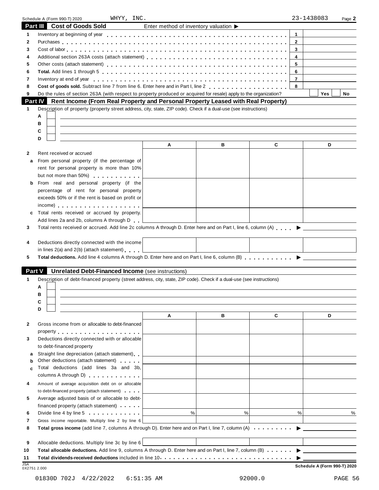|                   | WHYY, INC.<br>Schedule A (Form 990-T) 2020                                                                                                                                                                                     |              |                                                           |              | 23-1438083                                                                                                                                                                                                                           | Page 2 |
|-------------------|--------------------------------------------------------------------------------------------------------------------------------------------------------------------------------------------------------------------------------|--------------|-----------------------------------------------------------|--------------|--------------------------------------------------------------------------------------------------------------------------------------------------------------------------------------------------------------------------------------|--------|
|                   | <b>Part III</b> Cost of Goods Sold                                                                                                                                                                                             |              | Enter method of inventory valuation $\blacktriangleright$ |              |                                                                                                                                                                                                                                      |        |
| 1                 | Inventory at beginning of year end on the state of the state of the state of the state of the state of the state of the state of the state of the state of the state of the state of the state of the state of the state of th |              |                                                           | $\mathbf{1}$ |                                                                                                                                                                                                                                      |        |
| $\mathbf{2}$      |                                                                                                                                                                                                                                |              |                                                           | $\mathbf{2}$ |                                                                                                                                                                                                                                      |        |
| 3                 |                                                                                                                                                                                                                                |              |                                                           | 3            |                                                                                                                                                                                                                                      |        |
| 4                 |                                                                                                                                                                                                                                |              |                                                           | 4            |                                                                                                                                                                                                                                      |        |
| 5                 | Other costs (attach statement) enterpresent response to the cost of the costs (attach statement)                                                                                                                               |              |                                                           | 5            |                                                                                                                                                                                                                                      |        |
| 6                 |                                                                                                                                                                                                                                |              |                                                           | 6            |                                                                                                                                                                                                                                      |        |
|                   |                                                                                                                                                                                                                                |              |                                                           |              |                                                                                                                                                                                                                                      |        |
| 7                 |                                                                                                                                                                                                                                |              |                                                           | $\mathbf{7}$ |                                                                                                                                                                                                                                      |        |
| 8                 | Cost of goods sold. Subtract line 7 from line 6. Enter here and in Part I, line 2                                                                                                                                              |              |                                                           | 8            |                                                                                                                                                                                                                                      |        |
| 9                 | Do the rules of section 263A (with respect to property produced or acquired for resale) apply to the organization?                                                                                                             |              |                                                           |              | Yes                                                                                                                                                                                                                                  | No.    |
| 1                 | <b>Part IV</b> Rent Income (From Real Property and Personal Property Leased with Real Property)<br>Description of property (property street address, city, state, ZIP code). Check if a dual-use (see instructions)            |              |                                                           |              |                                                                                                                                                                                                                                      |        |
| A<br>в            |                                                                                                                                                                                                                                |              |                                                           |              |                                                                                                                                                                                                                                      |        |
| C                 |                                                                                                                                                                                                                                |              |                                                           |              |                                                                                                                                                                                                                                      |        |
| D                 |                                                                                                                                                                                                                                |              |                                                           |              |                                                                                                                                                                                                                                      |        |
|                   |                                                                                                                                                                                                                                | $\mathsf{A}$ | в                                                         | C            | D                                                                                                                                                                                                                                    |        |
|                   | Rent received or accrued                                                                                                                                                                                                       |              |                                                           |              |                                                                                                                                                                                                                                      |        |
|                   |                                                                                                                                                                                                                                |              |                                                           |              |                                                                                                                                                                                                                                      |        |
| а                 | From personal property (if the percentage of                                                                                                                                                                                   |              |                                                           |              |                                                                                                                                                                                                                                      |        |
|                   | rent for personal property is more than 10%                                                                                                                                                                                    |              |                                                           |              |                                                                                                                                                                                                                                      |        |
|                   | but not more than 50%) expression and the set of the set of the set of the set of the set of the set of the set of the set of the set of the set of the set of the set of the set of the set of the set of the set of the set  |              |                                                           |              |                                                                                                                                                                                                                                      |        |
|                   | <b>b</b> From real and personal property (if the                                                                                                                                                                               |              |                                                           |              |                                                                                                                                                                                                                                      |        |
|                   | percentage of rent for personal property                                                                                                                                                                                       |              |                                                           |              |                                                                                                                                                                                                                                      |        |
|                   | exceeds 50% or if the rent is based on profit or                                                                                                                                                                               |              |                                                           |              |                                                                                                                                                                                                                                      |        |
|                   | $income)$ $\cdots$ $\cdots$ $\cdots$ $\cdots$                                                                                                                                                                                  |              |                                                           |              |                                                                                                                                                                                                                                      |        |
|                   | Total rents received or accrued by property.                                                                                                                                                                                   |              |                                                           |              |                                                                                                                                                                                                                                      |        |
|                   | Add lines 2a and 2b, columns A through D                                                                                                                                                                                       |              |                                                           |              |                                                                                                                                                                                                                                      |        |
|                   | Total rents received or accrued. Add line 2c columns A through D. Enter here and on Part I, line 6, column (A)                                                                                                                 |              |                                                           |              |                                                                                                                                                                                                                                      |        |
|                   |                                                                                                                                                                                                                                |              |                                                           |              |                                                                                                                                                                                                                                      |        |
|                   |                                                                                                                                                                                                                                |              |                                                           |              |                                                                                                                                                                                                                                      |        |
|                   |                                                                                                                                                                                                                                |              |                                                           |              |                                                                                                                                                                                                                                      |        |
|                   | Deductions directly connected with the income                                                                                                                                                                                  |              |                                                           |              |                                                                                                                                                                                                                                      |        |
| 3<br>4            | in lines $2(a)$ and $2(b)$ (attach statement)                                                                                                                                                                                  |              |                                                           |              |                                                                                                                                                                                                                                      |        |
|                   | Total deductions. Add line 4 columns A through D. Enter here and on Part I, line 6, column (B)                                                                                                                                 |              |                                                           |              |                                                                                                                                                                                                                                      |        |
| 5                 |                                                                                                                                                                                                                                |              |                                                           |              |                                                                                                                                                                                                                                      |        |
| <b>Part V</b>     | <b>Unrelated Debt-Financed Income (see instructions)</b>                                                                                                                                                                       |              |                                                           |              |                                                                                                                                                                                                                                      |        |
| 1                 | Description of debt-financed property (street address, city, state, ZIP code). Check if a dual-use (see instructions)                                                                                                          |              |                                                           |              |                                                                                                                                                                                                                                      |        |
| А                 |                                                                                                                                                                                                                                |              |                                                           |              |                                                                                                                                                                                                                                      |        |
| В                 |                                                                                                                                                                                                                                |              |                                                           |              |                                                                                                                                                                                                                                      |        |
| C                 |                                                                                                                                                                                                                                |              |                                                           |              |                                                                                                                                                                                                                                      |        |
| D                 |                                                                                                                                                                                                                                |              |                                                           |              |                                                                                                                                                                                                                                      |        |
|                   |                                                                                                                                                                                                                                | A            | в                                                         | C            | D                                                                                                                                                                                                                                    |        |
|                   | Gross income from or allocable to debt-financed                                                                                                                                                                                |              |                                                           |              |                                                                                                                                                                                                                                      |        |
|                   | property property                                                                                                                                                                                                              |              |                                                           |              |                                                                                                                                                                                                                                      |        |
|                   |                                                                                                                                                                                                                                |              |                                                           |              |                                                                                                                                                                                                                                      |        |
| $\mathbf{2}$<br>3 | Deductions directly connected with or allocable                                                                                                                                                                                |              |                                                           |              |                                                                                                                                                                                                                                      |        |
|                   | to debt-financed property                                                                                                                                                                                                      |              |                                                           |              |                                                                                                                                                                                                                                      |        |
|                   | Straight line depreciation (attach statement)                                                                                                                                                                                  |              |                                                           |              |                                                                                                                                                                                                                                      |        |
|                   | Other deductions (attach statement)                                                                                                                                                                                            |              |                                                           |              |                                                                                                                                                                                                                                      |        |
| C                 | Total deductions (add lines 3a and 3b,                                                                                                                                                                                         |              |                                                           |              |                                                                                                                                                                                                                                      |        |
|                   | columns A through D)                                                                                                                                                                                                           |              |                                                           |              |                                                                                                                                                                                                                                      |        |
|                   | Amount of average acquisition debt on or allocable                                                                                                                                                                             |              |                                                           |              |                                                                                                                                                                                                                                      |        |
|                   | to debt-financed property (attach statement)                                                                                                                                                                                   |              |                                                           |              |                                                                                                                                                                                                                                      |        |
|                   | Average adjusted basis of or allocable to debt-                                                                                                                                                                                |              |                                                           |              |                                                                                                                                                                                                                                      |        |
|                   | financed property (attach statement)                                                                                                                                                                                           |              |                                                           |              |                                                                                                                                                                                                                                      |        |
| 4                 | Divide line 4 by line 5 [10] [10] Divide line 4 by line 5                                                                                                                                                                      |              | %                                                         | $\%$         | %                                                                                                                                                                                                                                    | %      |
| 7                 |                                                                                                                                                                                                                                |              |                                                           |              |                                                                                                                                                                                                                                      |        |
|                   | Gross income reportable. Multiply line 2 by line 6<br>Total gross income (add line 7, columns A through D). Enter here and on Part I, line 7, column (A)                                                                       |              |                                                           |              | <b>Designation of the contract of the contract of the contract of the contract of the contract of the contract of the contract of the contract of the contract of the contract of the contract of the contract of the contract o</b> |        |
|                   | Allocable deductions. Multiply line 3c by line 6                                                                                                                                                                               |              |                                                           |              |                                                                                                                                                                                                                                      |        |
|                   | Total allocable deductions. Add line 9, columns A through D. Enter here and on Part I, line 7, column (B) $\ldots \ldots$                                                                                                      |              |                                                           |              |                                                                                                                                                                                                                                      |        |
|                   |                                                                                                                                                                                                                                |              |                                                           |              |                                                                                                                                                                                                                                      |        |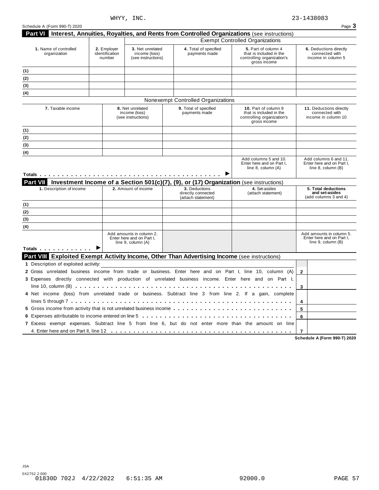JSA 0X2752 2.000 01830D 702J 4/22/2022 6:51:35 AM 92000.0 PAGE 57

| Schedule A (Form 990-T) 2020                                                                                                                                                                                                   |                                                     |                                                         |                                                                                                         |                                                                                               | Page 3                                                                      |  |  |  |
|--------------------------------------------------------------------------------------------------------------------------------------------------------------------------------------------------------------------------------|-----------------------------------------------------|---------------------------------------------------------|---------------------------------------------------------------------------------------------------------|-----------------------------------------------------------------------------------------------|-----------------------------------------------------------------------------|--|--|--|
|                                                                                                                                                                                                                                |                                                     |                                                         | Part VI Interest, Annuities, Royalties, and Rents from Controlled Organizations (see instructions)      |                                                                                               |                                                                             |  |  |  |
|                                                                                                                                                                                                                                | <b>Exempt Controlled Organizations</b>              |                                                         |                                                                                                         |                                                                                               |                                                                             |  |  |  |
| 1. Name of controlled<br>organization                                                                                                                                                                                          | 2. Employer<br>identification<br>number             | 3. Net unrelated<br>income (loss)<br>(see instructions) | 4. Total of specified<br>payments made                                                                  | 5. Part of column 4<br>that is included in the<br>controlling organization's<br>gross income  | 6. Deductions directly<br>connected with<br>income in column 5              |  |  |  |
| (1)                                                                                                                                                                                                                            |                                                     |                                                         |                                                                                                         |                                                                                               |                                                                             |  |  |  |
| (2)                                                                                                                                                                                                                            |                                                     |                                                         |                                                                                                         |                                                                                               |                                                                             |  |  |  |
| (3)                                                                                                                                                                                                                            |                                                     |                                                         |                                                                                                         |                                                                                               |                                                                             |  |  |  |
| (4)                                                                                                                                                                                                                            |                                                     |                                                         |                                                                                                         |                                                                                               |                                                                             |  |  |  |
|                                                                                                                                                                                                                                |                                                     |                                                         | Nonexempt Controlled Organizations                                                                      |                                                                                               |                                                                             |  |  |  |
| 7. Taxable income                                                                                                                                                                                                              |                                                     | 8. Net unrelated<br>income (loss)<br>(see instructions) | 9. Total of specified<br>payments made                                                                  | 10. Part of column 9<br>that is included in the<br>controlling organization's<br>gross income | 11. Deductions directly<br>connected with<br>income in column 10            |  |  |  |
| (1)                                                                                                                                                                                                                            |                                                     |                                                         |                                                                                                         |                                                                                               |                                                                             |  |  |  |
| (2)                                                                                                                                                                                                                            |                                                     |                                                         |                                                                                                         |                                                                                               |                                                                             |  |  |  |
| (3)                                                                                                                                                                                                                            |                                                     |                                                         |                                                                                                         |                                                                                               |                                                                             |  |  |  |
| (4)                                                                                                                                                                                                                            |                                                     |                                                         |                                                                                                         |                                                                                               |                                                                             |  |  |  |
|                                                                                                                                                                                                                                |                                                     |                                                         |                                                                                                         | Add columns 5 and 10.<br>Enter here and on Part I,<br>line 8, column (A)                      | Add columns 6 and 11.<br>Enter here and on Part I,<br>line 8, column (B)    |  |  |  |
|                                                                                                                                                                                                                                |                                                     |                                                         | Part VII Investment Income of a Section 501(c)(7), (9), or (17) Organization (see instructions)         |                                                                                               |                                                                             |  |  |  |
| 1. Description of income                                                                                                                                                                                                       |                                                     | 2. Amount of income                                     | 3. Deductions<br>directly connected<br>(attach statement)                                               | 4. Set-asides<br>(attach statement)                                                           | 5. Total deductions<br>and set-asides<br>(add columns 3 and 4)              |  |  |  |
| (1)                                                                                                                                                                                                                            |                                                     |                                                         |                                                                                                         |                                                                                               |                                                                             |  |  |  |
| (2)                                                                                                                                                                                                                            |                                                     |                                                         |                                                                                                         |                                                                                               |                                                                             |  |  |  |
| (3)                                                                                                                                                                                                                            |                                                     |                                                         |                                                                                                         |                                                                                               |                                                                             |  |  |  |
| (4)                                                                                                                                                                                                                            |                                                     |                                                         |                                                                                                         |                                                                                               |                                                                             |  |  |  |
| Add amounts in column 2.<br>Enter here and on Part I,<br>line 9, column (A)<br>Totals                                                                                                                                          |                                                     |                                                         |                                                                                                         |                                                                                               | Add amounts in column 5.<br>Enter here and on Part I,<br>line 9, column (B) |  |  |  |
|                                                                                                                                                                                                                                |                                                     |                                                         | Part VIII Exploited Exempt Activity Income, Other Than Advertising Income (see instructions)            |                                                                                               |                                                                             |  |  |  |
| 1 Description of exploited activity:                                                                                                                                                                                           |                                                     |                                                         |                                                                                                         |                                                                                               |                                                                             |  |  |  |
|                                                                                                                                                                                                                                |                                                     |                                                         | 2 Gross unrelated business income from trade or business. Enter here and on Part I, line 10, column (A) |                                                                                               | $\overline{2}$                                                              |  |  |  |
|                                                                                                                                                                                                                                |                                                     |                                                         | 3 Expenses directly connected with production of unrelated business income. Enter here and on Part I,   |                                                                                               |                                                                             |  |  |  |
| line 10, column $(B)$ . The same set of the set of the set of the set of the set of the set of the set of the set of the set of the set of the set of the set of the set of the set of the set of the set of the set of the se | 3                                                   |                                                         |                                                                                                         |                                                                                               |                                                                             |  |  |  |
|                                                                                                                                                                                                                                |                                                     |                                                         | 4 Net income (loss) from unrelated trade or business. Subtract line 3 from line 2.                      | If a gain, complete                                                                           |                                                                             |  |  |  |
|                                                                                                                                                                                                                                | 4                                                   |                                                         |                                                                                                         |                                                                                               |                                                                             |  |  |  |
| 5 Gross income from activity that is not unrelated business income                                                                                                                                                             | 5                                                   |                                                         |                                                                                                         |                                                                                               |                                                                             |  |  |  |
|                                                                                                                                                                                                                                | 6 Expenses attributable to income entered on line 5 |                                                         |                                                                                                         |                                                                                               |                                                                             |  |  |  |
|                                                                                                                                                                                                                                |                                                     |                                                         | 7 Excess exempt expenses. Subtract line 5 from line 6, but do not enter more than the amount on line    |                                                                                               | 6                                                                           |  |  |  |
|                                                                                                                                                                                                                                |                                                     |                                                         |                                                                                                         |                                                                                               | 7                                                                           |  |  |  |

**Schedule A (Form 990-T) 2020**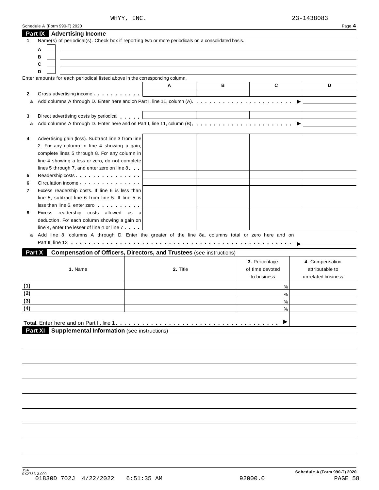| <b>Part IX</b> Advertising Income<br>Name(s) of periodical(s). Check box if reporting two or more periodicals on a consolidated basis.<br>1.<br>A<br>в<br>c<br>D<br>Enter amounts for each periodical listed above in the corresponding column.<br>в<br>C<br>D<br>A<br>Gross advertising income example and such a set of the set of the set of the set of the set of the set of the set of the set of the set of the set of the set of the set of the set of the set of the set of the set of the se<br>2 |
|------------------------------------------------------------------------------------------------------------------------------------------------------------------------------------------------------------------------------------------------------------------------------------------------------------------------------------------------------------------------------------------------------------------------------------------------------------------------------------------------------------|
|                                                                                                                                                                                                                                                                                                                                                                                                                                                                                                            |
|                                                                                                                                                                                                                                                                                                                                                                                                                                                                                                            |
|                                                                                                                                                                                                                                                                                                                                                                                                                                                                                                            |
|                                                                                                                                                                                                                                                                                                                                                                                                                                                                                                            |
|                                                                                                                                                                                                                                                                                                                                                                                                                                                                                                            |
|                                                                                                                                                                                                                                                                                                                                                                                                                                                                                                            |
|                                                                                                                                                                                                                                                                                                                                                                                                                                                                                                            |
|                                                                                                                                                                                                                                                                                                                                                                                                                                                                                                            |
|                                                                                                                                                                                                                                                                                                                                                                                                                                                                                                            |
| a                                                                                                                                                                                                                                                                                                                                                                                                                                                                                                          |
|                                                                                                                                                                                                                                                                                                                                                                                                                                                                                                            |
| Direct advertising costs by periodical<br>3                                                                                                                                                                                                                                                                                                                                                                                                                                                                |
| a                                                                                                                                                                                                                                                                                                                                                                                                                                                                                                          |
| Advertising gain (loss). Subtract line 3 from line<br>4                                                                                                                                                                                                                                                                                                                                                                                                                                                    |
| 2. For any column in line 4 showing a gain,                                                                                                                                                                                                                                                                                                                                                                                                                                                                |
| complete lines 5 through 8. For any column in                                                                                                                                                                                                                                                                                                                                                                                                                                                              |
| line 4 showing a loss or zero, do not complete                                                                                                                                                                                                                                                                                                                                                                                                                                                             |
| lines 5 through 7, and enter zero on line 8                                                                                                                                                                                                                                                                                                                                                                                                                                                                |
| Readership costs.<br>5                                                                                                                                                                                                                                                                                                                                                                                                                                                                                     |
| Circulation income expansion of the control of the control of the control of the control of the control of the control of the control of the control of the control of the control of the control of the control of the contro<br>6                                                                                                                                                                                                                                                                        |
| Excess readership costs. If line 6 is less than<br>7                                                                                                                                                                                                                                                                                                                                                                                                                                                       |
| line 5, subtract line 6 from line 5. If line 5 is                                                                                                                                                                                                                                                                                                                                                                                                                                                          |
| less than line 6, enter zero                                                                                                                                                                                                                                                                                                                                                                                                                                                                               |
| Excess readership costs allowed as a<br>8                                                                                                                                                                                                                                                                                                                                                                                                                                                                  |
| deduction. For each column showing a gain on                                                                                                                                                                                                                                                                                                                                                                                                                                                               |
| line 4, enter the lesser of line 4 or line 7                                                                                                                                                                                                                                                                                                                                                                                                                                                               |
| Add line 8, columns A through D. Enter the greater of the line 8a, columns total or zero here and on<br>a                                                                                                                                                                                                                                                                                                                                                                                                  |
|                                                                                                                                                                                                                                                                                                                                                                                                                                                                                                            |
| <b>Compensation of Officers, Directors, and Trustees (see instructions)</b><br><b>Part X</b>                                                                                                                                                                                                                                                                                                                                                                                                               |
| 3. Percentage<br>4. Compensation                                                                                                                                                                                                                                                                                                                                                                                                                                                                           |
| 1. Name<br>2. Title<br>of time devoted<br>attributable to                                                                                                                                                                                                                                                                                                                                                                                                                                                  |
| unrelated business<br>to business                                                                                                                                                                                                                                                                                                                                                                                                                                                                          |
| (1)<br>%                                                                                                                                                                                                                                                                                                                                                                                                                                                                                                   |
| (2)<br>$\%$                                                                                                                                                                                                                                                                                                                                                                                                                                                                                                |
| (3)<br>%                                                                                                                                                                                                                                                                                                                                                                                                                                                                                                   |
| (4)<br>%                                                                                                                                                                                                                                                                                                                                                                                                                                                                                                   |
|                                                                                                                                                                                                                                                                                                                                                                                                                                                                                                            |
|                                                                                                                                                                                                                                                                                                                                                                                                                                                                                                            |
| <b>Part XI</b> Supplemental Information (see instructions)                                                                                                                                                                                                                                                                                                                                                                                                                                                 |
|                                                                                                                                                                                                                                                                                                                                                                                                                                                                                                            |
|                                                                                                                                                                                                                                                                                                                                                                                                                                                                                                            |
|                                                                                                                                                                                                                                                                                                                                                                                                                                                                                                            |
|                                                                                                                                                                                                                                                                                                                                                                                                                                                                                                            |
|                                                                                                                                                                                                                                                                                                                                                                                                                                                                                                            |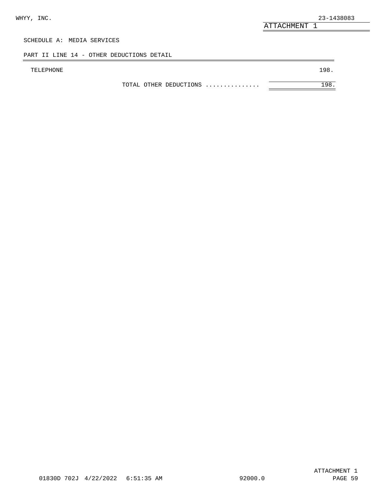$\equiv$ 

L,

ATTACHMENT 1

SCHEDULE A: MEDIA SERVICES

PART II LINE 14 - OTHER DEDUCTIONS DETAIL

| TELEPHONE              | 198. |
|------------------------|------|
|                        |      |
| TOTAL OTHER DEDUCTIONS | 198. |